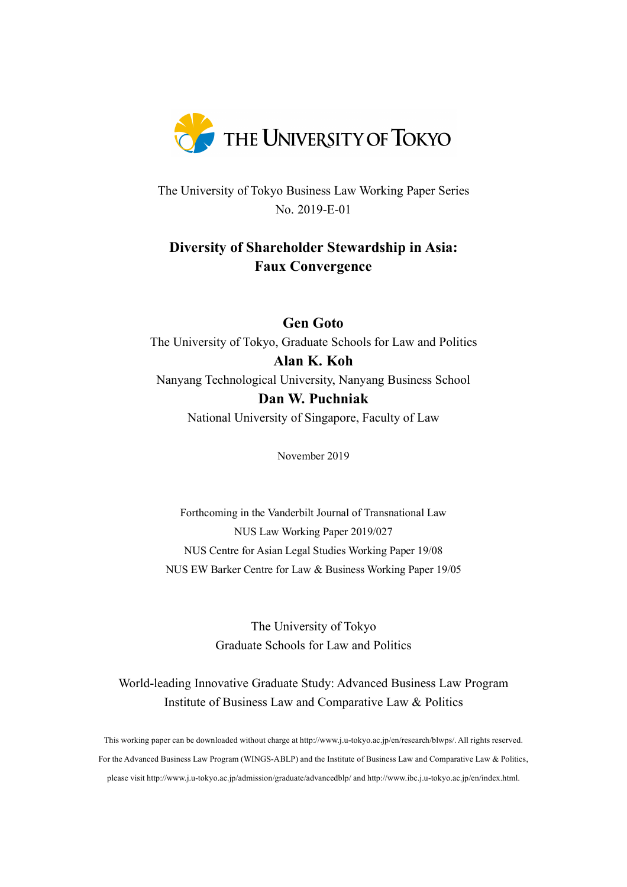

The University of Tokyo Business Law Working Paper Series No. 2019-E-01

## **Diversity of Shareholder Stewardship in Asia: Faux Convergence**

**Gen Goto** The University of Tokyo, Graduate Schools for Law and Politics **Alan K. Koh** Nanyang Technological University, Nanyang Business School **Dan W. Puchniak** National University of Singapore, Faculty of Law

November 2019

Forthcoming in the Vanderbilt Journal of Transnational Law NUS Law Working Paper 2019/027 NUS Centre for Asian Legal Studies Working Paper 19/08 NUS EW Barker Centre for Law & Business Working Paper 19/05

> The University of Tokyo Graduate Schools for Law and Politics

World-leading Innovative Graduate Study: Advanced Business Law Program Institute of Business Law and Comparative Law & Politics

This working paper can be downloaded without charge at http://www.j.u-tokyo.ac.jp/en/research/blwps/. All rights reserved. For the Advanced Business Law Program (WINGS-ABLP) and the Institute of Business Law and Comparative Law & Politics, please visit http://www.j.u-tokyo.ac.jp/admission/graduate/advancedblp/ and http://www.ibc.j.u-tokyo.ac.jp/en/index.html.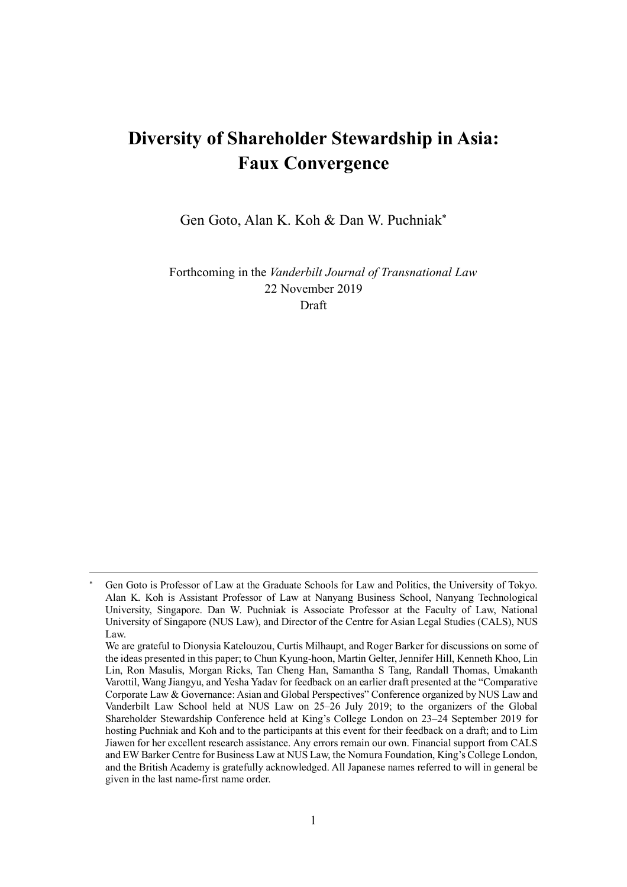# **Diversity of Shareholder Stewardship in Asia: Faux Convergence**

Gen Goto, Alan K. Koh & Dan W. Puchniak\*

Forthcoming in the *Vanderbilt Journal of Transnational Law* 22 November 2019 Draft

 $\overline{a}$ 

Gen Goto is Professor of Law at the Graduate Schools for Law and Politics, the University of Tokyo. Alan K. Koh is Assistant Professor of Law at Nanyang Business School, Nanyang Technological University, Singapore. Dan W. Puchniak is Associate Professor at the Faculty of Law, National University of Singapore (NUS Law), and Director of the Centre for Asian Legal Studies (CALS), NUS Law.

We are grateful to Dionysia Katelouzou, Curtis Milhaupt, and Roger Barker for discussions on some of the ideas presented in this paper; to Chun Kyung-hoon, Martin Gelter, Jennifer Hill, Kenneth Khoo, Lin Lin, Ron Masulis, Morgan Ricks, Tan Cheng Han, Samantha S Tang, Randall Thomas, Umakanth Varottil, Wang Jiangyu, and Yesha Yadav for feedback on an earlier draft presented at the "Comparative Corporate Law & Governance: Asian and Global Perspectives" Conference organized by NUS Law and Vanderbilt Law School held at NUS Law on 25–26 July 2019; to the organizers of the Global Shareholder Stewardship Conference held at King's College London on 23–24 September 2019 for hosting Puchniak and Koh and to the participants at this event for their feedback on a draft; and to Lim Jiawen for her excellent research assistance. Any errors remain our own. Financial support from CALS and EW Barker Centre for Business Law at NUS Law, the Nomura Foundation, King's College London, and the British Academy is gratefully acknowledged. All Japanese names referred to will in general be given in the last name-first name order.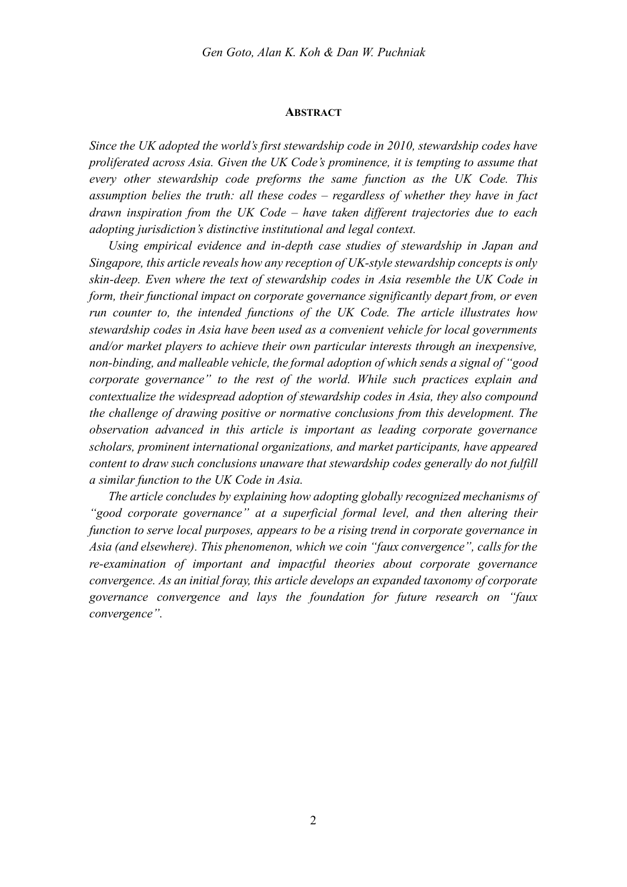#### **ABSTRACT**

*Since the UK adopted the world's first stewardship code in 2010, stewardship codes have proliferated across Asia. Given the UK Code's prominence, it is tempting to assume that every other stewardship code preforms the same function as the UK Code. This assumption belies the truth: all these codes – regardless of whether they have in fact drawn inspiration from the UK Code – have taken different trajectories due to each adopting jurisdiction's distinctive institutional and legal context.* 

*Using empirical evidence and in-depth case studies of stewardship in Japan and Singapore, this article reveals how any reception of UK-style stewardship concepts is only skin-deep. Even where the text of stewardship codes in Asia resemble the UK Code in form, their functional impact on corporate governance significantly depart from, or even run counter to, the intended functions of the UK Code. The article illustrates how stewardship codes in Asia have been used as a convenient vehicle for local governments and/or market players to achieve their own particular interests through an inexpensive, non-binding, and malleable vehicle, the formal adoption of which sends a signal of "good corporate governance" to the rest of the world. While such practices explain and contextualize the widespread adoption of stewardship codes in Asia, they also compound the challenge of drawing positive or normative conclusions from this development. The observation advanced in this article is important as leading corporate governance scholars, prominent international organizations, and market participants, have appeared content to draw such conclusions unaware that stewardship codes generally do not fulfill a similar function to the UK Code in Asia.* 

*The article concludes by explaining how adopting globally recognized mechanisms of "good corporate governance" at a superficial formal level, and then altering their function to serve local purposes, appears to be a rising trend in corporate governance in Asia (and elsewhere). This phenomenon, which we coin "faux convergence", calls for the re-examination of important and impactful theories about corporate governance convergence. As an initial foray, this article develops an expanded taxonomy of corporate governance convergence and lays the foundation for future research on "faux convergence".*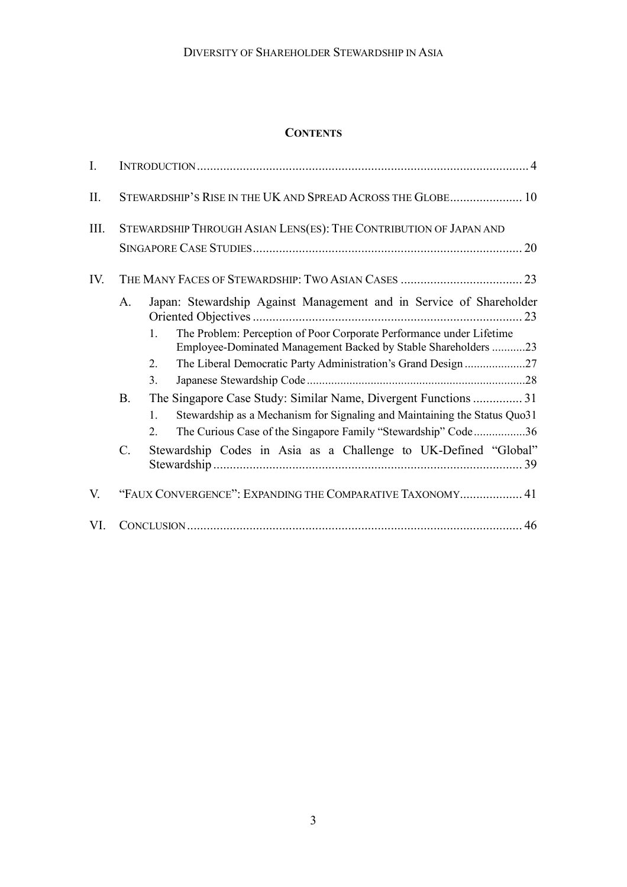### **CONTENTS**

| $I_{\cdot}$ |                                                                         |                                                                                                                                                                                                                                                                                                                                                                                                                                                                                  |  |  |  |
|-------------|-------------------------------------------------------------------------|----------------------------------------------------------------------------------------------------------------------------------------------------------------------------------------------------------------------------------------------------------------------------------------------------------------------------------------------------------------------------------------------------------------------------------------------------------------------------------|--|--|--|
| II.         | STEWARDSHIP'S RISE IN THE UK AND SPREAD ACROSS THE GLOBE 10             |                                                                                                                                                                                                                                                                                                                                                                                                                                                                                  |  |  |  |
| III.        | STEWARDSHIP THROUGH ASIAN LENS(ES): THE CONTRIBUTION OF JAPAN AND<br>20 |                                                                                                                                                                                                                                                                                                                                                                                                                                                                                  |  |  |  |
| IV.         |                                                                         |                                                                                                                                                                                                                                                                                                                                                                                                                                                                                  |  |  |  |
|             | A.<br><b>B.</b>                                                         | Japan: Stewardship Against Management and in Service of Shareholder<br>The Problem: Perception of Poor Corporate Performance under Lifetime<br>1.<br>Employee-Dominated Management Backed by Stable Shareholders 23<br>The Liberal Democratic Party Administration's Grand Design 27<br>2.<br>3.<br>Stewardship as a Mechanism for Signaling and Maintaining the Status Quo31<br>$\mathbf{1}$<br>The Curious Case of the Singapore Family "Stewardship" Code36<br>$\mathfrak{2}$ |  |  |  |
|             | $\mathcal{C}$ .                                                         | Stewardship Codes in Asia as a Challenge to UK-Defined "Global"                                                                                                                                                                                                                                                                                                                                                                                                                  |  |  |  |
| V.          | "FAUX CONVERGENCE": EXPANDING THE COMPARATIVE TAXONOMY 41               |                                                                                                                                                                                                                                                                                                                                                                                                                                                                                  |  |  |  |
| VI.         |                                                                         |                                                                                                                                                                                                                                                                                                                                                                                                                                                                                  |  |  |  |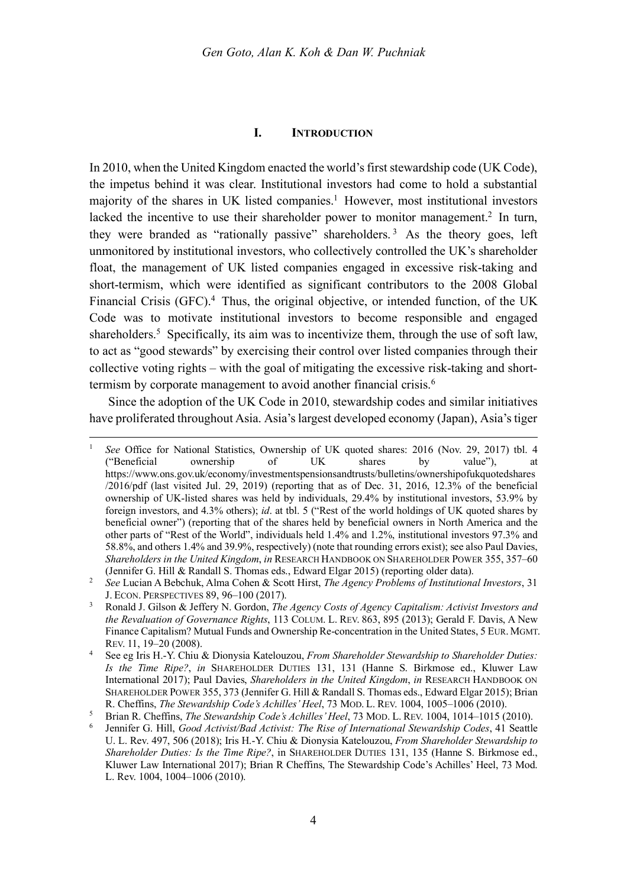#### **I. INTRODUCTION**

In 2010, when the United Kingdom enacted the world's first stewardship code (UK Code), the impetus behind it was clear. Institutional investors had come to hold a substantial majority of the shares in UK listed companies.<sup>1</sup> However, most institutional investors lacked the incentive to use their shareholder power to monitor management.<sup>2</sup> In turn, they were branded as "rationally passive" shareholders. <sup>3</sup> As the theory goes, left unmonitored by institutional investors, who collectively controlled the UK's shareholder float, the management of UK listed companies engaged in excessive risk-taking and short-termism, which were identified as significant contributors to the 2008 Global Financial Crisis (GFC).<sup>4</sup> Thus, the original objective, or intended function, of the UK Code was to motivate institutional investors to become responsible and engaged shareholders.<sup>5</sup> Specifically, its aim was to incentivize them, through the use of soft law, to act as "good stewards" by exercising their control over listed companies through their collective voting rights – with the goal of mitigating the excessive risk-taking and shorttermism by corporate management to avoid another financial crisis.<sup>6</sup>

Since the adoption of the UK Code in 2010, stewardship codes and similar initiatives have proliferated throughout Asia. Asia's largest developed economy (Japan), Asia's tiger

See Office for National Statistics, Ownership of UK quoted shares: 2016 (Nov. 29, 2017) tbl. 4 ("Beneficial ownership of UK shares by value"), at https://www.ons.gov.uk/economy/investmentspensionsandtrusts/bulletins/ownershipofukquotedshares /2016/pdf (last visited Jul. 29, 2019) (reporting that as of Dec. 31, 2016, 12.3% of the beneficial ownership of UK-listed shares was held by individuals, 29.4% by institutional investors, 53.9% by foreign investors, and 4.3% others); *id*. at tbl. 5 ("Rest of the world holdings of UK quoted shares by beneficial owner") (reporting that of the shares held by beneficial owners in North America and the other parts of "Rest of the World", individuals held 1.4% and 1.2%, institutional investors 97.3% and 58.8%, and others 1.4% and 39.9%, respectively) (note that rounding errors exist); see also Paul Davies, *Shareholders in the United Kingdom*, *in* RESEARCH HANDBOOK ON SHAREHOLDER POWER 355, 357–60 (Jennifer G. Hill & Randall S. Thomas eds., Edward Elgar 2015) (reporting older data).

<sup>2</sup> *See* Lucian A Bebchuk, Alma Cohen & Scott Hirst, *The Agency Problems of Institutional Investors*, 31 J. ECON. PERSPECTIVES 89, 96–100 (2017).

<sup>3</sup> Ronald J. Gilson & Jeffery N. Gordon, *The Agency Costs of Agency Capitalism: Activist Investors and the Revaluation of Governance Rights*, 113 COLUM. L. REV. 863, 895 (2013); Gerald F. Davis, A New Finance Capitalism? Mutual Funds and Ownership Re-concentration in the United States, 5 EUR. MGMT. REV. 11, 19–20 (2008).

<sup>4</sup> See eg Iris H.-Y. Chiu & Dionysia Katelouzou, *From Shareholder Stewardship to Shareholder Duties: Is the Time Ripe?*, *in* SHAREHOLDER DUTIES 131, 131 (Hanne S. Birkmose ed., Kluwer Law International 2017); Paul Davies, *Shareholders in the United Kingdom*, *in* RESEARCH HANDBOOK ON SHAREHOLDER POWER 355, 373 (Jennifer G. Hill & Randall S. Thomas eds., Edward Elgar 2015); Brian R. Cheffins, *The Stewardship Code's Achilles' Heel*, 73 MOD. L. REV. 1004, 1005–1006 (2010).

<sup>5</sup> Brian R. Cheffins, *The Stewardship Code's Achilles' Heel*, 73 MOD. L. REV. 1004, 1014–1015 (2010).

<sup>6</sup> Jennifer G. Hill, *Good Activist/Bad Activist: The Rise of International Stewardship Codes*, 41 Seattle U. L. Rev. 497, 506 (2018); Iris H.-Y. Chiu & Dionysia Katelouzou, *From Shareholder Stewardship to Shareholder Duties: Is the Time Ripe?*, in SHAREHOLDER DUTIES 131, 135 (Hanne S. Birkmose ed., Kluwer Law International 2017); Brian R Cheffins, The Stewardship Code's Achilles' Heel, 73 Mod. L. Rev. 1004, 1004–1006 (2010).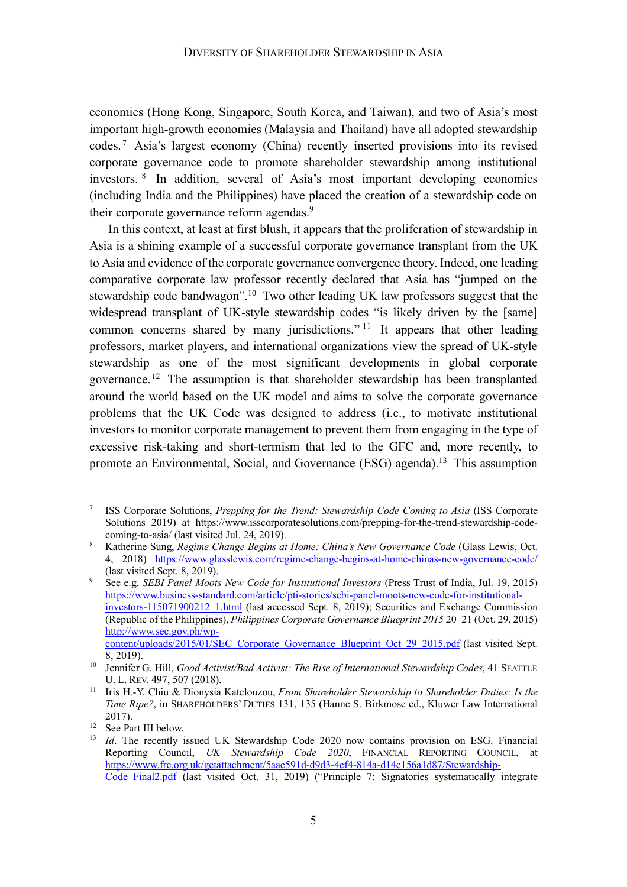economies (Hong Kong, Singapore, South Korea, and Taiwan), and two of Asia's most important high-growth economies (Malaysia and Thailand) have all adopted stewardship codes. <sup>7</sup> Asia's largest economy (China) recently inserted provisions into its revised corporate governance code to promote shareholder stewardship among institutional investors. <sup>8</sup> In addition, several of Asia's most important developing economies (including India and the Philippines) have placed the creation of a stewardship code on their corporate governance reform agendas.<sup>9</sup>

In this context, at least at first blush, it appears that the proliferation of stewardship in Asia is a shining example of a successful corporate governance transplant from the UK to Asia and evidence of the corporate governance convergence theory. Indeed, one leading comparative corporate law professor recently declared that Asia has "jumped on the stewardship code bandwagon".<sup>10</sup> Two other leading UK law professors suggest that the widespread transplant of UK-style stewardship codes "is likely driven by the [same] common concerns shared by many jurisdictions."<sup>11</sup> It appears that other leading professors, market players, and international organizations view the spread of UK-style stewardship as one of the most significant developments in global corporate governance.12 The assumption is that shareholder stewardship has been transplanted around the world based on the UK model and aims to solve the corporate governance problems that the UK Code was designed to address (i.e., to motivate institutional investors to monitor corporate management to prevent them from engaging in the type of excessive risk-taking and short-termism that led to the GFC and, more recently, to promote an Environmental, Social, and Governance (ESG) agenda).13 This assumption

 <sup>7</sup> ISS Corporate Solutions, *Prepping for the Trend: Stewardship Code Coming to Asia* (ISS Corporate Solutions 2019) at https://www.isscorporatesolutions.com/prepping-for-the-trend-stewardship-codecoming-to-asia/ (last visited Jul. 24, 2019).

<sup>8</sup> Katherine Sung, *Regime Change Begins at Home: China's New Governance Code* (Glass Lewis, Oct. 4, 2018) https://www.glasslewis.com/regime-change-begins-at-home-chinas-new-governance-code/ (last visited Sept. 8, 2019).

<sup>9</sup> See e.g. *SEBI Panel Moots New Code for Institutional Investors* (Press Trust of India, Jul. 19, 2015) https://www.business-standard.com/article/pti-stories/sebi-panel-moots-new-code-for-institutionalinvestors-115071900212\_1.html (last accessed Sept. 8, 2019); Securities and Exchange Commission (Republic of the Philippines), *Philippines Corporate Governance Blueprint 2015* 20–21 (Oct. 29, 2015) http://www.sec.gov.ph/wpcontent/uploads/2015/01/SEC\_Corporate\_Governance\_Blueprint\_Oct\_29\_2015.pdf (last visited Sept.

<sup>8, 2019). 10</sup> Jennifer G. Hill, *Good Activist/Bad Activist: The Rise of International Stewardship Codes*, 41 SEATTLE

U. L. REV. 497, 507 (2018). 11 Iris H.-Y. Chiu & Dionysia Katelouzou, *From Shareholder Stewardship to Shareholder Duties: Is the Time Ripe?*, in SHAREHOLDERS' DUTIES 131, 135 (Hanne S. Birkmose ed., Kluwer Law International 2017).

<sup>&</sup>lt;sup>12</sup> See Part III below.<br><sup>13</sup> *Id*. The recently issued UK Stewardship Code 2020 now contains provision on ESG. Financial Reporting Council, *UK Stewardship Code 2020*, FINANCIAL REPORTING COUNCIL, at https://www.frc.org.uk/getattachment/5aae591d-d9d3-4cf4-814a-d14e156a1d87/Stewardship-Code\_Final2.pdf (last visited Oct. 31, 2019) ("Principle 7: Signatories systematically integrate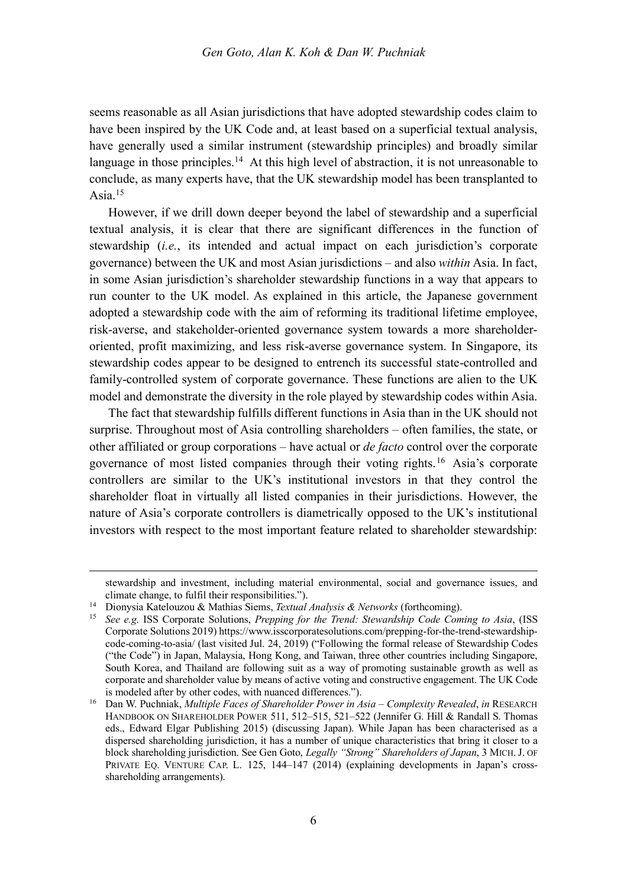seems reasonable as all Asian jurisdictions that have adopted stewardship codes claim to have been inspired by the UK Code and, at least based on a superficial textual analysis, have generally used a similar instrument (stewardship principles) and broadly similar language in those principles.<sup>14</sup> At this high level of abstraction, it is not unreasonable to conclude, as many experts have, that the UK stewardship model has been transplanted to Asia $15$ 

However, if we drill down deeper beyond the label of stewardship and a superficial textual analysis, it is clear that there are significant differences in the function of stewardship (*i.e.*, its intended and actual impact on each jurisdiction's corporate governance) between the UK and most Asian jurisdictions – and also *within* Asia. In fact, in some Asian jurisdiction's shareholder stewardship functions in a way that appears to run counter to the UK model. As explained in this article, the Japanese government adopted a stewardship code with the aim of reforming its traditional lifetime employee, risk-averse, and stakeholder-oriented governance system towards a more shareholderoriented, profit maximizing, and less risk-averse governance system. In Singapore, its stewardship codes appear to be designed to entrench its successful state-controlled and family-controlled system of corporate governance. These functions are alien to the UK model and demonstrate the diversity in the role played by stewardship codes within Asia.

The fact that stewardship fulfills different functions in Asia than in the UK should not surprise. Throughout most of Asia controlling shareholders – often families, the state, or other affiliated or group corporations – have actual or *de facto* control over the corporate governance of most listed companies through their voting rights. <sup>16</sup> Asia's corporate controllers are similar to the UK's institutional investors in that they control the shareholder float in virtually all listed companies in their jurisdictions. However, the nature of Asia's corporate controllers is diametrically opposed to the UK's institutional investors with respect to the most important feature related to shareholder stewardship:

stewardship and investment, including material environmental, social and governance issues, and climate change, to fulfil their responsibilities.").

<sup>14</sup> Dionysia Katelouzou & Mathias Siems, *Textual Analysis & Networks* (forthcoming).

<sup>15</sup> *See e.g.* ISS Corporate Solutions, *Prepping for the Trend: Stewardship Code Coming to Asia*, (ISS Corporate Solutions 2019) https://www.isscorporatesolutions.com/prepping-for-the-trend-stewardshipcode-coming-to-asia/ (last visited Jul. 24, 2019) ("Following the formal release of Stewardship Codes ("the Code") in Japan, Malaysia, Hong Kong, and Taiwan, three other countries including Singapore, South Korea, and Thailand are following suit as a way of promoting sustainable growth as well as corporate and shareholder value by means of active voting and constructive engagement. The UK Code is modeled after by other codes, with nuanced differences.").

<sup>16</sup> Dan W. Puchniak, *Multiple Faces of Shareholder Power in Asia – Complexity Revealed*, *in* RESEARCH HANDBOOK ON SHAREHOLDER POWER 511, 512–515, 521–522 (Jennifer G. Hill & Randall S. Thomas eds., Edward Elgar Publishing 2015) (discussing Japan). While Japan has been characterised as a dispersed shareholding jurisdiction, it has a number of unique characteristics that bring it closer to a block shareholding jurisdiction. See Gen Goto, *Legally "Strong" Shareholders of Japan*, 3 MICH.J. OF PRIVATE EQ. VENTURE CAP. L. 125, 144–147 (2014) (explaining developments in Japan's crossshareholding arrangements).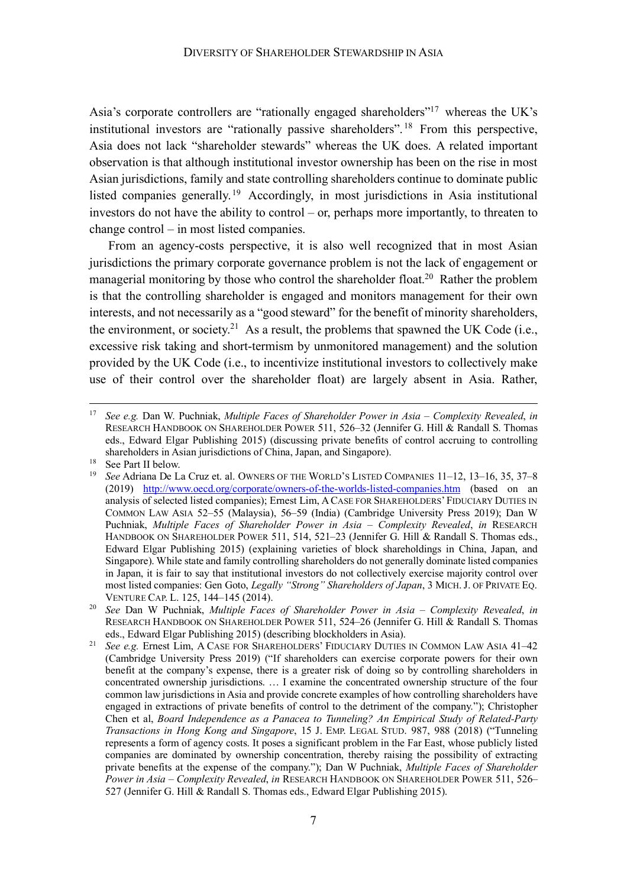Asia's corporate controllers are "rationally engaged shareholders"<sup>17</sup> whereas the UK's institutional investors are "rationally passive shareholders".<sup>18</sup> From this perspective, Asia does not lack "shareholder stewards" whereas the UK does. A related important observation is that although institutional investor ownership has been on the rise in most Asian jurisdictions, family and state controlling shareholders continue to dominate public listed companies generally. <sup>19</sup> Accordingly, in most jurisdictions in Asia institutional investors do not have the ability to control – or, perhaps more importantly, to threaten to change control – in most listed companies.

From an agency-costs perspective, it is also well recognized that in most Asian jurisdictions the primary corporate governance problem is not the lack of engagement or managerial monitoring by those who control the shareholder float.<sup>20</sup> Rather the problem is that the controlling shareholder is engaged and monitors management for their own interests, and not necessarily as a "good steward" for the benefit of minority shareholders, the environment, or society.<sup>21</sup> As a result, the problems that spawned the UK Code (i.e., excessive risk taking and short-termism by unmonitored management) and the solution provided by the UK Code (i.e., to incentivize institutional investors to collectively make use of their control over the shareholder float) are largely absent in Asia. Rather,

 <sup>17</sup> *See e.g.* Dan W. Puchniak, *Multiple Faces of Shareholder Power in Asia – Complexity Revealed*, *in* RESEARCH HANDBOOK ON SHAREHOLDER POWER 511, 526–32 (Jennifer G. Hill & Randall S. Thomas eds., Edward Elgar Publishing 2015) (discussing private benefits of control accruing to controlling shareholders in Asian jurisdictions of China, Japan, and Singapore).<br><sup>18</sup> See Part II below.

<sup>&</sup>lt;sup>19</sup> See Adriana De La Cruz et. al. OWNERS OF THE WORLD'S LISTED COMPANIES 11–12, 13–16, 35, 37–8 (2019) http://www.oecd.org/corporate/owners-of-the-worlds-listed-companies.htm (based on an analysis of selected listed companies); Ernest Lim, ACASE FOR SHAREHOLDERS' FIDUCIARY DUTIES IN COMMON LAW ASIA 52–55 (Malaysia), 56–59 (India) (Cambridge University Press 2019); Dan W Puchniak, *Multiple Faces of Shareholder Power in Asia – Complexity Revealed*, *in* RESEARCH HANDBOOK ON SHAREHOLDER POWER 511, 514, 521-23 (Jennifer G. Hill & Randall S. Thomas eds., Edward Elgar Publishing 2015) (explaining varieties of block shareholdings in China, Japan, and Singapore). While state and family controlling shareholders do not generally dominate listed companies in Japan, it is fair to say that institutional investors do not collectively exercise majority control over most listed companies: Gen Goto, *Legally "Strong" Shareholders of Japan*, 3 MICH.J. OF PRIVATE EQ. VENTURE CAP. L. 125, 144–145 (2014).

<sup>20</sup> *See* Dan W Puchniak, *Multiple Faces of Shareholder Power in Asia – Complexity Revealed*, *in* RESEARCH HANDBOOK ON SHAREHOLDER POWER 511, 524–26 (Jennifer G. Hill & Randall S. Thomas eds., Edward Elgar Publishing 2015) (describing blockholders in Asia).

<sup>21</sup> *See e.g.* Ernest Lim, A CASE FOR SHAREHOLDERS' FIDUCIARY DUTIES IN COMMON LAW ASIA 41–42 (Cambridge University Press 2019) ("If shareholders can exercise corporate powers for their own benefit at the company's expense, there is a greater risk of doing so by controlling shareholders in concentrated ownership jurisdictions. … I examine the concentrated ownership structure of the four common law jurisdictions in Asia and provide concrete examples of how controlling shareholders have engaged in extractions of private benefits of control to the detriment of the company."); Christopher Chen et al, *Board Independence as a Panacea to Tunneling? An Empirical Study of Related-Party Transactions in Hong Kong and Singapore*, 15 J. EMP. LEGAL STUD. 987, 988 (2018) ("Tunneling represents a form of agency costs. It poses a significant problem in the Far East, whose publicly listed companies are dominated by ownership concentration, thereby raising the possibility of extracting private benefits at the expense of the company."); Dan W Puchniak, *Multiple Faces of Shareholder Power in Asia – Complexity Revealed*, *in* RESEARCH HANDBOOK ON SHAREHOLDER POWER 511, 526– 527 (Jennifer G. Hill & Randall S. Thomas eds., Edward Elgar Publishing 2015).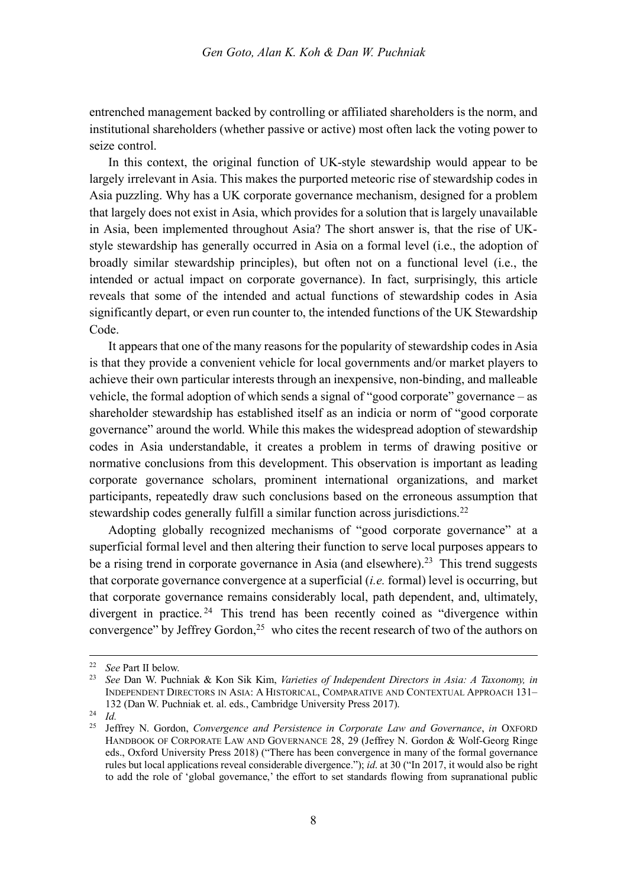entrenched management backed by controlling or affiliated shareholders is the norm, and institutional shareholders (whether passive or active) most often lack the voting power to seize control.

In this context, the original function of UK-style stewardship would appear to be largely irrelevant in Asia. This makes the purported meteoric rise of stewardship codes in Asia puzzling. Why has a UK corporate governance mechanism, designed for a problem that largely does not exist in Asia, which provides for a solution that is largely unavailable in Asia, been implemented throughout Asia? The short answer is, that the rise of UKstyle stewardship has generally occurred in Asia on a formal level (i.e., the adoption of broadly similar stewardship principles), but often not on a functional level (i.e., the intended or actual impact on corporate governance). In fact, surprisingly, this article reveals that some of the intended and actual functions of stewardship codes in Asia significantly depart, or even run counter to, the intended functions of the UK Stewardship Code.

It appears that one of the many reasons for the popularity of stewardship codes in Asia is that they provide a convenient vehicle for local governments and/or market players to achieve their own particular interests through an inexpensive, non-binding, and malleable vehicle, the formal adoption of which sends a signal of "good corporate" governance – as shareholder stewardship has established itself as an indicia or norm of "good corporate governance" around the world. While this makes the widespread adoption of stewardship codes in Asia understandable, it creates a problem in terms of drawing positive or normative conclusions from this development. This observation is important as leading corporate governance scholars, prominent international organizations, and market participants, repeatedly draw such conclusions based on the erroneous assumption that stewardship codes generally fulfill a similar function across jurisdictions.<sup>22</sup>

Adopting globally recognized mechanisms of "good corporate governance" at a superficial formal level and then altering their function to serve local purposes appears to be a rising trend in corporate governance in Asia (and elsewhere).<sup>23</sup> This trend suggests that corporate governance convergence at a superficial (*i.e.* formal) level is occurring, but that corporate governance remains considerably local, path dependent, and, ultimately, divergent in practice. <sup>24</sup> This trend has been recently coined as "divergence within convergence" by Jeffrey Gordon,<sup>25</sup> who cites the recent research of two of the authors on

 <sup>22</sup> *See* Part II below.

<sup>23</sup> *See* Dan W. Puchniak & Kon Sik Kim, *Varieties of Independent Directors in Asia: A Taxonomy, in*  INDEPENDENT DIRECTORS IN ASIA: A HISTORICAL, COMPARATIVE AND CONTEXTUAL APPROACH 131– 132 (Dan W. Puchniak et. al. eds., Cambridge University Press 2017).

<sup>24</sup> *Id.*

<sup>25</sup> Jeffrey N. Gordon, *Convergence and Persistence in Corporate Law and Governance*, *in* OXFORD HANDBOOK OF CORPORATE LAW AND GOVERNANCE 28, 29 (Jeffrey N. Gordon & Wolf-Georg Ringe eds., Oxford University Press 2018) ("There has been convergence in many of the formal governance rules but local applications reveal considerable divergence."); *id*. at 30 ("In 2017, it would also be right to add the role of 'global governance,' the effort to set standards flowing from supranational public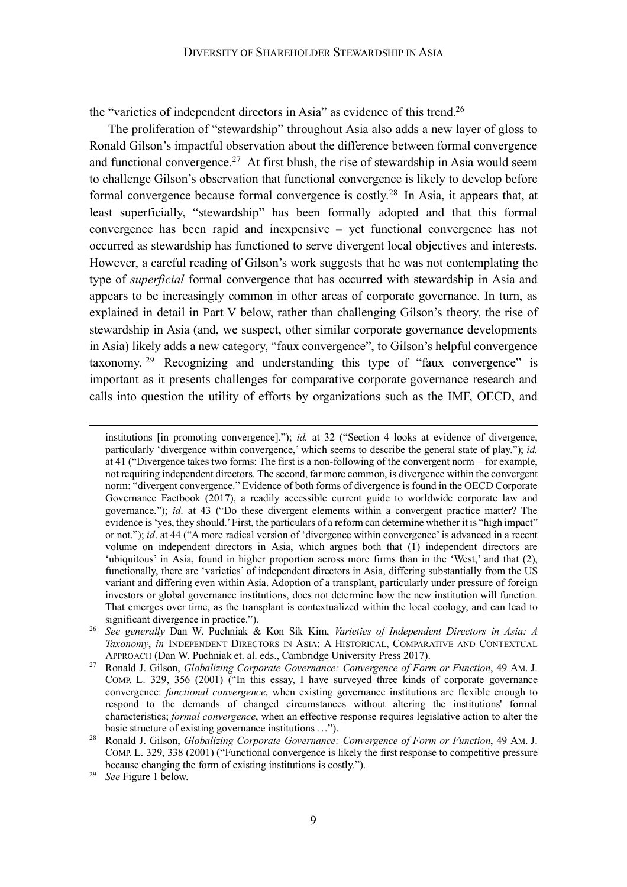the "varieties of independent directors in Asia" as evidence of this trend.<sup>26</sup>

The proliferation of "stewardship" throughout Asia also adds a new layer of gloss to Ronald Gilson's impactful observation about the difference between formal convergence and functional convergence.<sup>27</sup> At first blush, the rise of stewardship in Asia would seem to challenge Gilson's observation that functional convergence is likely to develop before formal convergence because formal convergence is costly.<sup>28</sup> In Asia, it appears that, at least superficially, "stewardship" has been formally adopted and that this formal convergence has been rapid and inexpensive – yet functional convergence has not occurred as stewardship has functioned to serve divergent local objectives and interests. However, a careful reading of Gilson's work suggests that he was not contemplating the type of *superficial* formal convergence that has occurred with stewardship in Asia and appears to be increasingly common in other areas of corporate governance. In turn, as explained in detail in Part V below, rather than challenging Gilson's theory, the rise of stewardship in Asia (and, we suspect, other similar corporate governance developments in Asia) likely adds a new category, "faux convergence", to Gilson's helpful convergence taxonomy. <sup>29</sup> Recognizing and understanding this type of "faux convergence" is important as it presents challenges for comparative corporate governance research and calls into question the utility of efforts by organizations such as the IMF, OECD, and

institutions [in promoting convergence]."); *id.* at 32 ("Section 4 looks at evidence of divergence, particularly 'divergence within convergence,' which seems to describe the general state of play."); *id.* at 41 ("Divergence takes two forms: The first is a non-following of the convergent norm—for example, not requiring independent directors. The second, far more common, is divergence within the convergent norm: "divergent convergence." Evidence of both forms of divergence is found in the OECD Corporate Governance Factbook (2017), a readily accessible current guide to worldwide corporate law and governance."); *id*. at 43 ("Do these divergent elements within a convergent practice matter? The evidence is 'yes, they should.' First, the particulars of a reform can determine whether it is "high impact" or not."); *id*. at 44 ("A more radical version of 'divergence within convergence' is advanced in a recent volume on independent directors in Asia, which argues both that (1) independent directors are 'ubiquitous' in Asia, found in higher proportion across more firms than in the 'West,' and that (2), functionally, there are 'varieties' of independent directors in Asia, differing substantially from the US variant and differing even within Asia. Adoption of a transplant, particularly under pressure of foreign investors or global governance institutions, does not determine how the new institution will function. That emerges over time, as the transplant is contextualized within the local ecology, and can lead to significant divergence in practice.").

<sup>26</sup> *See generally* Dan W. Puchniak & Kon Sik Kim, *Varieties of Independent Directors in Asia: A Taxonomy*, *in* INDEPENDENT DIRECTORS IN ASIA: A HISTORICAL, COMPARATIVE AND CONTEXTUAL APPROACH (Dan W. Puchniak et. al. eds., Cambridge University Press 2017).

<sup>27</sup> Ronald J. Gilson, *Globalizing Corporate Governance: Convergence of Form or Function*, 49 AM. J. COMP. L. 329, 356 (2001) ("In this essay, I have surveyed three kinds of corporate governance convergence: *functional convergence*, when existing governance institutions are flexible enough to respond to the demands of changed circumstances without altering the institutions' formal characteristics; *formal convergence*, when an effective response requires legislative action to alter the basic structure of existing governance institutions …").

<sup>28</sup> Ronald J. Gilson, *Globalizing Corporate Governance: Convergence of Form or Function*, 49 AM. J. COMP. L. 329, 338 (2001) ("Functional convergence is likely the first response to competitive pressure because changing the form of existing institutions is costly.").

See Figure 1 below.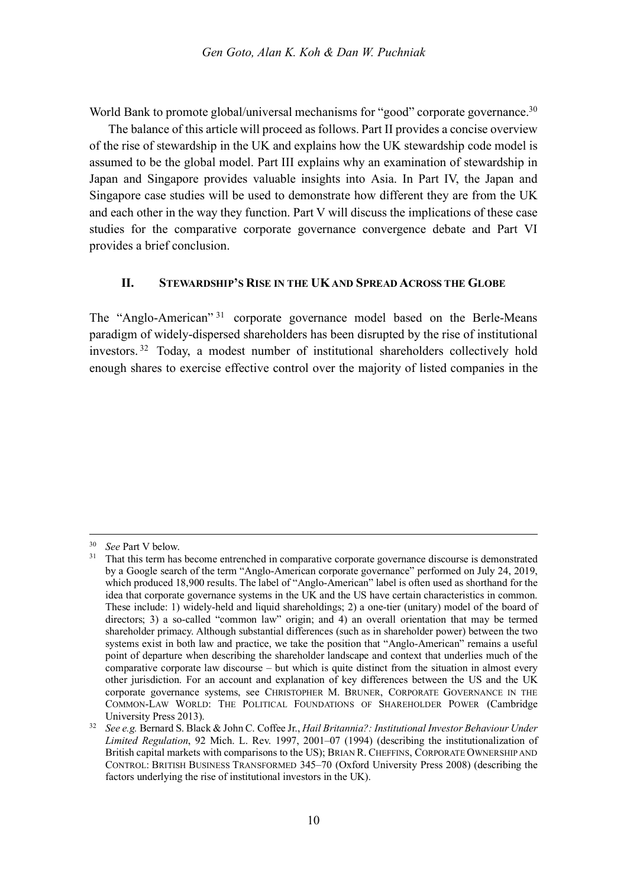World Bank to promote global/universal mechanisms for "good" corporate governance.<sup>30</sup>

The balance of this article will proceed as follows. Part II provides a concise overview of the rise of stewardship in the UK and explains how the UK stewardship code model is assumed to be the global model. Part III explains why an examination of stewardship in Japan and Singapore provides valuable insights into Asia. In Part IV, the Japan and Singapore case studies will be used to demonstrate how different they are from the UK and each other in the way they function. Part V will discuss the implications of these case studies for the comparative corporate governance convergence debate and Part VI provides a brief conclusion.

#### **II. STEWARDSHIP'S RISE IN THE UKAND SPREAD ACROSS THE GLOBE**

The "Anglo-American" <sup>31</sup> corporate governance model based on the Berle-Means paradigm of widely-dispersed shareholders has been disrupted by the rise of institutional investors. <sup>32</sup> Today, a modest number of institutional shareholders collectively hold enough shares to exercise effective control over the majority of listed companies in the

 <sup>30</sup> *See* Part V below.

<sup>&</sup>lt;sup>31</sup> That this term has become entrenched in comparative corporate governance discourse is demonstrated by a Google search of the term "Anglo-American corporate governance" performed on July 24, 2019, which produced 18,900 results. The label of "Anglo-American" label is often used as shorthand for the idea that corporate governance systems in the UK and the US have certain characteristics in common. These include: 1) widely-held and liquid shareholdings; 2) a one-tier (unitary) model of the board of directors; 3) a so-called "common law" origin; and 4) an overall orientation that may be termed shareholder primacy. Although substantial differences (such as in shareholder power) between the two systems exist in both law and practice, we take the position that "Anglo-American" remains a useful point of departure when describing the shareholder landscape and context that underlies much of the comparative corporate law discourse – but which is quite distinct from the situation in almost every other jurisdiction. For an account and explanation of key differences between the US and the UK corporate governance systems, see CHRISTOPHER M. BRUNER, CORPORATE GOVERNANCE IN THE COMMON-LAW WORLD: THE POLITICAL FOUNDATIONS OF SHAREHOLDER POWER (Cambridge

University Press 2013).<br>See e.g. Bernard S. Black & John C. Coffee Jr., *Hail Britannia?: Institutional Investor Behaviour Under Limited Regulation*, 92 Mich. L. Rev. 1997, 2001–07 (1994) (describing the institutionalization of British capital markets with comparisons to the US); BRIAN R. CHEFFINS, CORPORATE OWNERSHIP AND CONTROL: BRITISH BUSINESS TRANSFORMED 345–70 (Oxford University Press 2008) (describing the factors underlying the rise of institutional investors in the UK).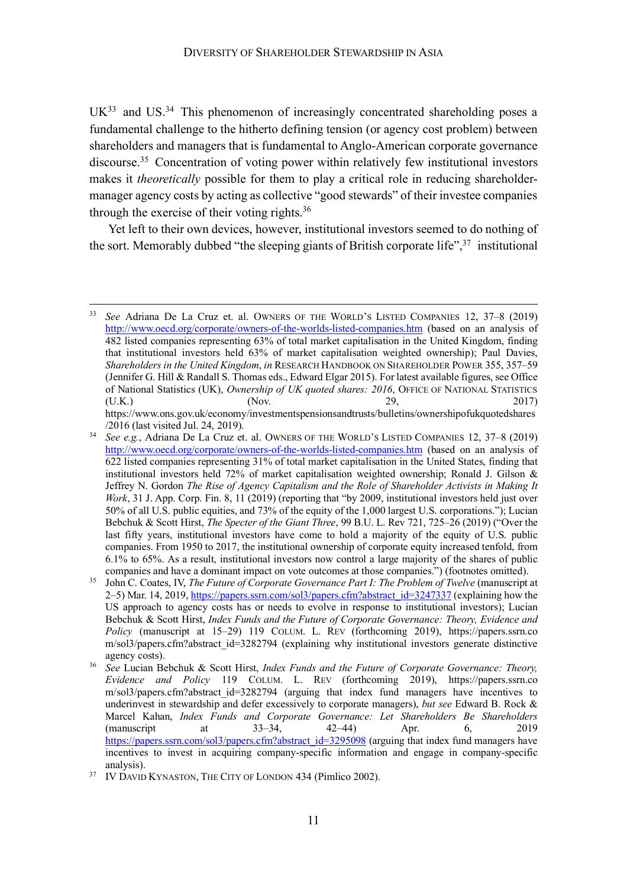$UK<sup>33</sup>$  and US.<sup>34</sup> This phenomenon of increasingly concentrated shareholding poses a fundamental challenge to the hitherto defining tension (or agency cost problem) between shareholders and managers that is fundamental to Anglo-American corporate governance discourse.<sup>35</sup> Concentration of voting power within relatively few institutional investors makes it *theoretically* possible for them to play a critical role in reducing shareholdermanager agency costs by acting as collective "good stewards" of their investee companies through the exercise of their voting rights. $36$ 

Yet left to their own devices, however, institutional investors seemed to do nothing of the sort. Memorably dubbed "the sleeping giants of British corporate life",  $37$  institutional

 <sup>33</sup> *See* Adriana De La Cruz et. al. OWNERS OF THE WORLD'S LISTED COMPANIES 12, 37–8 (2019) http://www.oecd.org/corporate/owners-of-the-worlds-listed-companies.htm (based on an analysis of 482 listed companies representing 63% of total market capitalisation in the United Kingdom, finding that institutional investors held 63% of market capitalisation weighted ownership); Paul Davies, *Shareholders in the United Kingdom*, *in* RESEARCH HANDBOOK ON SHAREHOLDER POWER 355, 357–59 (Jennifer G. Hill & Randall S. Thomas eds., Edward Elgar 2015). For latest available figures, see Office of National Statistics (UK), *Ownership of UK quoted shares: 2016*, OFFICE OF NATIONAL STATISTICS (U.K.) (Nov. 29, 2017) https://www.ons.gov.uk/economy/investmentspensionsandtrusts/bulletins/ownershipofukquotedshares

<sup>/2016 (</sup>last visited Jul. 24, 2019). <sup>34</sup> *See e.g.*, Adriana De La Cruz et. al. OWNERS OF THE WORLD'S LISTED COMPANIES 12, 37–8 (2019) http://www.oecd.org/corporate/owners-of-the-worlds-listed-companies.htm (based on an analysis of 622 listed companies representing 31% of total market capitalisation in the United States, finding that institutional investors held 72% of market capitalisation weighted ownership; Ronald J. Gilson & Jeffrey N. Gordon *The Rise of Agency Capitalism and the Role of Shareholder Activists in Making It Work*, 31 J. App. Corp. Fin. 8, 11 (2019) (reporting that "by 2009, institutional investors held just over 50% of all U.S. public equities, and 73% of the equity of the 1,000 largest U.S. corporations."); Lucian Bebchuk & Scott Hirst, *The Specter of the Giant Three*, 99 B.U. L. Rev 721, 725–26 (2019) ("Over the last fifty years, institutional investors have come to hold a majority of the equity of U.S. public companies. From 1950 to 2017, the institutional ownership of corporate equity increased tenfold, from 6.1% to 65%. As a result, institutional investors now control a large majority of the shares of public companies and have a dominant impact on vote outcomes at those companies.") (footnotes omitted).

<sup>&</sup>lt;sup>35</sup> John C. Coates, IV, *The Future of Corporate Governance Part I: The Problem of Twelve* (manuscript at 2–5) Mar. 14, 2019, https://papers.ssrn.com/sol3/papers.cfm?abstract\_id=3247337 (explaining how the US approach to agency costs has or needs to evolve in response to institutional investors); Lucian Bebchuk & Scott Hirst, *Index Funds and the Future of Corporate Governance: Theory, Evidence and Policy* (manuscript at 15–29) 119 COLUM. L. REV (forthcoming 2019), https://papers.ssrn.co m/sol3/papers.cfm?abstract\_id=3282794 (explaining why institutional investors generate distinctive agency costs).

<sup>36</sup> *See* Lucian Bebchuk & Scott Hirst, *Index Funds and the Future of Corporate Governance: Theory, Evidence and Policy* 119 COLUM. L. REV (forthcoming 2019), https://papers.ssrn.co m/sol3/papers.cfm?abstract id=3282794 (arguing that index fund managers have incentives to underinvest in stewardship and defer excessively to corporate managers), *but see* Edward B. Rock & Marcel Kahan, *Index Funds and Corporate Governance: Let Shareholders Be Shareholders* (manuscript at 33–34, 42–44) Apr. 6, 2019 https://papers.ssrn.com/sol3/papers.cfm?abstract\_id=3295098 (arguing that index fund managers have incentives to invest in acquiring company-specific information and engage in company-specific analysis).

<sup>&</sup>lt;sup>37</sup> IV DAVID KYNASTON, THE CITY OF LONDON 434 (Pimlico 2002).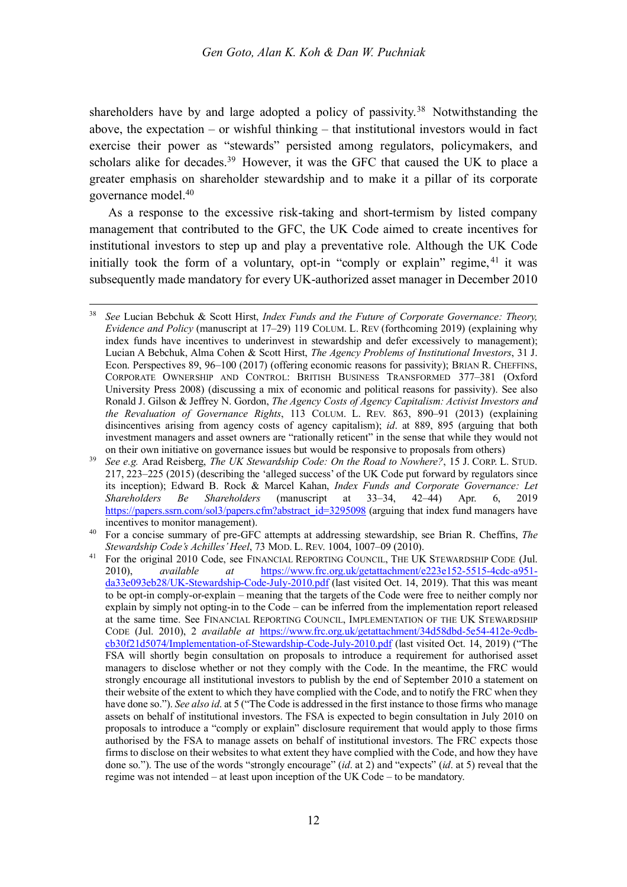shareholders have by and large adopted a policy of passivity.<sup>38</sup> Notwithstanding the above, the expectation – or wishful thinking – that institutional investors would in fact exercise their power as "stewards" persisted among regulators, policymakers, and scholars alike for decades.<sup>39</sup> However, it was the GFC that caused the UK to place a greater emphasis on shareholder stewardship and to make it a pillar of its corporate governance model.40

As a response to the excessive risk-taking and short-termism by listed company management that contributed to the GFC, the UK Code aimed to create incentives for institutional investors to step up and play a preventative role. Although the UK Code initially took the form of a voluntary, opt-in "comply or explain" regime,  $41$  it was subsequently made mandatory for every UK-authorized asset manager in December 2010

 <sup>38</sup> *See* Lucian Bebchuk & Scott Hirst, *Index Funds and the Future of Corporate Governance: Theory, Evidence and Policy* (manuscript at 17–29) 119 COLUM. L. REV (forthcoming 2019) (explaining why index funds have incentives to underinvest in stewardship and defer excessively to management); Lucian A Bebchuk, Alma Cohen & Scott Hirst, *The Agency Problems of Institutional Investors*, 31 J. Econ. Perspectives 89, 96–100 (2017) (offering economic reasons for passivity); BRIAN R. CHEFFINS, CORPORATE OWNERSHIP AND CONTROL: BRITISH BUSINESS TRANSFORMED 377–381 (Oxford University Press 2008) (discussing a mix of economic and political reasons for passivity). See also Ronald J. Gilson & Jeffrey N. Gordon, *The Agency Costs of Agency Capitalism: Activist Investors and the Revaluation of Governance Rights*, 113 COLUM. L. REV. 863, 890–91 (2013) (explaining disincentives arising from agency costs of agency capitalism); *id*. at 889, 895 (arguing that both investment managers and asset owners are "rationally reticent" in the sense that while they would not

on their own initiative on governance issues but would be responsive to proposals from others) 39 *See e.g.* Arad Reisberg, *The UK Stewardship Code: On the Road to Nowhere?*, 15 J. CORP. L. STUD. 217, 223–225 (2015) (describing the 'alleged success' of the UK Code put forward by regulators since its inception); Edward B. Rock & Marcel Kahan, *Index Funds and Corporate Governance: Let Shareholders Be Shareholders* (manuscript at 33–34, 42–44) Apr. 6, 2019 https://papers.ssrn.com/sol3/papers.cfm?abstract\_id=3295098 (arguing that index fund managers have incentives to monitor management).<br><sup>40</sup> For a concise summary of pre-GFC attempts at addressing stewardship, see Brian R. Cheffins, *The* 

*Stewardship Code's Achilles' Heel*, 73 MOD. L. REV. 1004, 1007–09 (2010).

<sup>&</sup>lt;sup>41</sup> For the original 2010 Code, see FINANCIAL REPORTING COUNCIL, THE UK STEWARDSHIP CODE (Jul. 2010), *available at* https://www.frc.org.uk/getattachment/e223e152-5515-4cdc-a951 da33e093eb28/UK-Stewardship-Code-July-2010.pdf (last visited Oct. 14, 2019). That this was meant to be opt-in comply-or-explain – meaning that the targets of the Code were free to neither comply nor explain by simply not opting-in to the Code – can be inferred from the implementation report released at the same time. See FINANCIAL REPORTING COUNCIL, IMPLEMENTATION OF THE UK STEWARDSHIP CODE (Jul. 2010), 2 *available at* https://www.frc.org.uk/getattachment/34d58dbd-5e54-412e-9cdbcb30f21d5074/Implementation-of-Stewardship-Code-July-2010.pdf (last visited Oct. 14, 2019) ("The FSA will shortly begin consultation on proposals to introduce a requirement for authorised asset managers to disclose whether or not they comply with the Code. In the meantime, the FRC would strongly encourage all institutional investors to publish by the end of September 2010 a statement on their website of the extent to which they have complied with the Code, and to notify the FRC when they have done so."). *See also id*. at 5 ("The Code is addressed in the first instance to those firms who manage assets on behalf of institutional investors. The FSA is expected to begin consultation in July 2010 on proposals to introduce a "comply or explain" disclosure requirement that would apply to those firms authorised by the FSA to manage assets on behalf of institutional investors. The FRC expects those firms to disclose on their websites to what extent they have complied with the Code, and how they have done so."). The use of the words "strongly encourage" (*id*. at 2) and "expects" (*id*. at 5) reveal that the regime was not intended – at least upon inception of the UK Code – to be mandatory.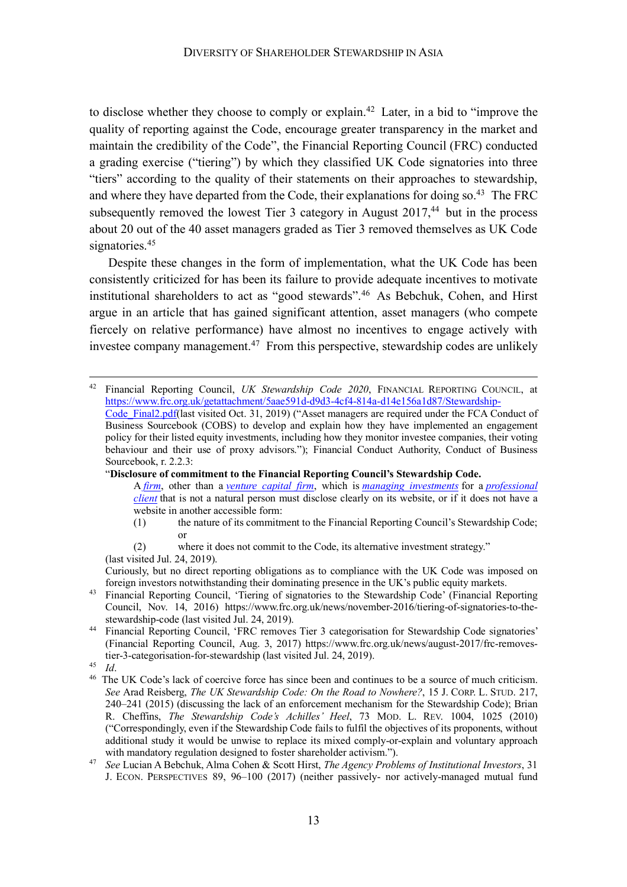to disclose whether they choose to comply or explain. <sup>42</sup> Later, in a bid to "improve the quality of reporting against the Code, encourage greater transparency in the market and maintain the credibility of the Code", the Financial Reporting Council (FRC) conducted a grading exercise ("tiering") by which they classified UK Code signatories into three "tiers" according to the quality of their statements on their approaches to stewardship, and where they have departed from the Code, their explanations for doing so.<sup>43</sup> The FRC subsequently removed the lowest Tier 3 category in August 2017,<sup>44</sup> but in the process about 20 out of the 40 asset managers graded as Tier 3 removed themselves as UK Code signatories.<sup>45</sup>

Despite these changes in the form of implementation, what the UK Code has been consistently criticized for has been its failure to provide adequate incentives to motivate institutional shareholders to act as "good stewards".46 As Bebchuk, Cohen, and Hirst argue in an article that has gained significant attention, asset managers (who compete fiercely on relative performance) have almost no incentives to engage actively with investee company management.<sup>47</sup> From this perspective, stewardship codes are unlikely

"**Disclosure of commitment to the Financial Reporting Council's Stewardship Code.**

(2) where it does not commit to the Code, its alternative investment strategy." (last visited Jul. 24, 2019).

Curiously, but no direct reporting obligations as to compliance with the UK Code was imposed on foreign investors notwithstanding their dominating presence in the UK's public equity markets.

<sup>46</sup> The UK Code's lack of coercive force has since been and continues to be a source of much criticism. *See* Arad Reisberg, *The UK Stewardship Code: On the Road to Nowhere?*, 15 J. CORP. L. STUD. 217, 240–241 (2015) (discussing the lack of an enforcement mechanism for the Stewardship Code); Brian R. Cheffins, *The Stewardship Code's Achilles' Heel*, 73 MOD. L. REV. 1004, 1025 (2010) ("Correspondingly, even if the Stewardship Code fails to fulfil the objectives of its proponents, without additional study it would be unwise to replace its mixed comply-or-explain and voluntary approach with mandatory regulation designed to foster shareholder activism.").

 <sup>42</sup> Financial Reporting Council, *UK Stewardship Code 2020*, FINANCIAL REPORTING COUNCIL, at https://www.frc.org.uk/getattachment/5aae591d-d9d3-4cf4-814a-d14e156a1d87/Stewardship-Code\_Final2.pdf(last visited Oct. 31, 2019) ("Asset managers are required under the FCA Conduct of Business Sourcebook (COBS) to develop and explain how they have implemented an engagement policy for their listed equity investments, including how they monitor investee companies, their voting behaviour and their use of proxy advisors."); Financial Conduct Authority, Conduct of Business Sourcebook, r. 2.2.3:

A *firm*, other than a *venture capital firm*, which is *managing investments* for a *professional client* that is not a natural person must disclose clearly on its website, or if it does not have a website in another accessible form:

<sup>(1)</sup> the nature of its commitment to the Financial Reporting Council's Stewardship Code; or

<sup>&</sup>lt;sup>43</sup> Financial Reporting Council, 'Tiering of signatories to the Stewardship Code' (Financial Reporting Council, Nov. 14, 2016) https://www.frc.org.uk/news/november-2016/tiering-of-signatories-to-thestewardship-code (last visited Jul. 24, 2019).

<sup>44</sup> Financial Reporting Council, 'FRC removes Tier 3 categorisation for Stewardship Code signatories' (Financial Reporting Council, Aug. 3, 2017) https://www.frc.org.uk/news/august-2017/frc-removestier-3-categorisation-for-stewardship (last visited Jul. 24, 2019).

<sup>45</sup> *Id*.

<sup>47</sup> *See* Lucian A Bebchuk, Alma Cohen & Scott Hirst, *The Agency Problems of Institutional Investors*, 31 J. ECON. PERSPECTIVES 89, 96–100 (2017) (neither passively- nor actively-managed mutual fund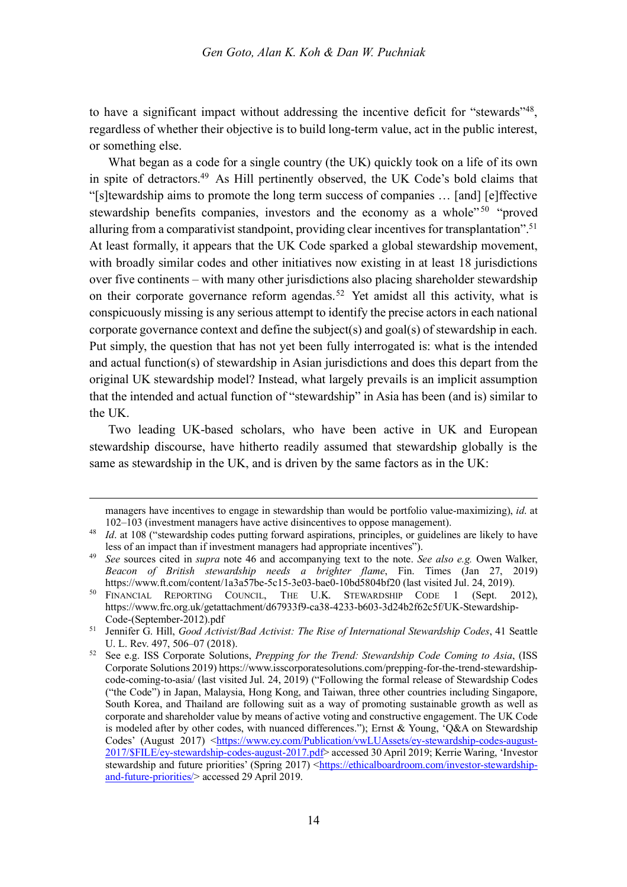to have a significant impact without addressing the incentive deficit for "stewards"<sup>48</sup>. regardless of whether their objective is to build long-term value, act in the public interest, or something else.

What began as a code for a single country (the UK) quickly took on a life of its own in spite of detractors.49 As Hill pertinently observed, the UK Code's bold claims that "[s]tewardship aims to promote the long term success of companies … [and] [e]ffective stewardship benefits companies, investors and the economy as a whole"<sup>50</sup> "proved" alluring from a comparativist standpoint, providing clear incentives for transplantation". 51 At least formally, it appears that the UK Code sparked a global stewardship movement, with broadly similar codes and other initiatives now existing in at least 18 jurisdictions over five continents – with many other jurisdictions also placing shareholder stewardship on their corporate governance reform agendas.<sup>52</sup> Yet amidst all this activity, what is conspicuously missing is any serious attempt to identify the precise actors in each national corporate governance context and define the subject(s) and goal(s) of stewardship in each. Put simply, the question that has not yet been fully interrogated is: what is the intended and actual function(s) of stewardship in Asian jurisdictions and does this depart from the original UK stewardship model? Instead, what largely prevails is an implicit assumption that the intended and actual function of "stewardship" in Asia has been (and is) similar to the UK.

Two leading UK-based scholars, who have been active in UK and European stewardship discourse, have hitherto readily assumed that stewardship globally is the same as stewardship in the UK, and is driven by the same factors as in the UK:

 $\overline{a}$ 

managers have incentives to engage in stewardship than would be portfolio value-maximizing), *id*. at 102–103 (investment managers have active disincentives to oppose management).

<sup>&</sup>lt;sup>48</sup> *Id.* at 108 ("stewardship codes putting forward aspirations, principles, or guidelines are likely to have less of an impact than if investment managers had appropriate incentives").

<sup>49</sup> *See* sources cited in *supra* note 46 and accompanying text to the note. *See also e.g.* Owen Walker, *Beacon of British stewardship needs a brighter flame*, Fin. Times (Jan 27, 2019) https://www.ft.com/content/1a3a57be-5c15-3e03-bae0-10bd5804bf20 (last visited Jul. 24, 2019).

<sup>&</sup>lt;sup>50</sup> FINANCIAL REPORTING COUNCIL, THE U.K. STEWARDSHIP CODE 1 (Sept. 2012), https://www.frc.org.uk/getattachment/d67933f9-ca38-4233-b603-3d24b2f62c5f/UK-Stewardship-Code-(September-2012).pdf

<sup>51</sup> Jennifer G. Hill, *Good Activist/Bad Activist: The Rise of International Stewardship Codes*, 41 Seattle U. L. Rev. 497, 506–07 (2018).

<sup>52</sup> See e.g. ISS Corporate Solutions, *Prepping for the Trend: Stewardship Code Coming to Asia*, (ISS Corporate Solutions 2019) https://www.isscorporatesolutions.com/prepping-for-the-trend-stewardshipcode-coming-to-asia/ (last visited Jul. 24, 2019) ("Following the formal release of Stewardship Codes ("the Code") in Japan, Malaysia, Hong Kong, and Taiwan, three other countries including Singapore, South Korea, and Thailand are following suit as a way of promoting sustainable growth as well as corporate and shareholder value by means of active voting and constructive engagement. The UK Code is modeled after by other codes, with nuanced differences."); Ernst & Young, 'Q&A on Stewardship Codes' (August 2017) <https://www.ey.com/Publication/vwLUAssets/ey-stewardship-codes-august-2017/\$FILE/ey-stewardship-codes-august-2017.pdf> accessed 30 April 2019; Kerrie Waring, 'Investor stewardship and future priorities' (Spring 2017) <https://ethicalboardroom.com/investor-stewardshipand-future-priorities/> accessed 29 April 2019.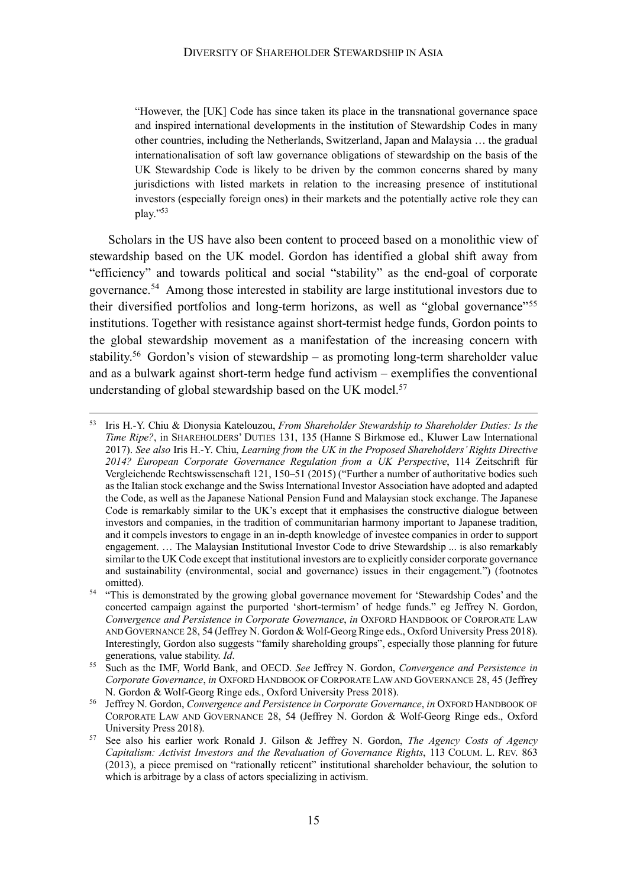"However, the [UK] Code has since taken its place in the transnational governance space and inspired international developments in the institution of Stewardship Codes in many other countries, including the Netherlands, Switzerland, Japan and Malaysia … the gradual internationalisation of soft law governance obligations of stewardship on the basis of the UK Stewardship Code is likely to be driven by the common concerns shared by many jurisdictions with listed markets in relation to the increasing presence of institutional investors (especially foreign ones) in their markets and the potentially active role they can play."53

Scholars in the US have also been content to proceed based on a monolithic view of stewardship based on the UK model. Gordon has identified a global shift away from "efficiency" and towards political and social "stability" as the end-goal of corporate governance. <sup>54</sup> Among those interested in stability are large institutional investors due to their diversified portfolios and long-term horizons, as well as "global governance"55 institutions. Together with resistance against short-termist hedge funds, Gordon points to the global stewardship movement as a manifestation of the increasing concern with stability.<sup>56</sup> Gordon's vision of stewardship – as promoting long-term shareholder value and as a bulwark against short-term hedge fund activism – exemplifies the conventional understanding of global stewardship based on the UK model.<sup>57</sup>

 <sup>53</sup> Iris H.-Y. Chiu & Dionysia Katelouzou, *From Shareholder Stewardship to Shareholder Duties: Is the Time Ripe?*, in SHAREHOLDERS' DUTIES 131, 135 (Hanne S Birkmose ed., Kluwer Law International 2017). *See also* Iris H.-Y. Chiu, *Learning from the UK in the Proposed Shareholders' Rights Directive 2014? European Corporate Governance Regulation from a UK Perspective*, 114 Zeitschrift für Vergleichende Rechtswissenschaft 121, 150–51 (2015) ("Further a number of authoritative bodies such as the Italian stock exchange and the Swiss International Investor Association have adopted and adapted the Code, as well as the Japanese National Pension Fund and Malaysian stock exchange. The Japanese Code is remarkably similar to the UK's except that it emphasises the constructive dialogue between investors and companies, in the tradition of communitarian harmony important to Japanese tradition, and it compels investors to engage in an in-depth knowledge of investee companies in order to support engagement. … The Malaysian Institutional Investor Code to drive Stewardship ... is also remarkably similar to the UK Code except that institutional investors are to explicitly consider corporate governance and sustainability (environmental, social and governance) issues in their engagement.") (footnotes omitted).

<sup>&</sup>lt;sup>54</sup> "This is demonstrated by the growing global governance movement for 'Stewardship Codes' and the concerted campaign against the purported 'short-termism' of hedge funds." eg Jeffrey N. Gordon, *Convergence and Persistence in Corporate Governance*, *in* OXFORD HANDBOOK OF CORPORATE LAW AND GOVERNANCE 28, 54 (Jeffrey N. Gordon & Wolf-Georg Ringe eds., Oxford University Press 2018). Interestingly, Gordon also suggests "family shareholding groups", especially those planning for future generations, value stability. *Id*.

<sup>55</sup> Such as the IMF, World Bank, and OECD. *See* Jeffrey N. Gordon, *Convergence and Persistence in Corporate Governance*, *in* OXFORD HANDBOOK OF CORPORATE LAW AND GOVERNANCE 28, 45 (Jeffrey N. Gordon & Wolf-Georg Ringe eds., Oxford University Press 2018).

<sup>56</sup> Jeffrey N. Gordon, *Convergence and Persistence in Corporate Governance*, *in* OXFORD HANDBOOK OF CORPORATE LAW AND GOVERNANCE 28, 54 (Jeffrey N. Gordon & Wolf-Georg Ringe eds., Oxford University Press 2018).

<sup>57</sup> See also his earlier work Ronald J. Gilson & Jeffrey N. Gordon, *The Agency Costs of Agency Capitalism: Activist Investors and the Revaluation of Governance Rights*, 113 COLUM. L. REV. 863 (2013), a piece premised on "rationally reticent" institutional shareholder behaviour, the solution to which is arbitrage by a class of actors specializing in activism.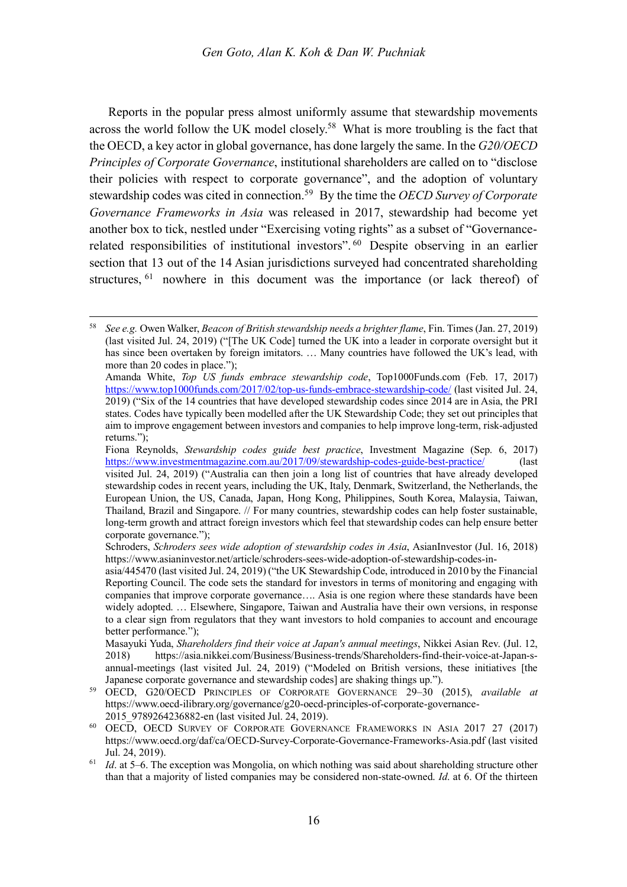Reports in the popular press almost uniformly assume that stewardship movements across the world follow the UK model closely.<sup>58</sup> What is more troubling is the fact that the OECD, a key actor in global governance, has done largely the same. In the *G20/OECD Principles of Corporate Governance*, institutional shareholders are called on to "disclose their policies with respect to corporate governance", and the adoption of voluntary stewardship codes was cited in connection.59 By the time the *OECD Survey of Corporate Governance Frameworks in Asia* was released in 2017, stewardship had become yet another box to tick, nestled under "Exercising voting rights" as a subset of "Governancerelated responsibilities of institutional investors". <sup>60</sup> Despite observing in an earlier section that 13 out of the 14 Asian jurisdictions surveyed had concentrated shareholding structures, <sup>61</sup> nowhere in this document was the importance (or lack thereof) of

 <sup>58</sup> *See e.g.* Owen Walker, *Beacon of British stewardship needs a brighter flame*, Fin. Times (Jan. 27, 2019) (last visited Jul. 24, 2019) ("[The UK Code] turned the UK into a leader in corporate oversight but it has since been overtaken by foreign imitators. ... Many countries have followed the UK's lead, with more than 20 codes in place.");

Amanda White, *Top US funds embrace stewardship code*, Top1000Funds.com (Feb. 17, 2017) https://www.top1000funds.com/2017/02/top-us-funds-embrace-stewardship-code/ (last visited Jul. 24, 2019) ("Six of the 14 countries that have developed stewardship codes since 2014 are in Asia, the PRI states. Codes have typically been modelled after the UK Stewardship Code; they set out principles that aim to improve engagement between investors and companies to help improve long-term, risk-adjusted returns.");

Fiona Reynolds, *Stewardship codes guide best practice*, Investment Magazine (Sep. 6, 2017) https://www.investmentmagazine.com.au/2017/09/stewardship-codes-guide-best-practice/ (last visited Jul. 24, 2019) ("Australia can then join a long list of countries that have already developed stewardship codes in recent years, including the UK, Italy, Denmark, Switzerland, the Netherlands, the European Union, the US, Canada, Japan, Hong Kong, Philippines, South Korea, Malaysia, Taiwan, Thailand, Brazil and Singapore. // For many countries, stewardship codes can help foster sustainable, long-term growth and attract foreign investors which feel that stewardship codes can help ensure better corporate governance.");

Schroders, *Schroders sees wide adoption of stewardship codes in Asia*, AsianInvestor (Jul. 16, 2018) https://www.asianinvestor.net/article/schroders-sees-wide-adoption-of-stewardship-codes-in-

asia/445470 (last visited Jul. 24, 2019) ("the UK Stewardship Code, introduced in 2010 by the Financial Reporting Council. The code sets the standard for investors in terms of monitoring and engaging with companies that improve corporate governance…. Asia is one region where these standards have been widely adopted. … Elsewhere, Singapore, Taiwan and Australia have their own versions, in response to a clear sign from regulators that they want investors to hold companies to account and encourage better performance.");

Masayuki Yuda, *Shareholders find their voice at Japan's annual meetings*, Nikkei Asian Rev. (Jul. 12, 2018) https://asia.nikkei.com/Business/Business-trends/Shareholders-find-their-voice-at-Japan-sannual-meetings (last visited Jul. 24, 2019) ("Modeled on British versions, these initiatives [the Japanese corporate governance and stewardship codes] are shaking things up.").

<sup>59</sup> OECD, G20/OECD PRINCIPLES OF CORPORATE GOVERNANCE 29–30 (2015), *available at* https://www.oecd-ilibrary.org/governance/g20-oecd-principles-of-corporate-governance-2015 9789264236882-en (last visited Jul. 24, 2019).

<sup>60</sup> OECD, OECD SURVEY OF CORPORATE GOVERNANCE FRAMEWORKS IN ASIA 2017 27 (2017) https://www.oecd.org/daf/ca/OECD-Survey-Corporate-Governance-Frameworks-Asia.pdf (last visited Jul. 24, 2019).

<sup>61</sup> *Id*. at 5–6. The exception was Mongolia, on which nothing was said about shareholding structure other than that a majority of listed companies may be considered non-state-owned. *Id*. at 6. Of the thirteen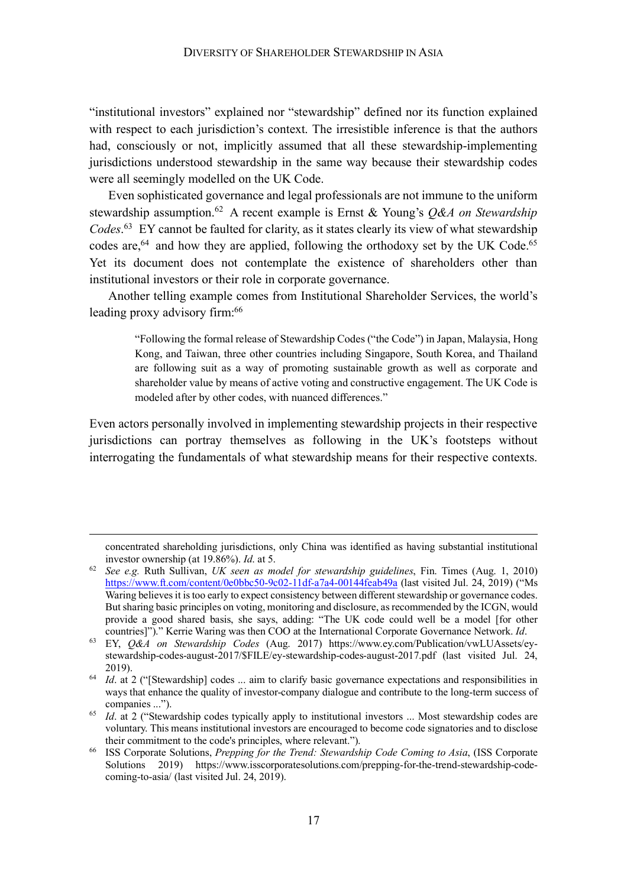"institutional investors" explained nor "stewardship" defined nor its function explained with respect to each jurisdiction's context. The irresistible inference is that the authors had, consciously or not, implicitly assumed that all these stewardship-implementing jurisdictions understood stewardship in the same way because their stewardship codes were all seemingly modelled on the UK Code.

Even sophisticated governance and legal professionals are not immune to the uniform stewardship assumption. <sup>62</sup> A recent example is Ernst & Young's *Q&A on Stewardship Codes*. <sup>63</sup> EY cannot be faulted for clarity, as it states clearly its view of what stewardship codes are,<sup>64</sup> and how they are applied, following the orthodoxy set by the UK Code.<sup>65</sup> Yet its document does not contemplate the existence of shareholders other than institutional investors or their role in corporate governance.

Another telling example comes from Institutional Shareholder Services, the world's leading proxy advisory firm:<sup>66</sup>

"Following the formal release of Stewardship Codes ("the Code") in Japan, Malaysia, Hong Kong, and Taiwan, three other countries including Singapore, South Korea, and Thailand are following suit as a way of promoting sustainable growth as well as corporate and shareholder value by means of active voting and constructive engagement. The UK Code is modeled after by other codes, with nuanced differences."

Even actors personally involved in implementing stewardship projects in their respective jurisdictions can portray themselves as following in the UK's footsteps without interrogating the fundamentals of what stewardship means for their respective contexts.

 $\overline{a}$ 

concentrated shareholding jurisdictions, only China was identified as having substantial institutional investor ownership (at 19.86%). *Id*. at 5.

<sup>62</sup> *See e.g.* Ruth Sullivan, *UK seen as model for stewardship guidelines*, Fin. Times (Aug. 1, 2010) https://www.ft.com/content/0e0bbc50-9c02-11df-a7a4-00144feab49a (last visited Jul. 24, 2019) ("Ms Waring believes it is too early to expect consistency between different stewardship or governance codes. But sharing basic principles on voting, monitoring and disclosure, as recommended by the ICGN, would provide a good shared basis, she says, adding: "The UK code could well be a model [for other countries]")." Kerrie Waring was then COO at the International Corporate Governance Network. *Id*.

<sup>63</sup> EY, *Q&A on Stewardship Codes* (Aug. 2017) https://www.ey.com/Publication/vwLUAssets/eystewardship-codes-august-2017/\$FILE/ey-stewardship-codes-august-2017.pdf (last visited Jul. 24, 2019).

<sup>&</sup>lt;sup>64</sup> *Id.* at 2 ("[Stewardship] codes ... aim to clarify basic governance expectations and responsibilities in ways that enhance the quality of investor-company dialogue and contribute to the long-term success of companies ...").

<sup>&</sup>lt;sup>65</sup> *Id.* at 2 ("Stewardship codes typically apply to institutional investors ... Most stewardship codes are voluntary. This means institutional investors are encouraged to become code signatories and to disclose their commitment to the code's principles, where relevant.").

<sup>66</sup> ISS Corporate Solutions, *Prepping for the Trend: Stewardship Code Coming to Asia*, (ISS Corporate Solutions 2019) https://www.isscorporatesolutions.com/prepping-for-the-trend-stewardship-codecoming-to-asia/ (last visited Jul. 24, 2019).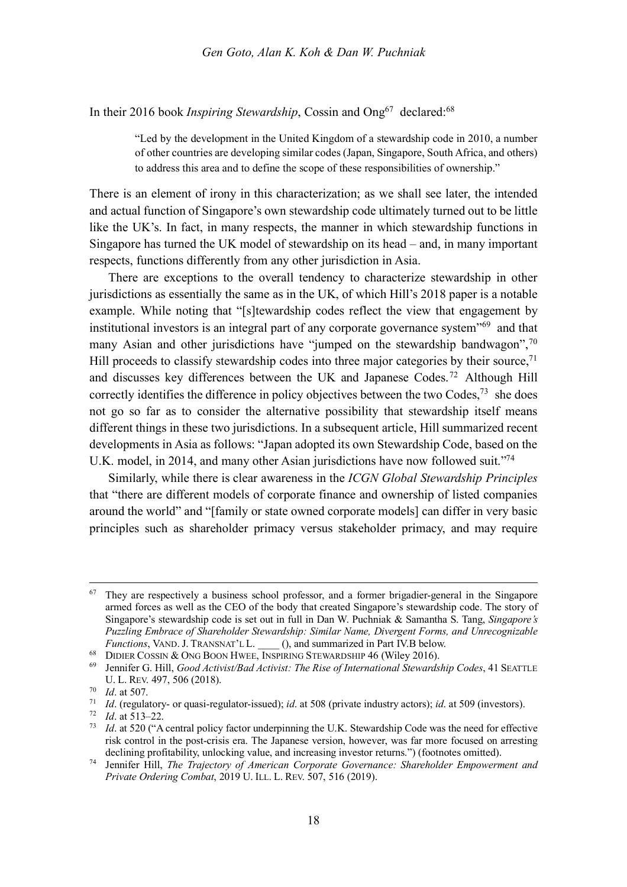In their 2016 book *Inspiring Stewardship*, Cossin and Ong<sup>67</sup> declared:<sup>68</sup>

"Led by the development in the United Kingdom of a stewardship code in 2010, a number of other countries are developing similar codes (Japan, Singapore, South Africa, and others) to address this area and to define the scope of these responsibilities of ownership."

There is an element of irony in this characterization; as we shall see later, the intended and actual function of Singapore's own stewardship code ultimately turned out to be little like the UK's. In fact, in many respects, the manner in which stewardship functions in Singapore has turned the UK model of stewardship on its head – and, in many important respects, functions differently from any other jurisdiction in Asia.

There are exceptions to the overall tendency to characterize stewardship in other jurisdictions as essentially the same as in the UK, of which Hill's 2018 paper is a notable example. While noting that "[s]tewardship codes reflect the view that engagement by institutional investors is an integral part of any corporate governance system<sup>"69</sup> and that many Asian and other jurisdictions have "jumped on the stewardship bandwagon",<sup>70</sup> Hill proceeds to classify stewardship codes into three major categories by their source, $71$ and discusses key differences between the UK and Japanese Codes.72 Although Hill correctly identifies the difference in policy objectives between the two Codes,  $73$  she does not go so far as to consider the alternative possibility that stewardship itself means different things in these two jurisdictions. In a subsequent article, Hill summarized recent developments in Asia as follows: "Japan adopted its own Stewardship Code, based on the U.K. model, in 2014, and many other Asian jurisdictions have now followed suit."74

Similarly, while there is clear awareness in the *ICGN Global Stewardship Principles* that "there are different models of corporate finance and ownership of listed companies around the world" and "[family or state owned corporate models] can differ in very basic principles such as shareholder primacy versus stakeholder primacy, and may require

 $67$  They are respectively a business school professor, and a former brigadier-general in the Singapore armed forces as well as the CEO of the body that created Singapore's stewardship code. The story of Singapore's stewardship code is set out in full in Dan W. Puchniak & Samantha S. Tang, *Singapore's Puzzling Embrace of Shareholder Stewardship: Similar Name, Divergent Forms, and Unrecognizable Functions*, VAND. J. TRANSNAT'L L. \_\_\_\_ (), and summarized in Part IV.B below.

<sup>&</sup>lt;sup>68</sup> DIDIER COSSIN & ONG BOON HWEE, INSPIRING STEWARDSHIP 46 (Wiley 2016).

<sup>69</sup> Jennifer G. Hill, *Good Activist/Bad Activist: The Rise of International Stewardship Codes*, 41 SEATTLE U. L. REV. 497, 506 (2018).

 $\frac{70}{71}$  *Id.* at 507.

<sup>71</sup> *Id*. (regulatory- or quasi-regulator-issued); *id*. at 508 (private industry actors); *id*. at 509 (investors).

*Id.* at 513–22.

<sup>73</sup> *Id*. at 520 ("A central policy factor underpinning the U.K. Stewardship Code was the need for effective risk control in the post-crisis era. The Japanese version, however, was far more focused on arresting declining profitability, unlocking value, and increasing investor returns.") (footnotes omitted).

<sup>74</sup> Jennifer Hill, *The Trajectory of American Corporate Governance: Shareholder Empowerment and Private Ordering Combat*, 2019 U. ILL. L. REV. 507, 516 (2019).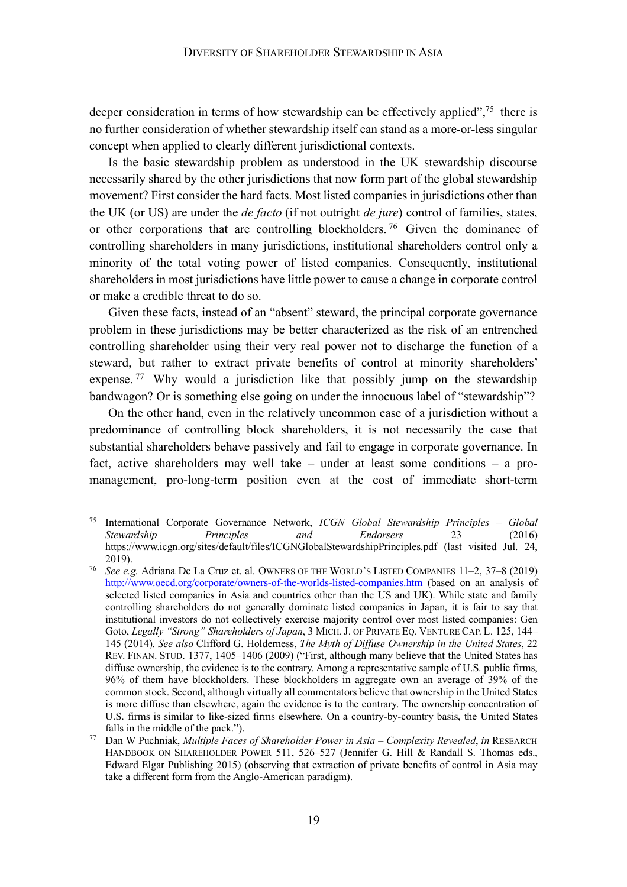deeper consideration in terms of how stewardship can be effectively applied",<sup>75</sup> there is no further consideration of whether stewardship itself can stand as a more-or-less singular concept when applied to clearly different jurisdictional contexts.

Is the basic stewardship problem as understood in the UK stewardship discourse necessarily shared by the other jurisdictions that now form part of the global stewardship movement? First consider the hard facts. Most listed companies in jurisdictions other than the UK (or US) are under the *de facto* (if not outright *de jure*) control of families, states, or other corporations that are controlling blockholders.<sup>76</sup> Given the dominance of controlling shareholders in many jurisdictions, institutional shareholders control only a minority of the total voting power of listed companies. Consequently, institutional shareholders in most jurisdictions have little power to cause a change in corporate control or make a credible threat to do so.

Given these facts, instead of an "absent" steward, the principal corporate governance problem in these jurisdictions may be better characterized as the risk of an entrenched controlling shareholder using their very real power not to discharge the function of a steward, but rather to extract private benefits of control at minority shareholders' expense.<sup>77</sup> Why would a jurisdiction like that possibly jump on the stewardship bandwagon? Or is something else going on under the innocuous label of "stewardship"?

On the other hand, even in the relatively uncommon case of a jurisdiction without a predominance of controlling block shareholders, it is not necessarily the case that substantial shareholders behave passively and fail to engage in corporate governance. In fact, active shareholders may well take – under at least some conditions – a promanagement, pro-long-term position even at the cost of immediate short-term

 <sup>75</sup> International Corporate Governance Network, *ICGN Global Stewardship Principles – Global Stewardship Principles and Endorsers* 23 (2016) https://www.icgn.org/sites/default/files/ICGNGlobalStewardshipPrinciples.pdf (last visited Jul. 24, 2019).

<sup>76</sup> *See e.g.* Adriana De La Cruz et. al. OWNERS OF THE WORLD'S LISTED COMPANIES 11–2, 37–8 (2019) http://www.oecd.org/corporate/owners-of-the-worlds-listed-companies.htm (based on an analysis of selected listed companies in Asia and countries other than the US and UK). While state and family controlling shareholders do not generally dominate listed companies in Japan, it is fair to say that institutional investors do not collectively exercise majority control over most listed companies: Gen Goto, *Legally "Strong" Shareholders of Japan*, 3 MICH.J. OF PRIVATE EQ. VENTURE CAP. L. 125, 144– 145 (2014). *See also* Clifford G. Holderness, *The Myth of Diffuse Ownership in the United States*, 22 REV. FINAN. STUD. 1377, 1405–1406 (2009) ("First, although many believe that the United States has diffuse ownership, the evidence is to the contrary. Among a representative sample of U.S. public firms, 96% of them have blockholders. These blockholders in aggregate own an average of 39% of the common stock. Second, although virtually all commentators believe that ownership in the United States is more diffuse than elsewhere, again the evidence is to the contrary. The ownership concentration of U.S. firms is similar to like-sized firms elsewhere. On a country-by-country basis, the United States falls in the middle of the pack.").

<sup>77</sup> Dan W Puchniak, *Multiple Faces of Shareholder Power in Asia – Complexity Revealed*, *in* RESEARCH HANDBOOK ON SHAREHOLDER POWER 511, 526–527 (Jennifer G. Hill & Randall S. Thomas eds., Edward Elgar Publishing 2015) (observing that extraction of private benefits of control in Asia may take a different form from the Anglo-American paradigm).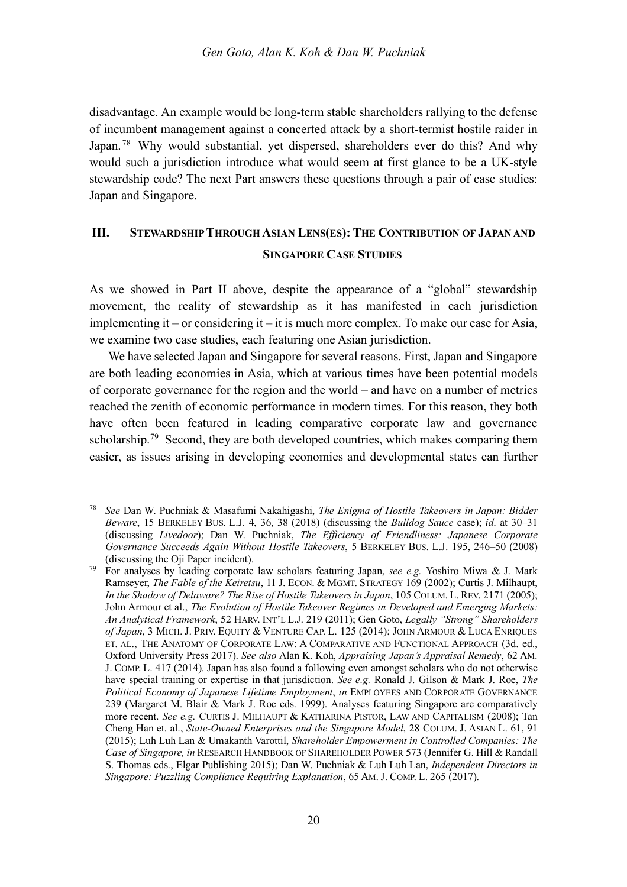disadvantage. An example would be long-term stable shareholders rallying to the defense of incumbent management against a concerted attack by a short-termist hostile raider in Japan.<sup>78</sup> Why would substantial, yet dispersed, shareholders ever do this? And why would such a jurisdiction introduce what would seem at first glance to be a UK-style stewardship code? The next Part answers these questions through a pair of case studies: Japan and Singapore.

### **III. STEWARDSHIP THROUGH ASIAN LENS(ES): THE CONTRIBUTION OF JAPAN AND SINGAPORE CASE STUDIES**

As we showed in Part II above, despite the appearance of a "global" stewardship movement, the reality of stewardship as it has manifested in each jurisdiction implementing it – or considering it – it is much more complex. To make our case for Asia, we examine two case studies, each featuring one Asian jurisdiction.

We have selected Japan and Singapore for several reasons. First, Japan and Singapore are both leading economies in Asia, which at various times have been potential models of corporate governance for the region and the world – and have on a number of metrics reached the zenith of economic performance in modern times. For this reason, they both have often been featured in leading comparative corporate law and governance scholarship.<sup>79</sup> Second, they are both developed countries, which makes comparing them easier, as issues arising in developing economies and developmental states can further

 <sup>78</sup> *See* Dan W. Puchniak & Masafumi Nakahigashi, *The Enigma of Hostile Takeovers in Japan: Bidder Beware*, 15 BERKELEY BUS. L.J. 4, 36, 38 (2018) (discussing the *Bulldog Sauce* case); *id*. at 30–31 (discussing *Livedoor*); Dan W. Puchniak, *The Efficiency of Friendliness: Japanese Corporate Governance Succeeds Again Without Hostile Takeovers*, 5 BERKELEY BUS. L.J. 195, 246–50 (2008) (discussing the Oji Paper incident).

<sup>79</sup> For analyses by leading corporate law scholars featuring Japan, *see e.g.* Yoshiro Miwa & J. Mark Ramseyer, *The Fable of the Keiretsu*, 11 J. ECON. & MGMT. STRATEGY 169 (2002); Curtis J. Milhaupt, *In the Shadow of Delaware? The Rise of Hostile Takeovers in Japan*, 105 COLUM. L. REV. 2171 (2005); John Armour et al., *The Evolution of Hostile Takeover Regimes in Developed and Emerging Markets: An Analytical Framework*, 52 HARV. INT'L L.J. 219 (2011); Gen Goto, *Legally "Strong" Shareholders of Japan*, 3 MICH. J. PRIV. EQUITY & VENTURE CAP. L. 125 (2014); JOHN ARMOUR & LUCA ENRIQUES ET. AL., THE ANATOMY OF CORPORATE LAW: A COMPARATIVE AND FUNCTIONAL APPROACH (3d. ed., Oxford University Press 2017). *See also* Alan K. Koh, *Appraising Japan's Appraisal Remedy*, 62 AM. J. COMP. L. 417 (2014). Japan has also found a following even amongst scholars who do not otherwise have special training or expertise in that jurisdiction. *See e.g.* Ronald J. Gilson & Mark J. Roe, *The Political Economy of Japanese Lifetime Employment*, *in* EMPLOYEES AND CORPORATE GOVERNANCE 239 (Margaret M. Blair & Mark J. Roe eds. 1999). Analyses featuring Singapore are comparatively more recent. *See e.g.* CURTIS J. MILHAUPT & KATHARINA PISTOR, LAW AND CAPITALISM (2008); Tan Cheng Han et. al., *State-Owned Enterprises and the Singapore Model*, 28 COLUM. J. ASIAN L. 61, 91 (2015); Luh Luh Lan & Umakanth Varottil, *Shareholder Empowerment in Controlled Companies: The Case of Singapore, in* RESEARCH HANDBOOK OF SHAREHOLDER POWER 573 (Jennifer G. Hill & Randall S. Thomas eds., Elgar Publishing 2015); Dan W. Puchniak & Luh Luh Lan, *Independent Directors in Singapore: Puzzling Compliance Requiring Explanation*, 65 AM. J. COMP. L. 265 (2017).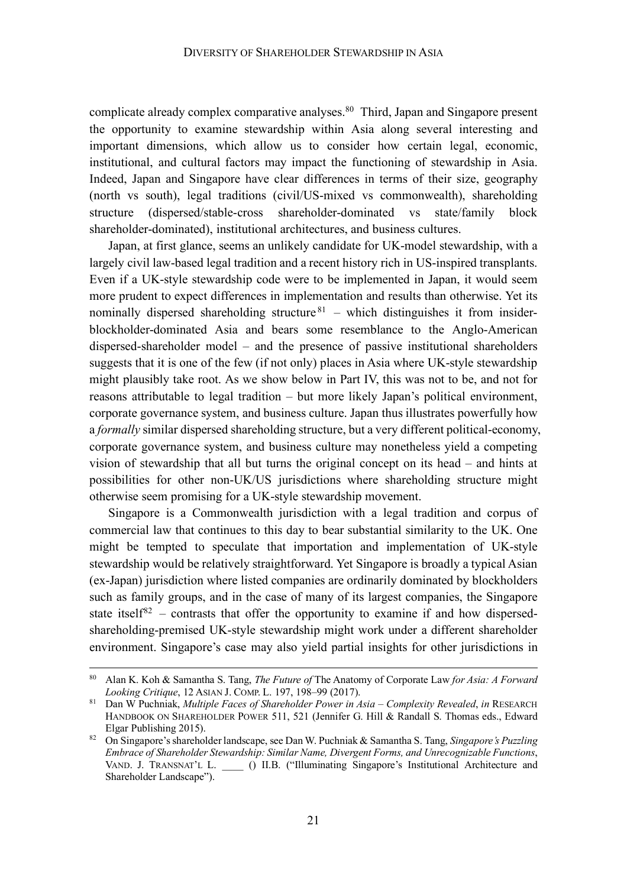complicate already complex comparative analyses.<sup>80</sup> Third, Japan and Singapore present the opportunity to examine stewardship within Asia along several interesting and important dimensions, which allow us to consider how certain legal, economic, institutional, and cultural factors may impact the functioning of stewardship in Asia. Indeed, Japan and Singapore have clear differences in terms of their size, geography (north vs south), legal traditions (civil/US-mixed vs commonwealth), shareholding structure (dispersed/stable-cross shareholder-dominated vs state/family block shareholder-dominated), institutional architectures, and business cultures.

Japan, at first glance, seems an unlikely candidate for UK-model stewardship, with a largely civil law-based legal tradition and a recent history rich in US-inspired transplants. Even if a UK-style stewardship code were to be implemented in Japan, it would seem more prudent to expect differences in implementation and results than otherwise. Yet its nominally dispersed shareholding structure  $81$  – which distinguishes it from insiderblockholder-dominated Asia and bears some resemblance to the Anglo-American dispersed-shareholder model – and the presence of passive institutional shareholders suggests that it is one of the few (if not only) places in Asia where UK-style stewardship might plausibly take root. As we show below in Part IV, this was not to be, and not for reasons attributable to legal tradition – but more likely Japan's political environment, corporate governance system, and business culture. Japan thus illustrates powerfully how a *formally* similar dispersed shareholding structure, but a very different political-economy, corporate governance system, and business culture may nonetheless yield a competing vision of stewardship that all but turns the original concept on its head – and hints at possibilities for other non-UK/US jurisdictions where shareholding structure might otherwise seem promising for a UK-style stewardship movement.

Singapore is a Commonwealth jurisdiction with a legal tradition and corpus of commercial law that continues to this day to bear substantial similarity to the UK. One might be tempted to speculate that importation and implementation of UK-style stewardship would be relatively straightforward. Yet Singapore is broadly a typical Asian (ex-Japan) jurisdiction where listed companies are ordinarily dominated by blockholders such as family groups, and in the case of many of its largest companies, the Singapore state itself<sup>82</sup> – contrasts that offer the opportunity to examine if and how dispersedshareholding-premised UK-style stewardship might work under a different shareholder environment. Singapore's case may also yield partial insights for other jurisdictions in

 <sup>80</sup> Alan K. Koh & Samantha S. Tang, *The Future of* The Anatomy of Corporate Law *for Asia: A Forward Looking Critique*, 12 ASIAN J. COMP. L. 197, 198–99 (2017). 81 Dan W Puchniak, *Multiple Faces of Shareholder Power in Asia – Complexity Revealed*, *in* RESEARCH

HANDBOOK ON SHAREHOLDER POWER 511, 521 (Jennifer G. Hill & Randall S. Thomas eds., Edward Elgar Publishing 2015). 82 On Singapore's shareholder landscape, see Dan W. Puchniak & Samantha S. Tang, *Singapore's Puzzling* 

*Embrace of Shareholder Stewardship: Similar Name, Divergent Forms, and Unrecognizable Functions*, VAND. J. TRANSNAT'L L. \_\_\_\_ () II.B. ("Illuminating Singapore's Institutional Architecture and Shareholder Landscape").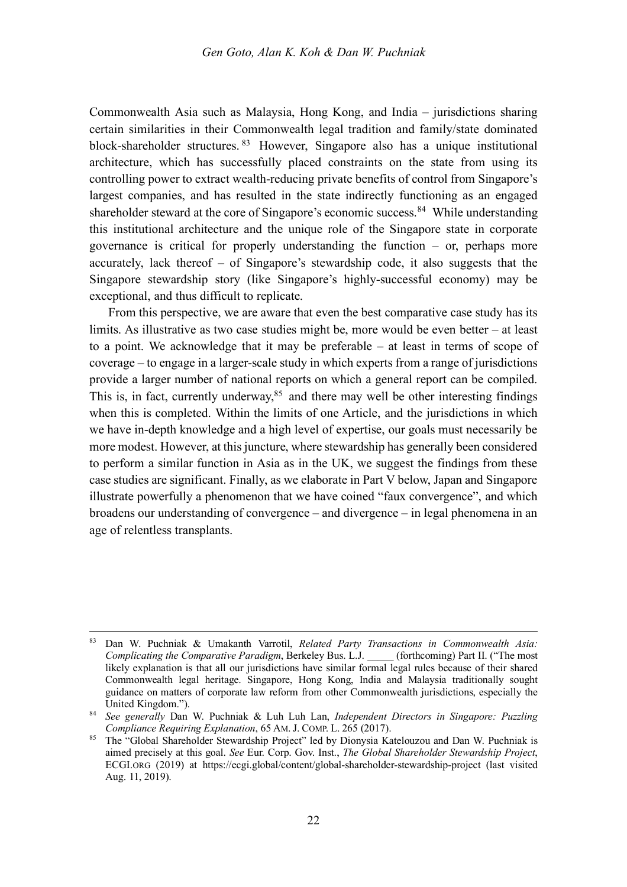Commonwealth Asia such as Malaysia, Hong Kong, and India – jurisdictions sharing certain similarities in their Commonwealth legal tradition and family/state dominated block-shareholder structures. <sup>83</sup> However, Singapore also has a unique institutional architecture, which has successfully placed constraints on the state from using its controlling power to extract wealth-reducing private benefits of control from Singapore's largest companies, and has resulted in the state indirectly functioning as an engaged shareholder steward at the core of Singapore's economic success.<sup>84</sup> While understanding this institutional architecture and the unique role of the Singapore state in corporate governance is critical for properly understanding the function – or, perhaps more accurately, lack thereof – of Singapore's stewardship code, it also suggests that the Singapore stewardship story (like Singapore's highly-successful economy) may be exceptional, and thus difficult to replicate.

From this perspective, we are aware that even the best comparative case study has its limits. As illustrative as two case studies might be, more would be even better – at least to a point. We acknowledge that it may be preferable – at least in terms of scope of coverage – to engage in a larger-scale study in which experts from a range of jurisdictions provide a larger number of national reports on which a general report can be compiled. This is, in fact, currently underway, $85$  and there may well be other interesting findings when this is completed. Within the limits of one Article, and the jurisdictions in which we have in-depth knowledge and a high level of expertise, our goals must necessarily be more modest. However, at this juncture, where stewardship has generally been considered to perform a similar function in Asia as in the UK, we suggest the findings from these case studies are significant. Finally, as we elaborate in Part V below, Japan and Singapore illustrate powerfully a phenomenon that we have coined "faux convergence", and which broadens our understanding of convergence – and divergence – in legal phenomena in an age of relentless transplants.

 <sup>83</sup> Dan W. Puchniak & Umakanth Varrotil, *Related Party Transactions in Commonwealth Asia: Complicating the Comparative Paradigm*, Berkeley Bus. L.J. \_\_\_\_\_ (forthcoming) Part II. ("The most likely explanation is that all our jurisdictions have similar formal legal rules because of their shared Commonwealth legal heritage. Singapore, Hong Kong, India and Malaysia traditionally sought guidance on matters of corporate law reform from other Commonwealth jurisdictions, especially the United Kingdom.").

<sup>84</sup> *See generally* Dan W. Puchniak & Luh Luh Lan, *Independent Directors in Singapore: Puzzling Compliance Requiring Explanation*, 65 AM. J. COMP. L. 265 (2017).

<sup>85</sup> The "Global Shareholder Stewardship Project" led by Dionysia Katelouzou and Dan W. Puchniak is aimed precisely at this goal. *See* Eur. Corp. Gov. Inst., *The Global Shareholder Stewardship Project*, ECGI.ORG (2019) at https://ecgi.global/content/global-shareholder-stewardship-project (last visited Aug. 11, 2019).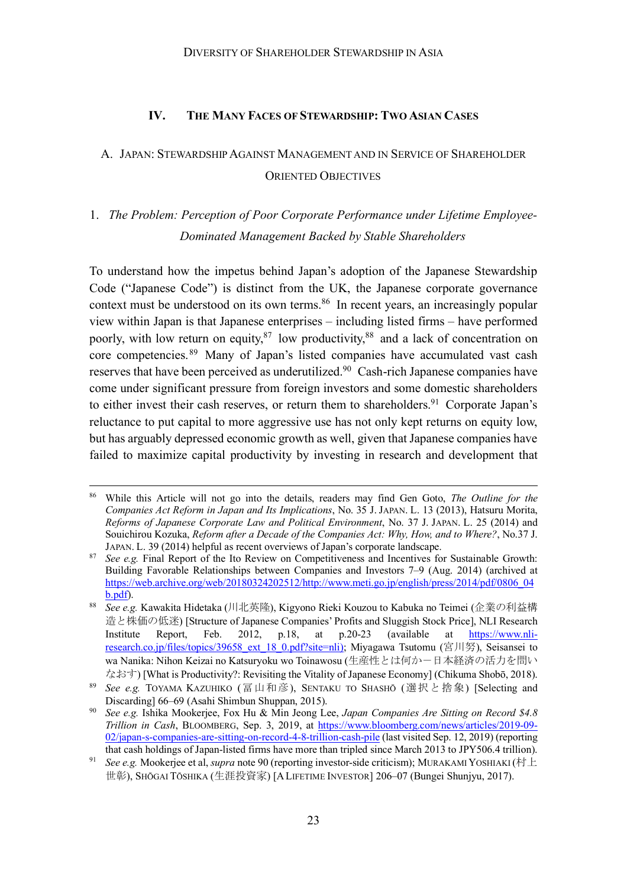#### **IV. THE MANY FACES OF STEWARDSHIP: TWO ASIAN CASES**

### A. JAPAN: STEWARDSHIP AGAINST MANAGEMENT AND IN SERVICE OF SHAREHOLDER ORIENTED OBJECTIVES

# 1. *The Problem: Perception of Poor Corporate Performance under Lifetime Employee-Dominated Management Backed by Stable Shareholders*

To understand how the impetus behind Japan's adoption of the Japanese Stewardship Code ("Japanese Code") is distinct from the UK, the Japanese corporate governance context must be understood on its own terms.<sup>86</sup> In recent years, an increasingly popular view within Japan is that Japanese enterprises – including listed firms – have performed poorly, with low return on equity,<sup>87</sup> low productivity,<sup>88</sup> and a lack of concentration on core competencies.<sup>89</sup> Many of Japan's listed companies have accumulated vast cash reserves that have been perceived as underutilized.<sup>90</sup> Cash-rich Japanese companies have come under significant pressure from foreign investors and some domestic shareholders to either invest their cash reserves, or return them to shareholders.<sup>91</sup> Corporate Japan's reluctance to put capital to more aggressive use has not only kept returns on equity low, but has arguably depressed economic growth as well, given that Japanese companies have failed to maximize capital productivity by investing in research and development that

 <sup>86</sup> While this Article will not go into the details, readers may find Gen Goto, *The Outline for the Companies Act Reform in Japan and Its Implications*, No. 35 J. JAPAN. L. 13 (2013), Hatsuru Morita, *Reforms of Japanese Corporate Law and Political Environment*, No. 37 J. JAPAN. L. 25 (2014) and Souichirou Kozuka, *Reform after a Decade of the Companies Act: Why, How, and to Where?*, No.37 J.

JAPAN. L. 39 (2014) helpful as recent overviews of Japan's corporate landscape. 87 *See e.g.* Final Report of the Ito Review on Competitiveness and Incentives for Sustainable Growth: Building Favorable Relationships between Companies and Investors 7–9 (Aug. 2014) (archived at https://web.archive.org/web/20180324202512/http://www.meti.go.jp/english/press/2014/pdf/0806\_04 b.pdf).

<sup>88</sup> *See e.g.* Kawakita Hidetaka (川北英隆), Kigyono Rieki Kouzou to Kabuka no Teimei (企業の利益構 造と株価の低迷) [Structure of Japanese Companies' Profits and Sluggish Stock Price], NLI Research Institute Report, Feb. 2012, p.18, at p.20-23 (available at https://www.nliresearch.co.jp/files/topics/39658\_ext\_18\_0.pdf?site=nli); Miyagawa Tsutomu (宮川努), Seisansei to wa Nanika: Nihon Keizai no Katsuryoku wo Toinawosu (生産性とは何かー日本経済の活力を問い ) [What is Productivity?: Revisiting the Vitality of Japanese Economy] (Chikuma Shobō, 2018).

<sup>89</sup> *See e.g.* TOYAMA KAZUHIKO (冨山和彦), SENTAKU TO SHASHŌ (選択と捨象) [Selecting and Discarding] 66–69 (Asahi Shimbun Shuppan, 2015).

<sup>90</sup> *See e.g.* Ishika Mookerjee, Fox Hu & Min Jeong Lee, *Japan Companies Are Sitting on Record \$4.8 Trillion in Cash*, BLOOMBERG, Sep. 3, 2019, at https://www.bloomberg.com/news/articles/2019-09- 02/japan-s-companies-are-sitting-on-record-4-8-trillion-cash-pile (last visited Sep. 12, 2019) (reporting that cash holdings of Japan-listed firms have more than tripled since March 2013 to JPY506.4 trillion).

<sup>&</sup>lt;sup>91</sup> *See e.g.* Mookerjee et al, *supra* note 90 (reporting investor-side criticism); MURAKAMI YOSHIAKI (村上 世彰), SHŌGAI TŌSHIKA (生涯投資家) [A LIFETIME INVESTOR] 206–07 (Bungei Shunjyu, 2017).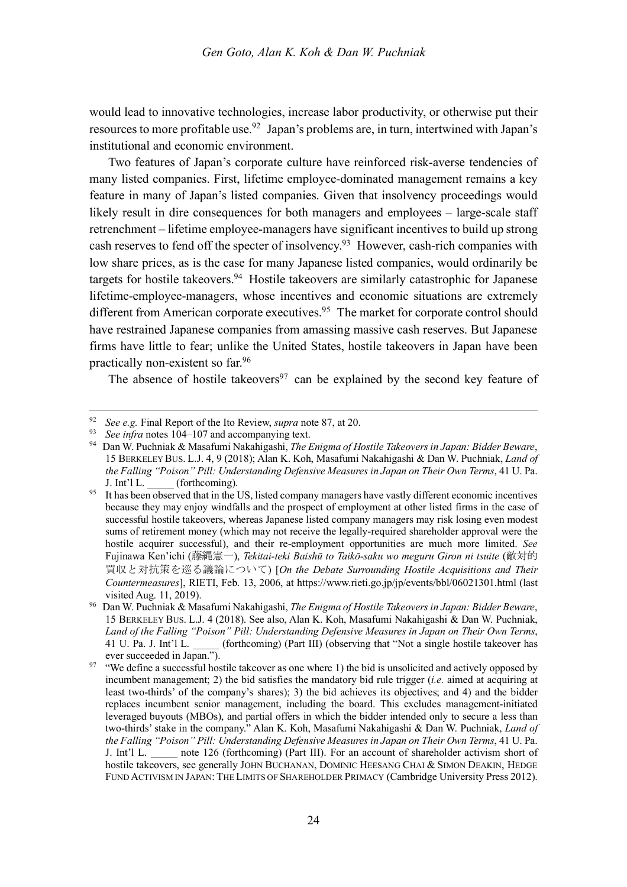would lead to innovative technologies, increase labor productivity, or otherwise put their resources to more profitable use.92 Japan's problems are, in turn, intertwined with Japan's institutional and economic environment.

Two features of Japan's corporate culture have reinforced risk-averse tendencies of many listed companies. First, lifetime employee-dominated management remains a key feature in many of Japan's listed companies. Given that insolvency proceedings would likely result in dire consequences for both managers and employees – large-scale staff retrenchment – lifetime employee-managers have significant incentives to build up strong cash reserves to fend off the specter of insolvency.93 However, cash-rich companies with low share prices, as is the case for many Japanese listed companies, would ordinarily be targets for hostile takeovers.94 Hostile takeovers are similarly catastrophic for Japanese lifetime-employee-managers, whose incentives and economic situations are extremely different from American corporate executives.<sup>95</sup> The market for corporate control should have restrained Japanese companies from amassing massive cash reserves. But Japanese firms have little to fear; unlike the United States, hostile takeovers in Japan have been practically non-existent so far. 96

The absence of hostile takeovers<sup>97</sup> can be explained by the second key feature of

<sup>&</sup>lt;sup>92</sup> *See e.g.* Final Report of the Ito Review, *supra* note 87, at 20.<br><sup>93</sup> *See infra* notes 104–107 and accompanying text.

<sup>&</sup>lt;sup>94</sup> Dan W. Puchniak & Masafumi Nakahigashi, *The Enigma of Hostile Takeovers in Japan: Bidder Beware*, 15 BERKELEY BUS. L.J. 4, 9 (2018); Alan K. Koh, Masafumi Nakahigashi & Dan W. Puchniak, *Land of the Falling "Poison" Pill: Understanding Defensive Measures in Japan on Their Own Terms*, 41 U. Pa. J. Int'l L. (forthcoming).

<sup>&</sup>lt;sup>95</sup> It has been observed that in the US, listed company managers have vastly different economic incentives because they may enjoy windfalls and the prospect of employment at other listed firms in the case of successful hostile takeovers, whereas Japanese listed company managers may risk losing even modest sums of retirement money (which may not receive the legally-required shareholder approval were the hostile acquirer successful), and their re-employment opportunities are much more limited. *See* Fujinawa Ken'ichi (藤縄憲一), *Tekitai-teki Baishū to Taikō-saku wo meguru Giron ni tsuite* (敵対的 買収と対抗策を巡る議論について) [*On the Debate Surrounding Hostile Acquisitions and Their Countermeasures*], RIETI, Feb. 13, 2006, at https://www.rieti.go.jp/jp/events/bbl/06021301.html (last visited Aug. 11, 2019).

<sup>96</sup> Dan W. Puchniak & Masafumi Nakahigashi, *The Enigma of Hostile Takeovers in Japan: Bidder Beware*, 15 BERKELEY BUS. L.J. 4 (2018). See also, Alan K. Koh, Masafumi Nakahigashi & Dan W. Puchniak, *Land of the Falling "Poison" Pill: Understanding Defensive Measures in Japan on Their Own Terms*, 41 U. Pa. J. Int'l L. \_\_\_\_\_ (forthcoming) (Part III) (observing that "Not a single hostile takeover has ever succeeded in Japan.").

 $97$  "We define a successful hostile takeover as one where 1) the bid is unsolicited and actively opposed by incumbent management; 2) the bid satisfies the mandatory bid rule trigger (*i.e.* aimed at acquiring at least two-thirds' of the company's shares); 3) the bid achieves its objectives; and 4) and the bidder replaces incumbent senior management, including the board. This excludes management-initiated leveraged buyouts (MBOs), and partial offers in which the bidder intended only to secure a less than two-thirds' stake in the company." Alan K. Koh, Masafumi Nakahigashi & Dan W. Puchniak, *Land of the Falling "Poison" Pill: Understanding Defensive Measures in Japan on Their Own Terms*, 41 U. Pa. J. Int'l L. \_\_\_\_\_ note 126 (forthcoming) (Part III). For an account of shareholder activism short of hostile takeovers, see generally JOHN BUCHANAN, DOMINIC HEESANG CHAI & SIMON DEAKIN, HEDGE FUND ACTIVISM IN JAPAN: THE LIMITS OF SHAREHOLDER PRIMACY (Cambridge University Press 2012).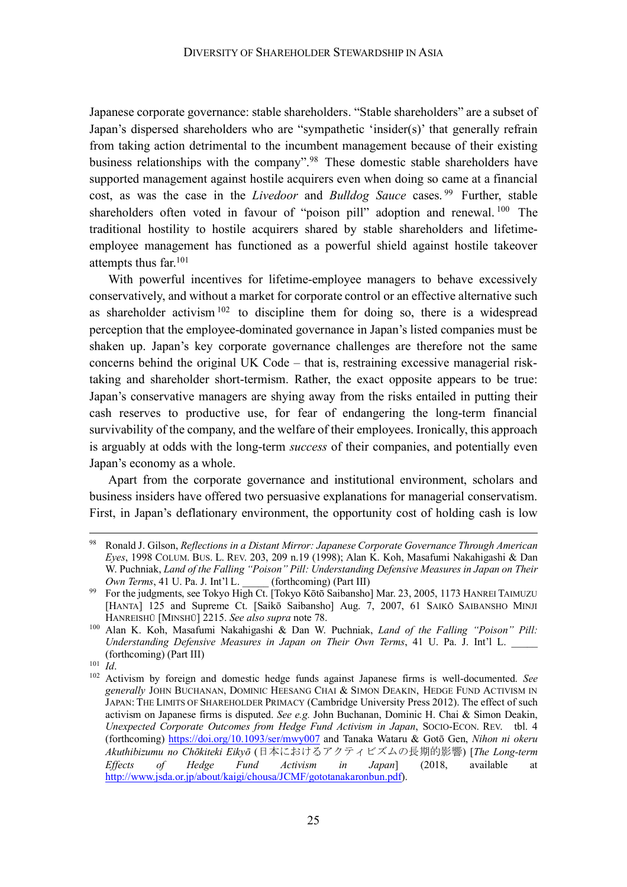Japanese corporate governance: stable shareholders. "Stable shareholders" are a subset of Japan's dispersed shareholders who are "sympathetic 'insider(s)' that generally refrain from taking action detrimental to the incumbent management because of their existing business relationships with the company".98 These domestic stable shareholders have supported management against hostile acquirers even when doing so came at a financial cost, as was the case in the *Livedoor* and *Bulldog Sauce* cases. <sup>99</sup> Further, stable shareholders often voted in favour of "poison pill" adoption and renewal.<sup>100</sup> The traditional hostility to hostile acquirers shared by stable shareholders and lifetimeemployee management has functioned as a powerful shield against hostile takeover attempts thus far.101

With powerful incentives for lifetime-employee managers to behave excessively conservatively, and without a market for corporate control or an effective alternative such as shareholder activism  $102$  to discipline them for doing so, there is a widespread perception that the employee-dominated governance in Japan's listed companies must be shaken up. Japan's key corporate governance challenges are therefore not the same concerns behind the original UK Code – that is, restraining excessive managerial risktaking and shareholder short-termism. Rather, the exact opposite appears to be true: Japan's conservative managers are shying away from the risks entailed in putting their cash reserves to productive use, for fear of endangering the long-term financial survivability of the company, and the welfare of their employees. Ironically, this approach is arguably at odds with the long-term *success* of their companies, and potentially even Japan's economy as a whole.

Apart from the corporate governance and institutional environment, scholars and business insiders have offered two persuasive explanations for managerial conservatism. First, in Japan's deflationary environment, the opportunity cost of holding cash is low

 <sup>98</sup> Ronald J. Gilson, *Reflections in a Distant Mirror: Japanese Corporate Governance Through American Eyes*, 1998 COLUM. BUS. L. REV. 203, 209 n.19 (1998); Alan K. Koh, Masafumi Nakahigashi & Dan W. Puchniak, *Land of the Falling "Poison" Pill: Understanding Defensive Measures in Japan on Their Own Terms*, 41 U. Pa. J. Int'l L. (forthcoming) (Part III)<br><sup>99</sup> For the judgments, see Tokyo High Ct. [Tokyo Kōtō Saibansho] Mar. 23, 2005, 1173 HANREI TAIMUZU

<sup>[</sup>HANTA] 125 and Supreme Ct. [Saikō Saibansho] Aug. 7, 2007, 61 SAIKŌ SAIBANSHO MINJI HANREISHŪ [MINSHŪ] 2215. *See also supra* note 78.

<sup>100</sup> Alan K. Koh, Masafumi Nakahigashi & Dan W. Puchniak, *Land of the Falling "Poison" Pill: Understanding Defensive Measures in Japan on Their Own Terms*, 41 U. Pa. J. Int'l L. \_\_\_\_\_ (forthcoming) (Part III)

<sup>101</sup> *Id*.

<sup>102</sup> Activism by foreign and domestic hedge funds against Japanese firms is well-documented. *See generally* JOHN BUCHANAN, DOMINIC HEESANG CHAI & SIMON DEAKIN, HEDGE FUND ACTIVISM IN JAPAN: THE LIMITS OF SHAREHOLDER PRIMACY (Cambridge University Press 2012). The effect of such activism on Japanese firms is disputed. *See e.g.* John Buchanan, Dominic H. Chai & Simon Deakin, *Unexpected Corporate Outcomes from Hedge Fund Activism in Japan*, SOCIO-ECON. REV. tbl. 4 (forthcoming) https://doi.org/10.1093/ser/mwy007 and Tanaka Wataru & Gotō Gen, *Nihon ni okeru*  Akuthibizumu no Chōkiteki Eikyō (日本におけるアクティビズムの長期的影響) [The Long-term *Effects of Hedge Fund Activism in Japan*] (2018, available at http://www.jsda.or.jp/about/kaigi/chousa/JCMF/gototanakaronbun.pdf).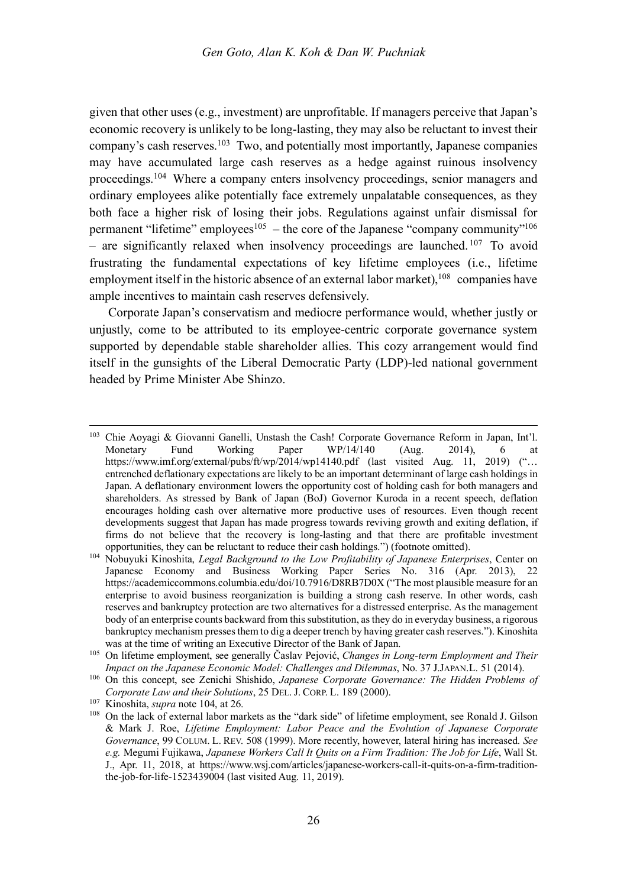given that other uses (e.g., investment) are unprofitable. If managers perceive that Japan's economic recovery is unlikely to be long-lasting, they may also be reluctant to invest their company's cash reserves.103 Two, and potentially most importantly, Japanese companies may have accumulated large cash reserves as a hedge against ruinous insolvency proceedings.104 Where a company enters insolvency proceedings, senior managers and ordinary employees alike potentially face extremely unpalatable consequences, as they both face a higher risk of losing their jobs. Regulations against unfair dismissal for permanent "lifetime" employees<sup>105</sup> – the core of the Japanese "company community"<sup>106</sup> – are significantly relaxed when insolvency proceedings are launched.  $107$  To avoid frustrating the fundamental expectations of key lifetime employees (i.e., lifetime employment itself in the historic absence of an external labor market),<sup>108</sup> companies have ample incentives to maintain cash reserves defensively.

Corporate Japan's conservatism and mediocre performance would, whether justly or unjustly, come to be attributed to its employee-centric corporate governance system supported by dependable stable shareholder allies. This cozy arrangement would find itself in the gunsights of the Liberal Democratic Party (LDP)-led national government headed by Prime Minister Abe Shinzo.

 <sup>103</sup> Chie Aoyagi & Giovanni Ganelli, Unstash the Cash! Corporate Governance Reform in Japan, Int'l. Monetary Fund Working Paper WP/14/140 (Aug. 2014), 6 at https://www.imf.org/external/pubs/ft/wp/2014/wp14140.pdf (last visited Aug. 11, 2019) ("... entrenched deflationary expectations are likely to be an important determinant of large cash holdings in Japan. A deflationary environment lowers the opportunity cost of holding cash for both managers and shareholders. As stressed by Bank of Japan (BoJ) Governor Kuroda in a recent speech, deflation encourages holding cash over alternative more productive uses of resources. Even though recent developments suggest that Japan has made progress towards reviving growth and exiting deflation, if firms do not believe that the recovery is long-lasting and that there are profitable investment opportunities, they can be reluctant to reduce their cash holdings.") (footnote omitted).

<sup>104</sup> Nobuyuki Kinoshita, *Legal Background to the Low Profitability of Japanese Enterprises*, Center on Japanese Economy and Business Working Paper Series No. 316 (Apr. 2013), 22 https://academiccommons.columbia.edu/doi/10.7916/D8RB7D0X ("The most plausible measure for an enterprise to avoid business reorganization is building a strong cash reserve. In other words, cash reserves and bankruptcy protection are two alternatives for a distressed enterprise. As the management body of an enterprise counts backward from this substitution, as they do in everyday business, a rigorous bankruptcy mechanism presses them to dig a deeper trench by having greater cash reserves."). Kinoshita was at the time of writing an Executive Director of the Bank of Japan.

<sup>105</sup> On lifetime employment, see generally Časlav Pejović, *Changes in Long-term Employment and Their Impact on the Japanese Economic Model: Challenges and Dilemmas*, No. 37 J.JAPAN.L. 51 (2014).

<sup>106</sup> On this concept, see Zenichi Shishido, *Japanese Corporate Governance: The Hidden Problems of Corporate Law and their Solutions*, 25 DEL. J. CORP. L. 189 (2000). 107 Kinoshita, *supra* note 104, at 26.

<sup>&</sup>lt;sup>108</sup> On the lack of external labor markets as the "dark side" of lifetime employment, see Ronald J. Gilson & Mark J. Roe, *Lifetime Employment: Labor Peace and the Evolution of Japanese Corporate Governance*, 99 COLUM. L. REV. 508 (1999). More recently, however, lateral hiring has increased. *See e.g.* Megumi Fujikawa, *Japanese Workers Call It Quits on a Firm Tradition: The Job for Life*, Wall St. J., Apr. 11, 2018, at https://www.wsj.com/articles/japanese-workers-call-it-quits-on-a-firm-traditionthe-job-for-life-1523439004 (last visited Aug. 11, 2019).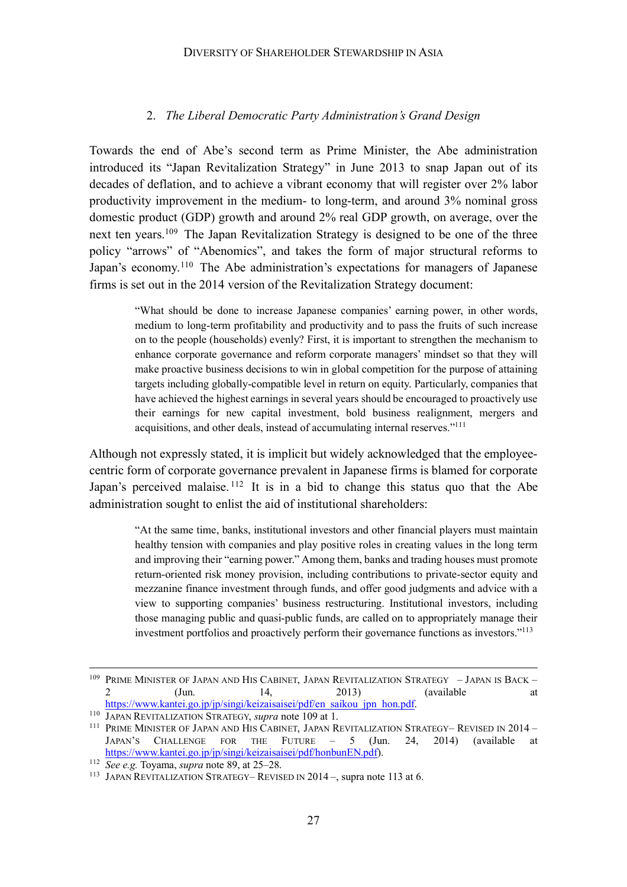#### DIVERSITY OF SHAREHOLDER STEWARDSHIP IN ASIA

#### 2. *The Liberal Democratic Party Administration's Grand Design*

Towards the end of Abe's second term as Prime Minister, the Abe administration introduced its "Japan Revitalization Strategy" in June 2013 to snap Japan out of its decades of deflation, and to achieve a vibrant economy that will register over 2% labor productivity improvement in the medium- to long-term, and around 3% nominal gross domestic product (GDP) growth and around 2% real GDP growth, on average, over the next ten years. <sup>109</sup> The Japan Revitalization Strategy is designed to be one of the three policy "arrows" of "Abenomics", and takes the form of major structural reforms to Japan's economy.<sup>110</sup> The Abe administration's expectations for managers of Japanese firms is set out in the 2014 version of the Revitalization Strategy document:

"What should be done to increase Japanese companies' earning power, in other words, medium to long-term profitability and productivity and to pass the fruits of such increase on to the people (households) evenly? First, it is important to strengthen the mechanism to enhance corporate governance and reform corporate managers' mindset so that they will make proactive business decisions to win in global competition for the purpose of attaining targets including globally-compatible level in return on equity. Particularly, companies that have achieved the highest earnings in several years should be encouraged to proactively use their earnings for new capital investment, bold business realignment, mergers and acquisitions, and other deals, instead of accumulating internal reserves."111

Although not expressly stated, it is implicit but widely acknowledged that the employeecentric form of corporate governance prevalent in Japanese firms is blamed for corporate Japan's perceived malaise.  $112$  It is in a bid to change this status quo that the Abe administration sought to enlist the aid of institutional shareholders:

"At the same time, banks, institutional investors and other financial players must maintain healthy tension with companies and play positive roles in creating values in the long term and improving their "earning power." Among them, banks and trading houses must promote return-oriented risk money provision, including contributions to private-sector equity and mezzanine finance investment through funds, and offer good judgments and advice with a view to supporting companies' business restructuring. Institutional investors, including those managing public and quasi-public funds, are called on to appropriately manage their investment portfolios and proactively perform their governance functions as investors."113

<sup>&</sup>lt;sup>109</sup> PRIME MINISTER OF JAPAN AND HIS CABINET, JAPAN REVITALIZATION STRATEGY - JAPAN IS BACK -2  $(Jun. 14, 2013)$  (available at https://www.kantei.go.jp/jp/singi/keizaisaisei/pdf/en\_saikou\_jpn\_hon.pdf.

<sup>110</sup> JAPAN REVITALIZATION STRATEGY, *supra* note 109 at 1.

<sup>&</sup>lt;sup>111</sup> PRIME MINISTER OF JAPAN AND HIS CABINET, JAPAN REVITALIZATION STRATEGY- REVISED IN 2014 -JAPAN'S CHALLENGE FOR THE FUTURE – 5 (Jun. 24, 2014) (available at https://www.kantei.go.jp/jp/singi/keizaisaisei/pdf/honbunEN.pdf).

<sup>112</sup> *See e.g.* Toyama, *supra* note 89, at 25–28.

<sup>113</sup> JAPAN REVITALIZATION STRATEGY– REVISED IN 2014 –, supra note 113 at 6.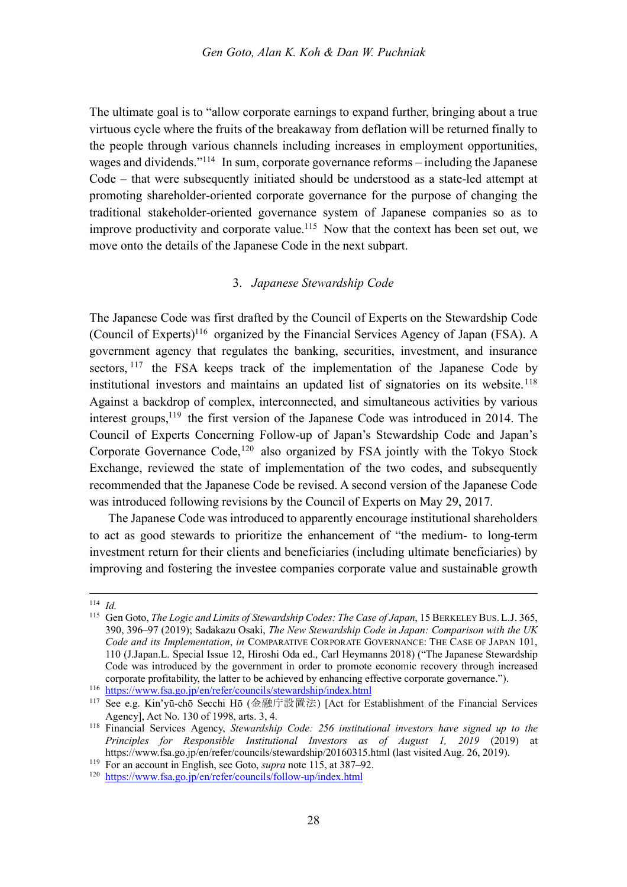The ultimate goal is to "allow corporate earnings to expand further, bringing about a true virtuous cycle where the fruits of the breakaway from deflation will be returned finally to the people through various channels including increases in employment opportunities, wages and dividends."114 In sum, corporate governance reforms – including the Japanese Code – that were subsequently initiated should be understood as a state-led attempt at promoting shareholder-oriented corporate governance for the purpose of changing the traditional stakeholder-oriented governance system of Japanese companies so as to improve productivity and corporate value.<sup>115</sup> Now that the context has been set out, we move onto the details of the Japanese Code in the next subpart.

#### 3. *Japanese Stewardship Code*

The Japanese Code was first drafted by the Council of Experts on the Stewardship Code (Council of Experts)116 organized by the Financial Services Agency of Japan (FSA). A government agency that regulates the banking, securities, investment, and insurance sectors, <sup>117</sup> the FSA keeps track of the implementation of the Japanese Code by institutional investors and maintains an updated list of signatories on its website.<sup>118</sup> Against a backdrop of complex, interconnected, and simultaneous activities by various interest groups,119 the first version of the Japanese Code was introduced in 2014. The Council of Experts Concerning Follow-up of Japan's Stewardship Code and Japan's Corporate Governance Code,<sup>120</sup> also organized by FSA jointly with the Tokyo Stock Exchange, reviewed the state of implementation of the two codes, and subsequently recommended that the Japanese Code be revised. A second version of the Japanese Code was introduced following revisions by the Council of Experts on May 29, 2017.

The Japanese Code was introduced to apparently encourage institutional shareholders to act as good stewards to prioritize the enhancement of "the medium- to long-term investment return for their clients and beneficiaries (including ultimate beneficiaries) by improving and fostering the investee companies corporate value and sustainable growth

 <sup>114</sup> *Id.*

<sup>115</sup> Gen Goto, *The Logic and Limits of Stewardship Codes: The Case of Japan*, 15 BERKELEY BUS. L.J. 365, 390, 396–97 (2019); Sadakazu Osaki, *The New Stewardship Code in Japan: Comparison with the UK Code and its Implementation*, *in* COMPARATIVE CORPORATE GOVERNANCE: THE CASE OF JAPAN 101, 110 (J.Japan.L. Special Issue 12, Hiroshi Oda ed., Carl Heymanns 2018) ("The Japanese Stewardship Code was introduced by the government in order to promote economic recovery through increased corporate profitability, the latter to be achieved by enhancing effective corporate governance.").

<sup>116</sup> https://www.fsa.go.jp/en/refer/councils/stewardship/index.html

<sup>&</sup>lt;sup>117</sup> See e.g. Kin'yū-chō Secchi Hō (金融庁設置法) [Act for Establishment of the Financial Services Agency], Act No. 130 of 1998, arts. 3, 4.

<sup>118</sup> Financial Services Agency, *Stewardship Code: 256 institutional investors have signed up to the Principles for Responsible Institutional Investors as of August 1, 2019* (2019) at https://www.fsa.go.jp/en/refer/councils/stewardship/20160315.html (last visited Aug. 26, 2019).

<sup>119</sup> For an account in English, see Goto, *supra* note 115, at 387–92.

<sup>120</sup> https://www.fsa.go.jp/en/refer/councils/follow-up/index.html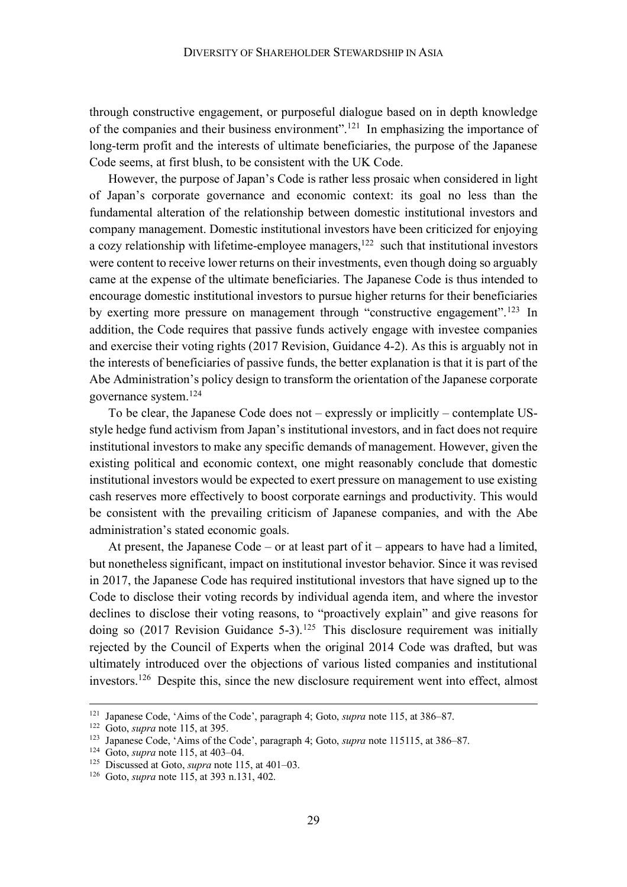through constructive engagement, or purposeful dialogue based on in depth knowledge of the companies and their business environment".121 In emphasizing the importance of long-term profit and the interests of ultimate beneficiaries, the purpose of the Japanese Code seems, at first blush, to be consistent with the UK Code.

However, the purpose of Japan's Code is rather less prosaic when considered in light of Japan's corporate governance and economic context: its goal no less than the fundamental alteration of the relationship between domestic institutional investors and company management. Domestic institutional investors have been criticized for enjoying a cozy relationship with lifetime-employee managers, $122$  such that institutional investors were content to receive lower returns on their investments, even though doing so arguably came at the expense of the ultimate beneficiaries. The Japanese Code is thus intended to encourage domestic institutional investors to pursue higher returns for their beneficiaries by exerting more pressure on management through "constructive engagement".<sup>123</sup> In addition, the Code requires that passive funds actively engage with investee companies and exercise their voting rights (2017 Revision, Guidance 4-2). As this is arguably not in the interests of beneficiaries of passive funds, the better explanation is that it is part of the Abe Administration's policy design to transform the orientation of the Japanese corporate governance system. 124

To be clear, the Japanese Code does not – expressly or implicitly – contemplate USstyle hedge fund activism from Japan's institutional investors, and in fact does not require institutional investors to make any specific demands of management. However, given the existing political and economic context, one might reasonably conclude that domestic institutional investors would be expected to exert pressure on management to use existing cash reserves more effectively to boost corporate earnings and productivity. This would be consistent with the prevailing criticism of Japanese companies, and with the Abe administration's stated economic goals.

At present, the Japanese Code – or at least part of it – appears to have had a limited, but nonetheless significant, impact on institutional investor behavior. Since it was revised in 2017, the Japanese Code has required institutional investors that have signed up to the Code to disclose their voting records by individual agenda item, and where the investor declines to disclose their voting reasons, to "proactively explain" and give reasons for doing so (2017 Revision Guidance 5-3). <sup>125</sup> This disclosure requirement was initially rejected by the Council of Experts when the original 2014 Code was drafted, but was ultimately introduced over the objections of various listed companies and institutional investors. <sup>126</sup> Despite this, since the new disclosure requirement went into effect, almost

 <sup>121</sup> Japanese Code, 'Aims of the Code', paragraph 4; Goto, *supra* note 115, at 386–87.

<sup>122</sup> Goto, *supra* note 115, at 395.

<sup>123</sup> Japanese Code, 'Aims of the Code', paragraph 4; Goto, *supra* note 115115, at 386–87.

<sup>124</sup> Goto, *supra* note 115, at 403–04.

<sup>125</sup> Discussed at Goto, *supra* note 115, at 401–03.

<sup>126</sup> Goto, *supra* note 115, at 393 n.131, 402.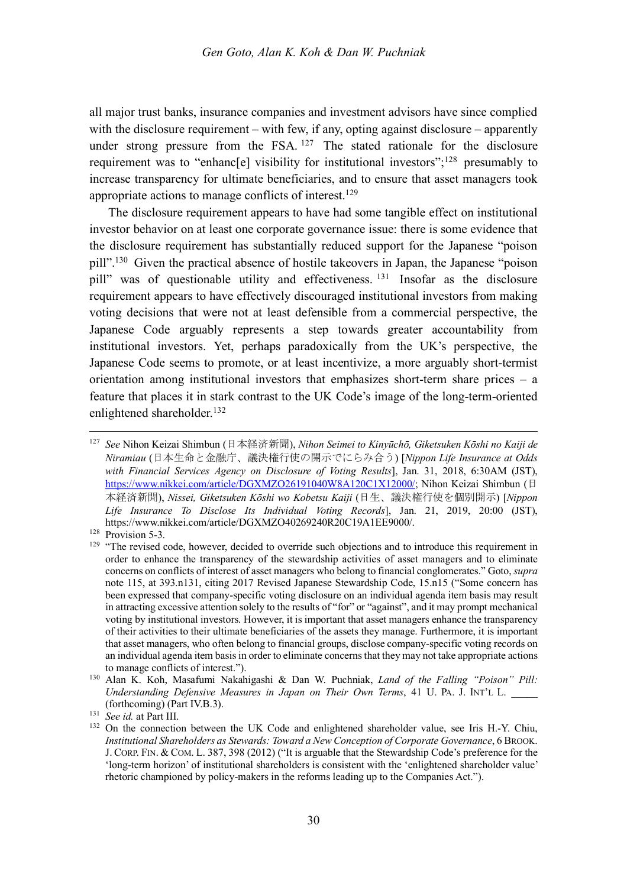all major trust banks, insurance companies and investment advisors have since complied with the disclosure requirement – with few, if any, opting against disclosure – apparently under strong pressure from the FSA.  $127$  The stated rationale for the disclosure requirement was to "enhanc[e] visibility for institutional investors";<sup>128</sup> presumably to increase transparency for ultimate beneficiaries, and to ensure that asset managers took appropriate actions to manage conflicts of interest.129

The disclosure requirement appears to have had some tangible effect on institutional investor behavior on at least one corporate governance issue: there is some evidence that the disclosure requirement has substantially reduced support for the Japanese "poison pill".130 Given the practical absence of hostile takeovers in Japan, the Japanese "poison pill" was of questionable utility and effectiveness.<sup>131</sup> Insofar as the disclosure requirement appears to have effectively discouraged institutional investors from making voting decisions that were not at least defensible from a commercial perspective, the Japanese Code arguably represents a step towards greater accountability from institutional investors. Yet, perhaps paradoxically from the UK's perspective, the Japanese Code seems to promote, or at least incentivize, a more arguably short-termist orientation among institutional investors that emphasizes short-term share prices – a feature that places it in stark contrast to the UK Code's image of the long-term-oriented enlightened shareholder. 132

<sup>&</sup>lt;sup>127</sup> *See* Nihon Keizai Shimbun (日本経済新聞), *Nihon Seimei to Kinyūchō*, *Giketsuken Kōshi no Kaiji de*  $N$ iramiau (日本生命と金融庁、議決権行使の開示でにらみ合う) [*Nippon Life Insurance at Odds with Financial Services Agency on Disclosure of Voting Results*], Jan. 31, 2018, 6:30AM (JST), https://www.nikkei.com/article/DGXMZO26191040W8A120C1X12000/; Nihon Keizai Shimbun (日 本経済新聞), Nissei, Giketsuken Kōshi wo Kobetsu Kaiji (日生、議決権行使を個別開示) [Nippon *Life Insurance To Disclose Its Individual Voting Records*], Jan. 21, 2019, 20:00 (JST), https://www.nikkei.com/article/DGXMZO40269240R20C19A1EE9000/.

<sup>&</sup>lt;sup>128</sup> Provision 5-3.

<sup>&</sup>lt;sup>129</sup> "The revised code, however, decided to override such objections and to introduce this requirement in order to enhance the transparency of the stewardship activities of asset managers and to eliminate concerns on conflicts of interest of asset managers who belong to financial conglomerates." Goto, *supra* note 115, at 393.n131, citing 2017 Revised Japanese Stewardship Code, 15.n15 ("Some concern has been expressed that company-specific voting disclosure on an individual agenda item basis may result in attracting excessive attention solely to the results of "for" or "against", and it may prompt mechanical voting by institutional investors. However, it is important that asset managers enhance the transparency of their activities to their ultimate beneficiaries of the assets they manage. Furthermore, it is important that asset managers, who often belong to financial groups, disclose company-specific voting records on an individual agenda item basis in order to eliminate concerns that they may not take appropriate actions to manage conflicts of interest.").

<sup>130</sup> Alan K. Koh, Masafumi Nakahigashi & Dan W. Puchniak, *Land of the Falling "Poison" Pill: Understanding Defensive Measures in Japan on Their Own Terms*, 41 U. PA. J. INT'L L. \_\_\_\_\_ (forthcoming) (Part IV.B.3).

<sup>131</sup> *See id.* at Part III.

<sup>&</sup>lt;sup>132</sup> On the connection between the UK Code and enlightened shareholder value, see Iris H.-Y. Chiu, *Institutional Shareholders as Stewards: Toward a New Conception of Corporate Governance*, 6 BROOK. J. CORP. FIN. & COM. L. 387, 398 (2012) ("It is arguable that the Stewardship Code's preference for the 'long-term horizon' of institutional shareholders is consistent with the 'enlightened shareholder value' rhetoric championed by policy-makers in the reforms leading up to the Companies Act.").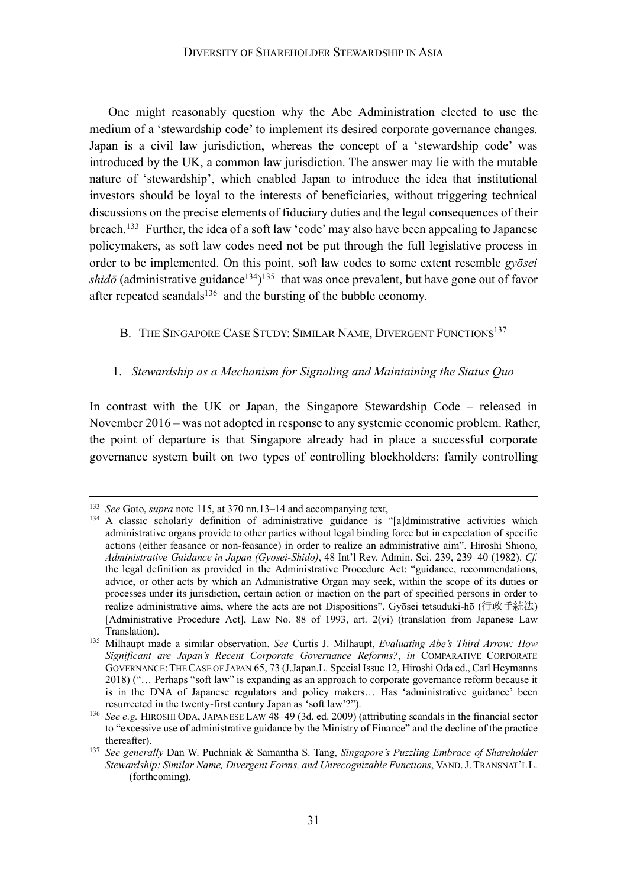One might reasonably question why the Abe Administration elected to use the medium of a 'stewardship code' to implement its desired corporate governance changes. Japan is a civil law jurisdiction, whereas the concept of a 'stewardship code' was introduced by the UK, a common law jurisdiction. The answer may lie with the mutable nature of 'stewardship', which enabled Japan to introduce the idea that institutional investors should be loyal to the interests of beneficiaries, without triggering technical discussions on the precise elements of fiduciary duties and the legal consequences of their breach.<sup>133</sup> Further, the idea of a soft law 'code' may also have been appealing to Japanese policymakers, as soft law codes need not be put through the full legislative process in order to be implemented. On this point, soft law codes to some extent resemble *gyōsei*   $shid\bar{o}$  (administrative guidance<sup>134</sup>)<sup>135</sup> that was once prevalent, but have gone out of favor after repeated scandals $136$  and the bursting of the bubble economy.

B. THE SINGAPORE CASE STUDY: SIMILAR NAME, DIVERGENT FUNCTIONS<sup>137</sup>

### 1. *Stewardship as a Mechanism for Signaling and Maintaining the Status Quo*

In contrast with the UK or Japan, the Singapore Stewardship Code – released in November 2016 – was not adopted in response to any systemic economic problem. Rather, the point of departure is that Singapore already had in place a successful corporate governance system built on two types of controlling blockholders: family controlling

<sup>&</sup>lt;sup>133</sup> *See* Goto, *supra* note 115, at 370 nn.13–14 and accompanying text,<br><sup>134</sup> A classic scholarly definition of administrative guidance is "[a]dministrative activities which administrative organs provide to other parties without legal binding force but in expectation of specific actions (either feasance or non-feasance) in order to realize an administrative aim". Hiroshi Shiono, *Administrative Guidance in Japan (Gyosei-Shido)*, 48 Int'l Rev. Admin. Sci. 239, 239–40 (1982). *Cf.* the legal definition as provided in the Administrative Procedure Act: "guidance, recommendations, advice, or other acts by which an Administrative Organ may seek, within the scope of its duties or processes under its jurisdiction, certain action or inaction on the part of specified persons in order to realize administrative aims, where the acts are not Dispositions". Gyōsei tetsuduki-hō (行政手続法) [Administrative Procedure Act], Law No. 88 of 1993, art. 2(vi) (translation from Japanese Law Translation). 135 Milhaupt made a similar observation. *See* Curtis J. Milhaupt, *Evaluating Abe's Third Arrow: How* 

*Significant are Japan's Recent Corporate Governance Reforms?*, *in* COMPARATIVE CORPORATE GOVERNANCE:THE CASE OF JAPAN 65, 73 (J.Japan.L. Special Issue 12, Hiroshi Oda ed., Carl Heymanns 2018) ("… Perhaps "soft law" is expanding as an approach to corporate governance reform because it is in the DNA of Japanese regulators and policy makers… Has 'administrative guidance' been resurrected in the twenty-first century Japan as 'soft law'?").

<sup>136</sup> *See e.g.* HIROSHI ODA, JAPANESE LAW 48–49 (3d. ed. 2009) (attributing scandals in the financial sector to "excessive use of administrative guidance by the Ministry of Finance" and the decline of the practice

thereafter). 137 *See generally* Dan W. Puchniak & Samantha S. Tang, *Singapore's Puzzling Embrace of Shareholder Stewardship: Similar Name, Divergent Forms, and Unrecognizable Functions*, VAND.J. TRANSNAT'L L. \_\_\_\_ (forthcoming).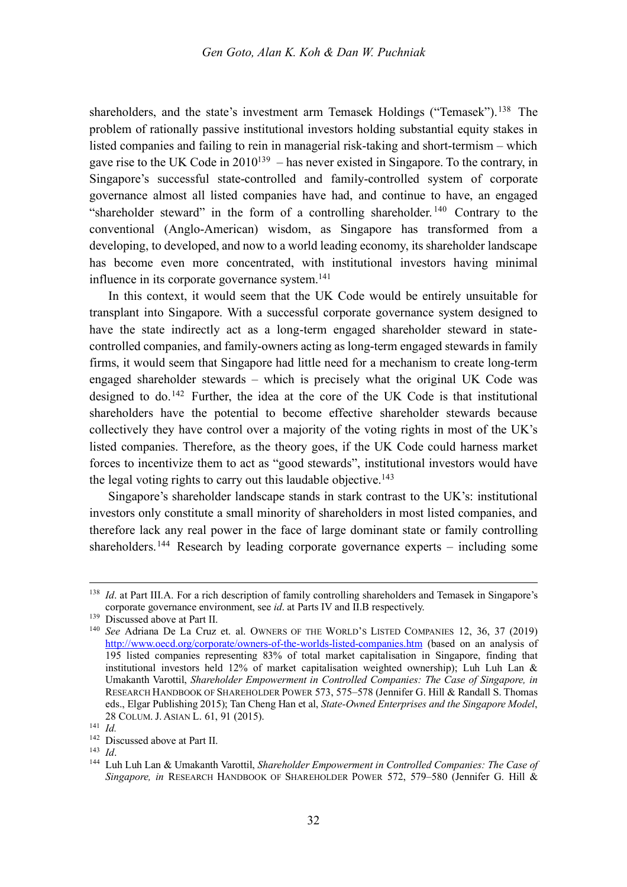shareholders, and the state's investment arm Temasek Holdings ("Temasek").<sup>138</sup> The problem of rationally passive institutional investors holding substantial equity stakes in listed companies and failing to rein in managerial risk-taking and short-termism – which gave rise to the UK Code in  $2010^{139}$  – has never existed in Singapore. To the contrary, in Singapore's successful state-controlled and family-controlled system of corporate governance almost all listed companies have had, and continue to have, an engaged "shareholder steward" in the form of a controlling shareholder. <sup>140</sup> Contrary to the conventional (Anglo-American) wisdom, as Singapore has transformed from a developing, to developed, and now to a world leading economy, its shareholder landscape has become even more concentrated, with institutional investors having minimal influence in its corporate governance system. 141

In this context, it would seem that the UK Code would be entirely unsuitable for transplant into Singapore. With a successful corporate governance system designed to have the state indirectly act as a long-term engaged shareholder steward in statecontrolled companies, and family-owners acting as long-term engaged stewards in family firms, it would seem that Singapore had little need for a mechanism to create long-term engaged shareholder stewards – which is precisely what the original UK Code was designed to do.<sup>142</sup> Further, the idea at the core of the UK Code is that institutional shareholders have the potential to become effective shareholder stewards because collectively they have control over a majority of the voting rights in most of the UK's listed companies. Therefore, as the theory goes, if the UK Code could harness market forces to incentivize them to act as "good stewards", institutional investors would have the legal voting rights to carry out this laudable objective.<sup>143</sup>

Singapore's shareholder landscape stands in stark contrast to the UK's: institutional investors only constitute a small minority of shareholders in most listed companies, and therefore lack any real power in the face of large dominant state or family controlling shareholders.<sup>144</sup> Research by leading corporate governance experts – including some

<sup>&</sup>lt;sup>138</sup> *Id.* at Part III.A. For a rich description of family controlling shareholders and Temasek in Singapore's corporate governance environment, see *id*. at Parts IV and II.B respectively.

<sup>139</sup> Discussed above at Part II.

<sup>140</sup> *See* Adriana De La Cruz et. al. OWNERS OF THE WORLD'S LISTED COMPANIES 12, 36, 37 (2019) http://www.oecd.org/corporate/owners-of-the-worlds-listed-companies.htm (based on an analysis of 195 listed companies representing 83% of total market capitalisation in Singapore, finding that institutional investors held 12% of market capitalisation weighted ownership); Luh Luh Lan & Umakanth Varottil, *Shareholder Empowerment in Controlled Companies: The Case of Singapore, in* RESEARCH HANDBOOK OF SHAREHOLDER POWER 573, 575–578 (Jennifer G. Hill & Randall S. Thomas eds., Elgar Publishing 2015); Tan Cheng Han et al, *State-Owned Enterprises and the Singapore Model*, 28 COLUM. J. ASIAN L. 61, 91 (2015).

<sup>141</sup> *Id.*

<sup>&</sup>lt;sup>142</sup> Discussed above at Part II.

<sup>143</sup> *Id*.

<sup>144</sup> Luh Luh Lan & Umakanth Varottil, *Shareholder Empowerment in Controlled Companies: The Case of Singapore, in* RESEARCH HANDBOOK OF SHAREHOLDER POWER 572, 579–580 (Jennifer G. Hill &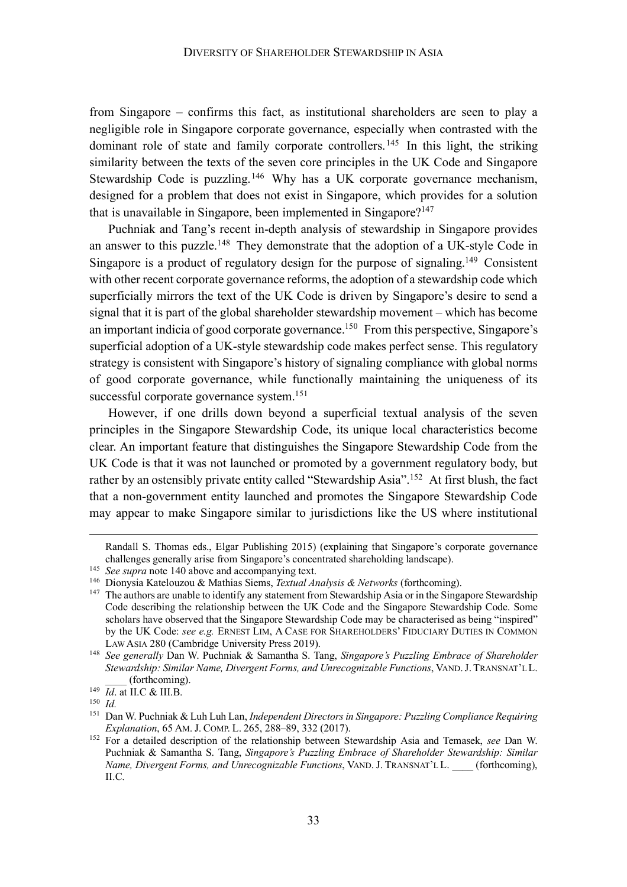from Singapore – confirms this fact, as institutional shareholders are seen to play a negligible role in Singapore corporate governance, especially when contrasted with the dominant role of state and family corporate controllers.<sup>145</sup> In this light, the striking similarity between the texts of the seven core principles in the UK Code and Singapore Stewardship Code is puzzling.<sup>146</sup> Why has a UK corporate governance mechanism, designed for a problem that does not exist in Singapore, which provides for a solution that is unavailable in Singapore, been implemented in Singapore?147

Puchniak and Tang's recent in-depth analysis of stewardship in Singapore provides an answer to this puzzle.<sup>148</sup> They demonstrate that the adoption of a UK-style Code in Singapore is a product of regulatory design for the purpose of signaling.<sup>149</sup> Consistent with other recent corporate governance reforms, the adoption of a stewardship code which superficially mirrors the text of the UK Code is driven by Singapore's desire to send a signal that it is part of the global shareholder stewardship movement – which has become an important indicia of good corporate governance. <sup>150</sup> From this perspective, Singapore's superficial adoption of a UK-style stewardship code makes perfect sense. This regulatory strategy is consistent with Singapore's history of signaling compliance with global norms of good corporate governance, while functionally maintaining the uniqueness of its successful corporate governance system.<sup>151</sup>

However, if one drills down beyond a superficial textual analysis of the seven principles in the Singapore Stewardship Code, its unique local characteristics become clear. An important feature that distinguishes the Singapore Stewardship Code from the UK Code is that it was not launched or promoted by a government regulatory body, but rather by an ostensibly private entity called "Stewardship Asia".152 At first blush, the fact that a non-government entity launched and promotes the Singapore Stewardship Code may appear to make Singapore similar to jurisdictions like the US where institutional

 $\overline{a}$ 

Randall S. Thomas eds., Elgar Publishing 2015) (explaining that Singapore's corporate governance challenges generally arise from Singapore's concentrated shareholding landscape).

<sup>&</sup>lt;sup>145</sup> *See supra* note 140 above and accompanying text.

<sup>146</sup> Dionysia Katelouzou & Mathias Siems, *Textual Analysis & Networks* (forthcoming).

<sup>&</sup>lt;sup>147</sup> The authors are unable to identify any statement from Stewardship Asia or in the Singapore Stewardship Code describing the relationship between the UK Code and the Singapore Stewardship Code. Some scholars have observed that the Singapore Stewardship Code may be characterised as being "inspired" by the UK Code: *see e.g.* ERNEST LIM, A CASE FOR SHAREHOLDERS' FIDUCIARY DUTIES IN COMMON

LAW ASIA 280 (Cambridge University Press 2019). 148 *See generally* Dan W. Puchniak & Samantha S. Tang, *Singapore's Puzzling Embrace of Shareholder Stewardship: Similar Name, Divergent Forms, and Unrecognizable Functions*, VAND.J. TRANSNAT'L L. \_\_\_\_ (forthcoming).

<sup>149</sup> *Id*. at II.C & III.B.

<sup>150</sup> *Id.*

<sup>151</sup> Dan W. Puchniak & Luh Luh Lan, *Independent Directors in Singapore: Puzzling Compliance Requiring Explanation*, 65 AM. J. COMP. L. 265, 288–89, 332 (2017).

<sup>152</sup> For a detailed description of the relationship between Stewardship Asia and Temasek, *see* Dan W. Puchniak & Samantha S. Tang, *Singapore's Puzzling Embrace of Shareholder Stewardship: Similar Name, Divergent Forms, and Unrecognizable Functions*, VAND. J. TRANSNAT'L L. (forthcoming), II.C.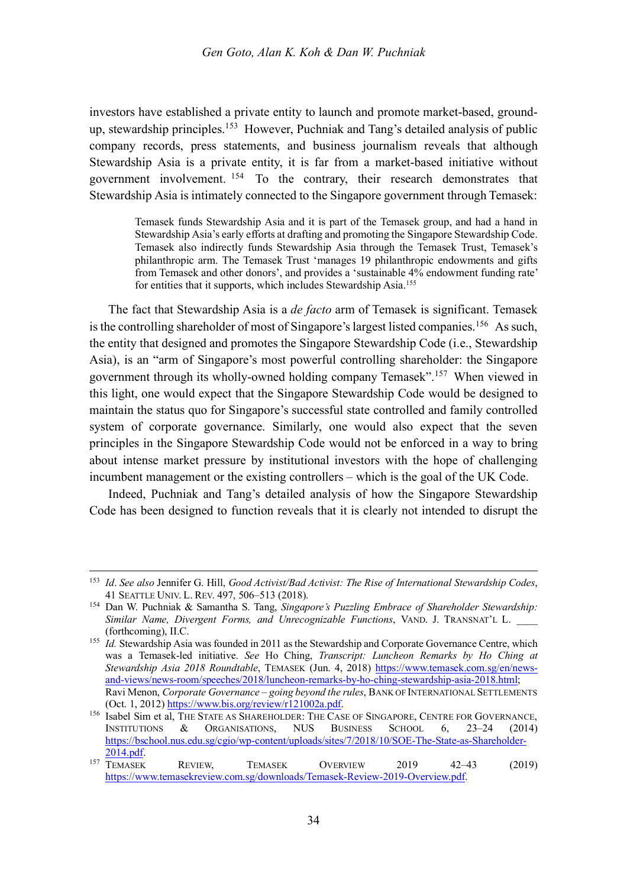investors have established a private entity to launch and promote market-based, groundup, stewardship principles. <sup>153</sup> However, Puchniak and Tang's detailed analysis of public company records, press statements, and business journalism reveals that although Stewardship Asia is a private entity, it is far from a market-based initiative without government involvement. <sup>154</sup> To the contrary, their research demonstrates that Stewardship Asia is intimately connected to the Singapore government through Temasek:

> Temasek funds Stewardship Asia and it is part of the Temasek group, and had a hand in Stewardship Asia's early efforts at drafting and promoting the Singapore Stewardship Code. Temasek also indirectly funds Stewardship Asia through the Temasek Trust, Temasek's philanthropic arm. The Temasek Trust 'manages 19 philanthropic endowments and gifts from Temasek and other donors', and provides a 'sustainable 4% endowment funding rate' for entities that it supports, which includes Stewardship Asia.<sup>155</sup>

The fact that Stewardship Asia is a *de facto* arm of Temasek is significant. Temasek is the controlling shareholder of most of Singapore's largest listed companies.<sup>156</sup> As such, the entity that designed and promotes the Singapore Stewardship Code (i.e., Stewardship Asia), is an "arm of Singapore's most powerful controlling shareholder: the Singapore government through its wholly-owned holding company Temasek". <sup>157</sup> When viewed in this light, one would expect that the Singapore Stewardship Code would be designed to maintain the status quo for Singapore's successful state controlled and family controlled system of corporate governance. Similarly, one would also expect that the seven principles in the Singapore Stewardship Code would not be enforced in a way to bring about intense market pressure by institutional investors with the hope of challenging incumbent management or the existing controllers – which is the goal of the UK Code.

Indeed, Puchniak and Tang's detailed analysis of how the Singapore Stewardship Code has been designed to function reveals that it is clearly not intended to disrupt the

 <sup>153</sup> *Id*. *See also* Jennifer G. Hill, *Good Activist/Bad Activist: The Rise of International Stewardship Codes*, 41 SEATTLE UNIV. L. REV. 497, 506–513 (2018).

<sup>154</sup> Dan W. Puchniak & Samantha S. Tang, *Singapore's Puzzling Embrace of Shareholder Stewardship: Similar Name, Divergent Forms, and Unrecognizable Functions*, VAND. J. TRANSNAT'L L. \_\_\_\_ (forthcoming), II.C.

<sup>&</sup>lt;sup>155</sup> *Id.* Stewardship Asia was founded in 2011 as the Stewardship and Corporate Governance Centre, which was a Temasek-led initiative. *See* Ho Ching, *Transcript: Luncheon Remarks by Ho Ching at Stewardship Asia 2018 Roundtable*, TEMASEK (Jun. 4, 2018) https://www.temasek.com.sg/en/newsand-views/news-room/speeches/2018/luncheon-remarks-by-ho-ching-stewardship-asia-2018.html; Ravi Menon, *Corporate Governance – going beyond the rules*, BANK OF INTERNATIONAL SETTLEMENTS (Oct. 1, 2012) https://www.bis.org/review/r121002a.pdf.

<sup>156</sup> Isabel Sim et al, THE STATE AS SHAREHOLDER: THE CASE OF SINGAPORE, CENTRE FOR GOVERNANCE, INSTITUTIONS & ORGANISATIONS, NUS BUSINESS SCHOOL 6, 23–24 (2014) https://bschool.nus.edu.sg/cgio/wp-content/uploads/sites/7/2018/10/SOE-The-State-as-Shareholder-2014.pdf.

<sup>&</sup>lt;sup>157</sup> TEMASEK REVIEW, TEMASEK OVERVIEW 2019 42-43 (2019) https://www.temasekreview.com.sg/downloads/Temasek-Review-2019-Overview.pdf.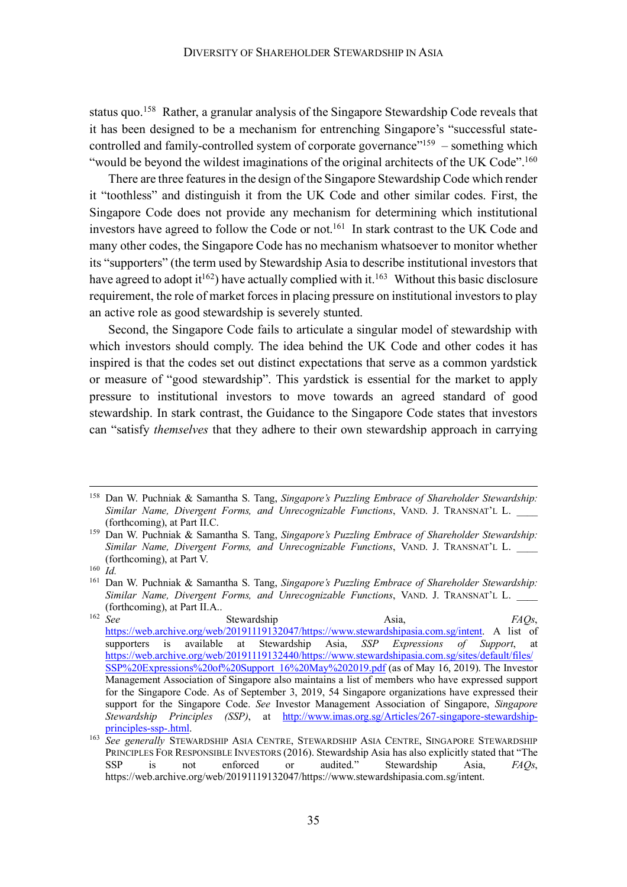status quo.<sup>158</sup> Rather, a granular analysis of the Singapore Stewardship Code reveals that it has been designed to be a mechanism for entrenching Singapore's "successful statecontrolled and family-controlled system of corporate governance"<sup>159</sup> – something which "would be beyond the wildest imaginations of the original architects of the UK Code".<sup>160</sup>

There are three features in the design of the Singapore Stewardship Code which render it "toothless" and distinguish it from the UK Code and other similar codes. First, the Singapore Code does not provide any mechanism for determining which institutional investors have agreed to follow the Code or not.<sup>161</sup> In stark contrast to the UK Code and many other codes, the Singapore Code has no mechanism whatsoever to monitor whether its "supporters" (the term used by Stewardship Asia to describe institutional investors that have agreed to adopt it<sup>162</sup>) have actually complied with it.<sup>163</sup> Without this basic disclosure requirement, the role of market forces in placing pressure on institutional investors to play an active role as good stewardship is severely stunted.

Second, the Singapore Code fails to articulate a singular model of stewardship with which investors should comply. The idea behind the UK Code and other codes it has inspired is that the codes set out distinct expectations that serve as a common yardstick or measure of "good stewardship". This yardstick is essential for the market to apply pressure to institutional investors to move towards an agreed standard of good stewardship. In stark contrast, the Guidance to the Singapore Code states that investors can "satisfy *themselves* that they adhere to their own stewardship approach in carrying

 <sup>158</sup> Dan W. Puchniak & Samantha S. Tang, *Singapore's Puzzling Embrace of Shareholder Stewardship: Similar Name, Divergent Forms, and Unrecognizable Functions*, VAND. J. TRANSNAT'L L. \_\_\_\_ (forthcoming), at Part II.C.

<sup>159</sup> Dan W. Puchniak & Samantha S. Tang, *Singapore's Puzzling Embrace of Shareholder Stewardship: Similar Name, Divergent Forms, and Unrecognizable Functions*, VAND. J. TRANSNAT'L L. \_\_\_\_ (forthcoming), at Part V.

<sup>160</sup> *Id.*

<sup>161</sup> Dan W. Puchniak & Samantha S. Tang, *Singapore's Puzzling Embrace of Shareholder Stewardship: Similar Name, Divergent Forms, and Unrecognizable Functions*, VAND. J. TRANSNAT'L L. \_\_\_\_ (forthcoming), at Part II.A..  $162 \text{ }$  Soo

<sup>162</sup> *See* Stewardship Asia, *FAQs*, https://web.archive.org/web/20191119132047/https://www.stewardshipasia.com.sg/intent. A list of supporters is available at Stewardship Asia, *SSP Expressions of Support*, at https://web.archive.org/web/20191119132440/https://www.stewardshipasia.com.sg/sites/default/files/ SSP%20Expressions%20of%20Support\_16%20May%202019.pdf (as of May 16, 2019). The Investor Management Association of Singapore also maintains a list of members who have expressed support for the Singapore Code. As of September 3, 2019, 54 Singapore organizations have expressed their support for the Singapore Code. *See* Investor Management Association of Singapore, *Singapore Stewardship Principles (SSP)*, at http://www.imas.org.sg/Articles/267-singapore-stewardshipprinciples-ssp-.html.

<sup>163</sup> *See generally* STEWARDSHIP ASIA CENTRE, STEWARDSHIP ASIA CENTRE, SINGAPORE STEWARDSHIP PRINCIPLES FOR RESPONSIBLE INVESTORS (2016). Stewardship Asia has also explicitly stated that "The SSP is not enforced or audited." Stewardship Asia, *FAQs*, https://web.archive.org/web/20191119132047/https://www.stewardshipasia.com.sg/intent.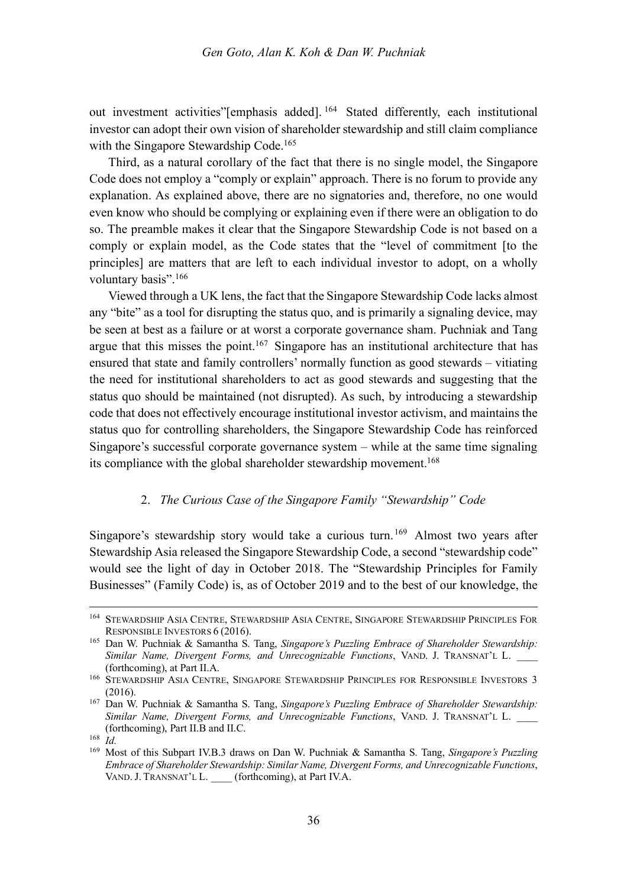out investment activities"[emphasis added]. <sup>164</sup> Stated differently, each institutional investor can adopt their own vision of shareholder stewardship and still claim compliance with the Singapore Stewardship Code.<sup>165</sup>

Third, as a natural corollary of the fact that there is no single model, the Singapore Code does not employ a "comply or explain" approach. There is no forum to provide any explanation. As explained above, there are no signatories and, therefore, no one would even know who should be complying or explaining even if there were an obligation to do so. The preamble makes it clear that the Singapore Stewardship Code is not based on a comply or explain model, as the Code states that the "level of commitment [to the principles] are matters that are left to each individual investor to adopt, on a wholly voluntary basis".<sup>166</sup>

Viewed through a UK lens, the fact that the Singapore Stewardship Code lacks almost any "bite" as a tool for disrupting the status quo, and is primarily a signaling device, may be seen at best as a failure or at worst a corporate governance sham. Puchniak and Tang argue that this misses the point.<sup>167</sup> Singapore has an institutional architecture that has ensured that state and family controllers' normally function as good stewards – vitiating the need for institutional shareholders to act as good stewards and suggesting that the status quo should be maintained (not disrupted). As such, by introducing a stewardship code that does not effectively encourage institutional investor activism, and maintains the status quo for controlling shareholders, the Singapore Stewardship Code has reinforced Singapore's successful corporate governance system – while at the same time signaling its compliance with the global shareholder stewardship movement. 168

#### 2. *The Curious Case of the Singapore Family "Stewardship" Code*

Singapore's stewardship story would take a curious turn.<sup>169</sup> Almost two years after Stewardship Asia released the Singapore Stewardship Code, a second "stewardship code" would see the light of day in October 2018. The "Stewardship Principles for Family Businesses" (Family Code) is, as of October 2019 and to the best of our knowledge, the

 <sup>164</sup> STEWARDSHIP ASIA CENTRE, STEWARDSHIP ASIA CENTRE, SINGAPORE STEWARDSHIP PRINCIPLES FOR RESPONSIBLE INVESTORS 6 (2016).

<sup>165</sup> Dan W. Puchniak & Samantha S. Tang, *Singapore's Puzzling Embrace of Shareholder Stewardship: Similar Name, Divergent Forms, and Unrecognizable Functions*, VAND. J. TRANSNAT'L L. \_\_\_\_ (forthcoming), at Part II.A.

<sup>166</sup> STEWARDSHIP ASIA CENTRE, SINGAPORE STEWARDSHIP PRINCIPLES FOR RESPONSIBLE INVESTORS 3 (2016).

<sup>167</sup> Dan W. Puchniak & Samantha S. Tang, *Singapore's Puzzling Embrace of Shareholder Stewardship: Similar Name, Divergent Forms, and Unrecognizable Functions*, VAND. J. TRANSNAT'L L. \_\_\_\_ (forthcoming), Part II.B and II.C.

<sup>168</sup> *Id.*

<sup>169</sup> Most of this Subpart IV.B.3 draws on Dan W. Puchniak & Samantha S. Tang, *Singapore's Puzzling Embrace of Shareholder Stewardship: Similar Name, Divergent Forms, and Unrecognizable Functions*, VAND. J. TRANSNAT'L L. \_\_\_\_ (forthcoming), at Part IV.A.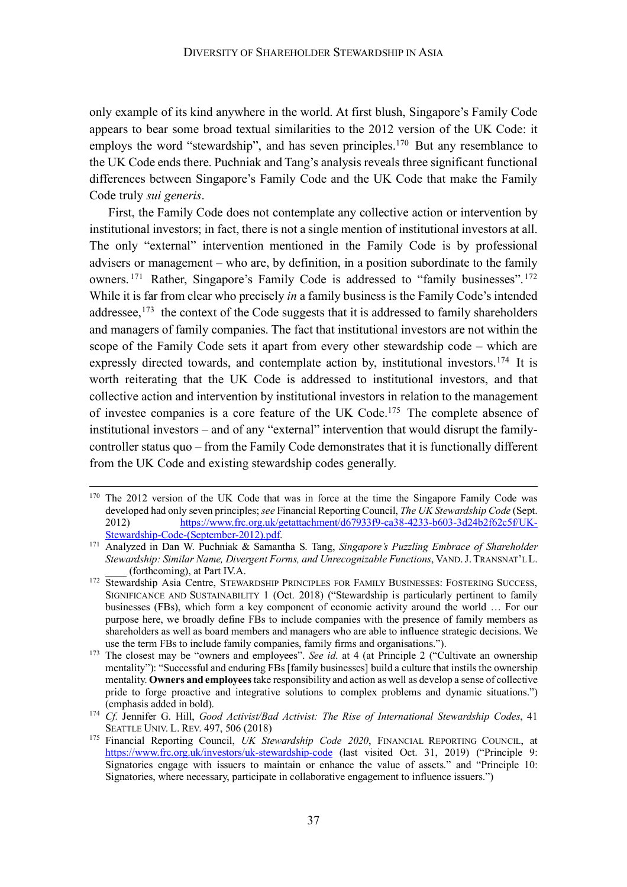only example of its kind anywhere in the world. At first blush, Singapore's Family Code appears to bear some broad textual similarities to the 2012 version of the UK Code: it employs the word "stewardship", and has seven principles.<sup>170</sup> But any resemblance to the UK Code ends there. Puchniak and Tang's analysis reveals three significant functional differences between Singapore's Family Code and the UK Code that make the Family Code truly *sui generis*.

First, the Family Code does not contemplate any collective action or intervention by institutional investors; in fact, there is not a single mention of institutional investors at all. The only "external" intervention mentioned in the Family Code is by professional advisers or management – who are, by definition, in a position subordinate to the family owners. <sup>171</sup> Rather, Singapore's Family Code is addressed to "family businesses". <sup>172</sup> While it is far from clear who precisely *in* a family business is the Family Code's intended addressee,<sup>173</sup> the context of the Code suggests that it is addressed to family shareholders and managers of family companies. The fact that institutional investors are not within the scope of the Family Code sets it apart from every other stewardship code – which are expressly directed towards, and contemplate action by, institutional investors.<sup>174</sup> It is worth reiterating that the UK Code is addressed to institutional investors, and that collective action and intervention by institutional investors in relation to the management of investee companies is a core feature of the UK Code.175 The complete absence of institutional investors – and of any "external" intervention that would disrupt the familycontroller status quo – from the Family Code demonstrates that it is functionally different from the UK Code and existing stewardship codes generally.

<sup>&</sup>lt;sup>170</sup> The 2012 version of the UK Code that was in force at the time the Singapore Family Code was developed had only seven principles; *see* Financial Reporting Council, *The UK Stewardship Code* (Sept. 2012) https://www.frc.org.uk/getattachment/d67933f9-ca38-4233-b603-3d24b2f62c5f/UK-Stewardship-Code-(September-2012).pdf.

<sup>171</sup> Analyzed in Dan W. Puchniak & Samantha S. Tang, *Singapore's Puzzling Embrace of Shareholder Stewardship: Similar Name, Divergent Forms, and Unrecognizable Functions*, VAND.J. TRANSNAT'L L. \_\_\_\_ (forthcoming), at Part IV.A.

<sup>&</sup>lt;sup>172</sup> Stewardship Asia Centre, STEWARDSHIP PRINCIPLES FOR FAMILY BUSINESSES: FOSTERING SUCCESS, SIGNIFICANCE AND SUSTAINABILITY 1 (Oct. 2018) ("Stewardship is particularly pertinent to family businesses (FBs), which form a key component of economic activity around the world … For our purpose here, we broadly define FBs to include companies with the presence of family members as shareholders as well as board members and managers who are able to influence strategic decisions. We use the term FBs to include family companies, family firms and organisations.").

<sup>&</sup>lt;sup>173</sup> The closest may be "owners and employees". *See id.* at 4 (at Principle 2 ("Cultivate an ownership mentality"): "Successful and enduring FBs [family businesses] build a culture that instils the ownership mentality. **Owners and employees**take responsibility and action as well as develop a sense of collective pride to forge proactive and integrative solutions to complex problems and dynamic situations.") (emphasis added in bold).

<sup>174</sup> *Cf.* Jennifer G. Hill, *Good Activist/Bad Activist: The Rise of International Stewardship Codes*, 41 SEATTLE UNIV. L. REV. 497, 506 (2018)

<sup>&</sup>lt;sup>175</sup> Financial Reporting Council, UK Stewardship Code 2020, FINANCIAL REPORTING COUNCIL, at https://www.frc.org.uk/investors/uk-stewardship-code (last visited Oct. 31, 2019) ("Principle 9: Signatories engage with issuers to maintain or enhance the value of assets." and "Principle 10: Signatories, where necessary, participate in collaborative engagement to influence issuers.")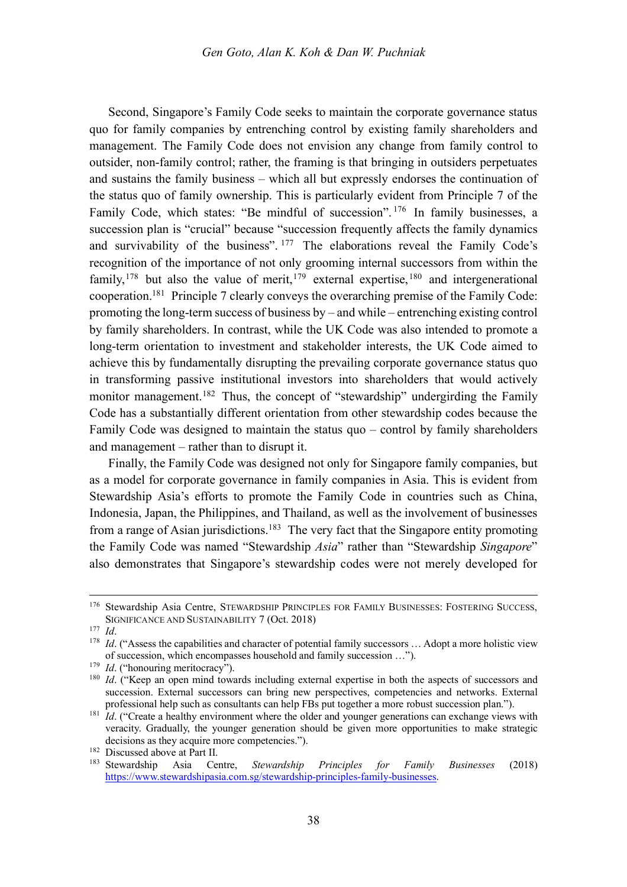Second, Singapore's Family Code seeks to maintain the corporate governance status quo for family companies by entrenching control by existing family shareholders and management. The Family Code does not envision any change from family control to outsider, non-family control; rather, the framing is that bringing in outsiders perpetuates and sustains the family business – which all but expressly endorses the continuation of the status quo of family ownership. This is particularly evident from Principle 7 of the Family Code, which states: "Be mindful of succession".<sup>176</sup> In family businesses, a succession plan is "crucial" because "succession frequently affects the family dynamics and survivability of the business". <sup>177</sup> The elaborations reveal the Family Code's recognition of the importance of not only grooming internal successors from within the family,<sup>178</sup> but also the value of merit,<sup>179</sup> external expertise,<sup>180</sup> and intergenerational cooperation.181 Principle 7 clearly conveys the overarching premise of the Family Code: promoting the long-term success of business by – and while – entrenching existing control by family shareholders. In contrast, while the UK Code was also intended to promote a long-term orientation to investment and stakeholder interests, the UK Code aimed to achieve this by fundamentally disrupting the prevailing corporate governance status quo in transforming passive institutional investors into shareholders that would actively monitor management.<sup>182</sup> Thus, the concept of "stewardship" undergirding the Family Code has a substantially different orientation from other stewardship codes because the Family Code was designed to maintain the status quo – control by family shareholders and management – rather than to disrupt it.

Finally, the Family Code was designed not only for Singapore family companies, but as a model for corporate governance in family companies in Asia. This is evident from Stewardship Asia's efforts to promote the Family Code in countries such as China, Indonesia, Japan, the Philippines, and Thailand, as well as the involvement of businesses from a range of Asian jurisdictions.<sup>183</sup> The very fact that the Singapore entity promoting the Family Code was named "Stewardship *Asia*" rather than "Stewardship *Singapore*" also demonstrates that Singapore's stewardship codes were not merely developed for

 <sup>176</sup> Stewardship Asia Centre, STEWARDSHIP PRINCIPLES FOR FAMILY BUSINESSES: FOSTERING SUCCESS, SIGNIFICANCE AND SUSTAINABILITY 7 (Oct. 2018)

<sup>177</sup> *Id*.

<sup>&</sup>lt;sup>178</sup> *Id.* ("Assess the capabilities and character of potential family successors ... Adopt a more holistic view of succession, which encompasses household and family succession …").

<sup>&</sup>lt;sup>179</sup> *Id.* ("honouring meritocracy").

<sup>&</sup>lt;sup>180</sup> *Id.* ("Keep an open mind towards including external expertise in both the aspects of successors and succession. External successors can bring new perspectives, competencies and networks. External professional help such as consultants can help FBs put together a more robust succession plan.").

<sup>&</sup>lt;sup>181</sup> *Id.* ("Create a healthy environment where the older and younger generations can exchange views with veracity. Gradually, the younger generation should be given more opportunities to make strategic decisions as they acquire more competencies.").

<sup>182</sup> Discussed above at Part II.

<sup>183</sup> Stewardship Asia Centre, *Stewardship Principles for Family Businesses* (2018) https://www.stewardshipasia.com.sg/stewardship-principles-family-businesses.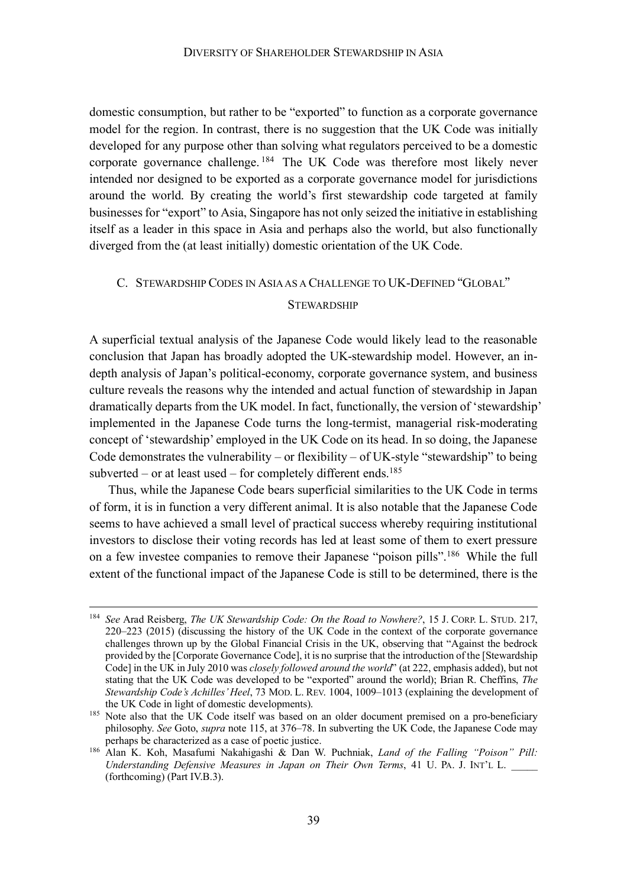domestic consumption, but rather to be "exported" to function as a corporate governance model for the region. In contrast, there is no suggestion that the UK Code was initially developed for any purpose other than solving what regulators perceived to be a domestic corporate governance challenge. <sup>184</sup> The UK Code was therefore most likely never intended nor designed to be exported as a corporate governance model for jurisdictions around the world. By creating the world's first stewardship code targeted at family businesses for "export" to Asia, Singapore has not only seized the initiative in establishing itself as a leader in this space in Asia and perhaps also the world, but also functionally diverged from the (at least initially) domestic orientation of the UK Code.

#### C. STEWARDSHIP CODES IN ASIAAS A CHALLENGE TO UK-DEFINED "GLOBAL"

#### **STEWARDSHIP**

A superficial textual analysis of the Japanese Code would likely lead to the reasonable conclusion that Japan has broadly adopted the UK-stewardship model. However, an indepth analysis of Japan's political-economy, corporate governance system, and business culture reveals the reasons why the intended and actual function of stewardship in Japan dramatically departs from the UK model. In fact, functionally, the version of 'stewardship' implemented in the Japanese Code turns the long-termist, managerial risk-moderating concept of 'stewardship' employed in the UK Code on its head. In so doing, the Japanese Code demonstrates the vulnerability – or flexibility – of UK-style "stewardship" to being subverted – or at least used – for completely different ends.<sup>185</sup>

Thus, while the Japanese Code bears superficial similarities to the UK Code in terms of form, it is in function a very different animal. It is also notable that the Japanese Code seems to have achieved a small level of practical success whereby requiring institutional investors to disclose their voting records has led at least some of them to exert pressure on a few investee companies to remove their Japanese "poison pills".186 While the full extent of the functional impact of the Japanese Code is still to be determined, there is the

 <sup>184</sup> *See* Arad Reisberg, *The UK Stewardship Code: On the Road to Nowhere?*, 15 J. CORP. L. STUD. 217, 220–223 (2015) (discussing the history of the UK Code in the context of the corporate governance challenges thrown up by the Global Financial Crisis in the UK, observing that "Against the bedrock provided by the [Corporate Governance Code], it is no surprise that the introduction of the [Stewardship Code] in the UK in July 2010 was *closely followed around the world*" (at 222, emphasis added), but not stating that the UK Code was developed to be "exported" around the world); Brian R. Cheffins, *The Stewardship Code's Achilles' Heel*, 73 MOD. L. REV. 1004, 1009–1013 (explaining the development of

the UK Code in light of domestic developments).<br><sup>185</sup> Note also that the UK Code itself was based on an older document premised on a pro-beneficiary philosophy. *See* Goto, *supra* note 115, at 376–78. In subverting the UK Code, the Japanese Code may perhaps be characterized as a case of poetic justice.

<sup>186</sup> Alan K. Koh, Masafumi Nakahigashi & Dan W. Puchniak, *Land of the Falling "Poison" Pill: Understanding Defensive Measures in Japan on Their Own Terms*, 41 U. PA. J. INT'L L. (forthcoming) (Part IV.B.3).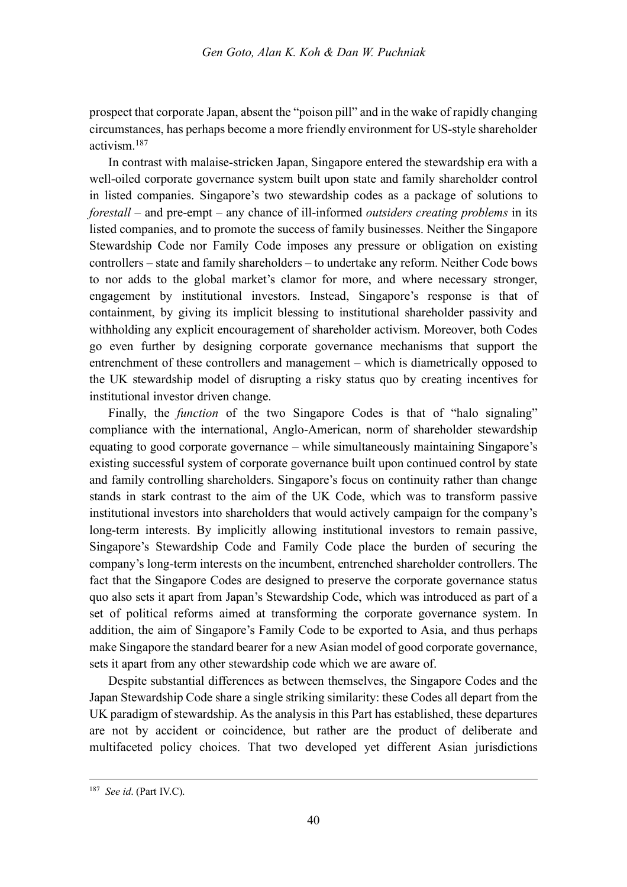prospect that corporate Japan, absent the "poison pill" and in the wake of rapidly changing circumstances, has perhaps become a more friendly environment for US-style shareholder activism<sup>187</sup>

In contrast with malaise-stricken Japan, Singapore entered the stewardship era with a well-oiled corporate governance system built upon state and family shareholder control in listed companies. Singapore's two stewardship codes as a package of solutions to *forestall* – and pre-empt – any chance of ill-informed *outsiders creating problems* in its listed companies, and to promote the success of family businesses. Neither the Singapore Stewardship Code nor Family Code imposes any pressure or obligation on existing controllers – state and family shareholders – to undertake any reform. Neither Code bows to nor adds to the global market's clamor for more, and where necessary stronger, engagement by institutional investors. Instead, Singapore's response is that of containment, by giving its implicit blessing to institutional shareholder passivity and withholding any explicit encouragement of shareholder activism. Moreover, both Codes go even further by designing corporate governance mechanisms that support the entrenchment of these controllers and management – which is diametrically opposed to the UK stewardship model of disrupting a risky status quo by creating incentives for institutional investor driven change.

Finally, the *function* of the two Singapore Codes is that of "halo signaling" compliance with the international, Anglo-American, norm of shareholder stewardship equating to good corporate governance – while simultaneously maintaining Singapore's existing successful system of corporate governance built upon continued control by state and family controlling shareholders. Singapore's focus on continuity rather than change stands in stark contrast to the aim of the UK Code, which was to transform passive institutional investors into shareholders that would actively campaign for the company's long-term interests. By implicitly allowing institutional investors to remain passive, Singapore's Stewardship Code and Family Code place the burden of securing the company's long-term interests on the incumbent, entrenched shareholder controllers. The fact that the Singapore Codes are designed to preserve the corporate governance status quo also sets it apart from Japan's Stewardship Code, which was introduced as part of a set of political reforms aimed at transforming the corporate governance system. In addition, the aim of Singapore's Family Code to be exported to Asia, and thus perhaps make Singapore the standard bearer for a new Asian model of good corporate governance, sets it apart from any other stewardship code which we are aware of.

Despite substantial differences as between themselves, the Singapore Codes and the Japan Stewardship Code share a single striking similarity: these Codes all depart from the UK paradigm of stewardship. As the analysis in this Part has established, these departures are not by accident or coincidence, but rather are the product of deliberate and multifaceted policy choices. That two developed yet different Asian jurisdictions

 <sup>187</sup> *See id*. (Part IV.C).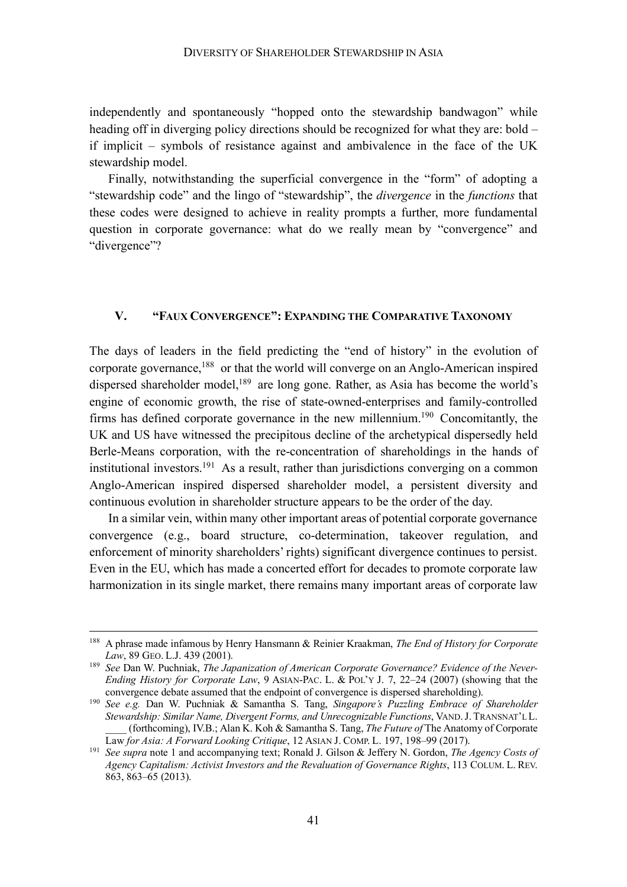independently and spontaneously "hopped onto the stewardship bandwagon" while heading off in diverging policy directions should be recognized for what they are: bold – if implicit – symbols of resistance against and ambivalence in the face of the UK stewardship model.

Finally, notwithstanding the superficial convergence in the "form" of adopting a "stewardship code" and the lingo of "stewardship", the *divergence* in the *functions* that these codes were designed to achieve in reality prompts a further, more fundamental question in corporate governance: what do we really mean by "convergence" and "divergence"?

#### **V. "FAUX CONVERGENCE": EXPANDING THE COMPARATIVE TAXONOMY**

The days of leaders in the field predicting the "end of history" in the evolution of corporate governance,<sup>188</sup> or that the world will converge on an Anglo-American inspired dispersed shareholder model,<sup>189</sup> are long gone. Rather, as Asia has become the world's engine of economic growth, the rise of state-owned-enterprises and family-controlled firms has defined corporate governance in the new millennium.190 Concomitantly, the UK and US have witnessed the precipitous decline of the archetypical dispersedly held Berle-Means corporation, with the re-concentration of shareholdings in the hands of institutional investors.<sup>191</sup> As a result, rather than jurisdictions converging on a common Anglo-American inspired dispersed shareholder model, a persistent diversity and continuous evolution in shareholder structure appears to be the order of the day.

In a similar vein, within many other important areas of potential corporate governance convergence (e.g., board structure, co-determination, takeover regulation, and enforcement of minority shareholders' rights) significant divergence continues to persist. Even in the EU, which has made a concerted effort for decades to promote corporate law harmonization in its single market, there remains many important areas of corporate law

 <sup>188</sup> A phrase made infamous by Henry Hansmann & Reinier Kraakman, *The End of History for Corporate Law*, 89 GEO. L.J. 439 (2001). 189 *See* Dan W. Puchniak, *The Japanization of American Corporate Governance? Evidence of the Never-*

*Ending History for Corporate Law*, 9 ASIAN-PAC. L. & POL'Y J. 7, 22–24 (2007) (showing that the convergence debate assumed that the endpoint of convergence is dispersed shareholding).

<sup>&</sup>lt;sup>190</sup> See e.g. Dan W. Puchniak & Samantha S. Tang, *Singapore's Puzzling Embrace of Shareholder Stewardship: Similar Name, Divergent Forms, and Unrecognizable Functions*, VAND.J. TRANSNAT'L L. \_\_\_\_ (forthcoming), IV.B.; Alan K. Koh & Samantha S. Tang, *The Future of* The Anatomy of Corporate

Law *for Asia: A Forward Looking Critique*, 12 ASIAN J. COMP. L. 197, 198–99 (2017).<br><sup>191</sup> *See supra* note 1 and accompanying text; Ronald J. Gilson & Jeffery N. Gordon, *The Agency Costs of Agency Capitalism: Activist Investors and the Revaluation of Governance Rights*, 113 COLUM. L. REV. 863, 863–65 (2013).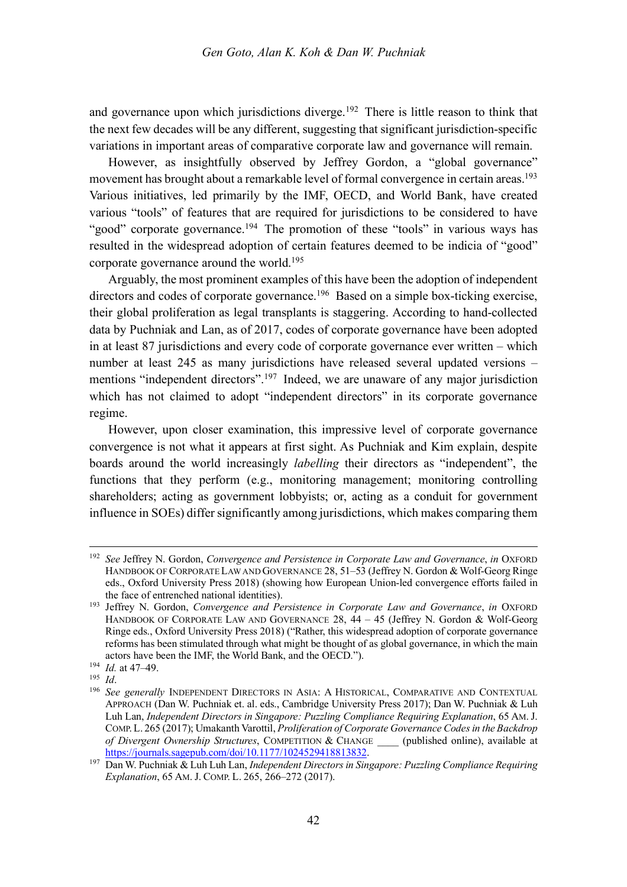and governance upon which jurisdictions diverge.<sup>192</sup> There is little reason to think that the next few decades will be any different, suggesting that significant jurisdiction-specific variations in important areas of comparative corporate law and governance will remain.

However, as insightfully observed by Jeffrey Gordon, a "global governance" movement has brought about a remarkable level of formal convergence in certain areas.<sup>193</sup> Various initiatives, led primarily by the IMF, OECD, and World Bank, have created various "tools" of features that are required for jurisdictions to be considered to have "good" corporate governance.<sup>194</sup> The promotion of these "tools" in various ways has resulted in the widespread adoption of certain features deemed to be indicia of "good" corporate governance around the world.195

Arguably, the most prominent examples of this have been the adoption of independent directors and codes of corporate governance.<sup>196</sup> Based on a simple box-ticking exercise, their global proliferation as legal transplants is staggering. According to hand-collected data by Puchniak and Lan, as of 2017, codes of corporate governance have been adopted in at least 87 jurisdictions and every code of corporate governance ever written – which number at least 245 as many jurisdictions have released several updated versions – mentions "independent directors".<sup>197</sup> Indeed, we are unaware of any major jurisdiction which has not claimed to adopt "independent directors" in its corporate governance regime.

However, upon closer examination, this impressive level of corporate governance convergence is not what it appears at first sight. As Puchniak and Kim explain, despite boards around the world increasingly *labelling* their directors as "independent", the functions that they perform (e.g., monitoring management; monitoring controlling shareholders; acting as government lobbyists; or, acting as a conduit for government influence in SOEs) differ significantly among jurisdictions, which makes comparing them

 <sup>192</sup> *See* Jeffrey N. Gordon, *Convergence and Persistence in Corporate Law and Governance*, *in* OXFORD HANDBOOK OF CORPORATE LAW AND GOVERNANCE 28, 51–53 (Jeffrey N. Gordon & Wolf-Georg Ringe eds., Oxford University Press 2018) (showing how European Union-led convergence efforts failed in the face of entrenched national identities).

<sup>&</sup>lt;sup>193</sup> Jeffrey N. Gordon, *Convergence and Persistence in Corporate Law and Governance*, *in* OXFORD HANDBOOK OF CORPORATE LAW AND GOVERNANCE 28, 44 – 45 (Jeffrey N. Gordon & Wolf-Georg Ringe eds., Oxford University Press 2018) ("Rather, this widespread adoption of corporate governance reforms has been stimulated through what might be thought of as global governance, in which the main actors have been the IMF, the World Bank, and the OECD.").

<sup>194</sup> *Id.* at 47–49. 195 *Id*.

<sup>196</sup> *See generally* INDEPENDENT DIRECTORS IN ASIA: A HISTORICAL, COMPARATIVE AND CONTEXTUAL APPROACH (Dan W. Puchniak et. al. eds., Cambridge University Press 2017); Dan W. Puchniak & Luh Luh Lan, *Independent Directors in Singapore: Puzzling Compliance Requiring Explanation*, 65 AM. J. COMP. L. 265 (2017); Umakanth Varottil, *Proliferation of Corporate Governance Codes in the Backdrop of Divergent Ownership Structures*, COMPETITION & CHANGE \_\_\_\_ (published online), available at https://journals.sagepub.com/doi/10.1177/1024529418813832.

<sup>&</sup>lt;sup>197</sup> Dan W. Puchniak & Luh Luh Lan, *Independent Directors in Singapore: Puzzling Compliance Requiring Explanation*, 65 AM. J. COMP. L. 265, 266–272 (2017).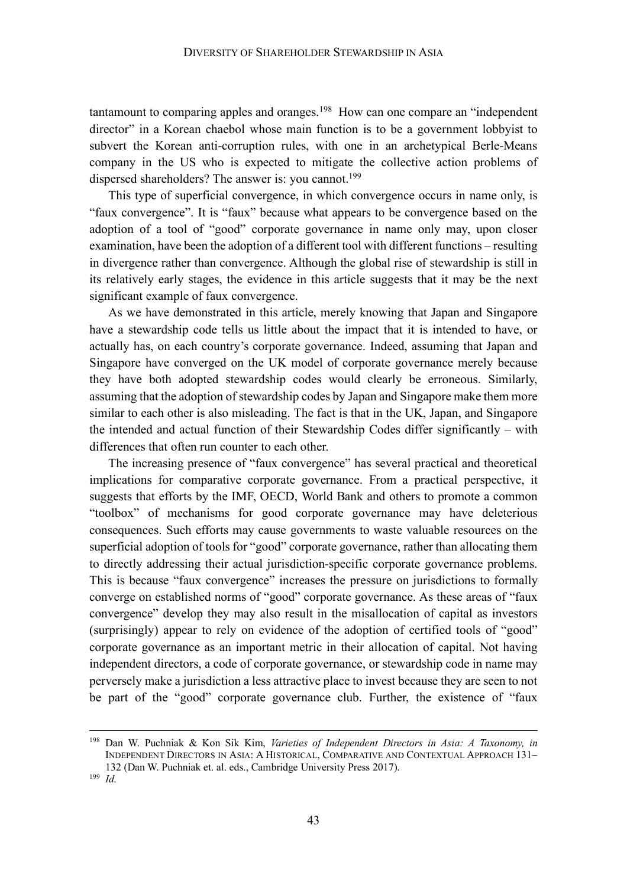tantamount to comparing apples and oranges.<sup>198</sup> How can one compare an "independent" director" in a Korean chaebol whose main function is to be a government lobbyist to subvert the Korean anti-corruption rules, with one in an archetypical Berle-Means company in the US who is expected to mitigate the collective action problems of dispersed shareholders? The answer is: you cannot.<sup>199</sup>

This type of superficial convergence, in which convergence occurs in name only, is "faux convergence". It is "faux" because what appears to be convergence based on the adoption of a tool of "good" corporate governance in name only may, upon closer examination, have been the adoption of a different tool with different functions – resulting in divergence rather than convergence. Although the global rise of stewardship is still in its relatively early stages, the evidence in this article suggests that it may be the next significant example of faux convergence.

As we have demonstrated in this article, merely knowing that Japan and Singapore have a stewardship code tells us little about the impact that it is intended to have, or actually has, on each country's corporate governance. Indeed, assuming that Japan and Singapore have converged on the UK model of corporate governance merely because they have both adopted stewardship codes would clearly be erroneous. Similarly, assuming that the adoption of stewardship codes by Japan and Singapore make them more similar to each other is also misleading. The fact is that in the UK, Japan, and Singapore the intended and actual function of their Stewardship Codes differ significantly – with differences that often run counter to each other.

The increasing presence of "faux convergence" has several practical and theoretical implications for comparative corporate governance. From a practical perspective, it suggests that efforts by the IMF, OECD, World Bank and others to promote a common "toolbox" of mechanisms for good corporate governance may have deleterious consequences. Such efforts may cause governments to waste valuable resources on the superficial adoption of tools for "good" corporate governance, rather than allocating them to directly addressing their actual jurisdiction-specific corporate governance problems. This is because "faux convergence" increases the pressure on jurisdictions to formally converge on established norms of "good" corporate governance. As these areas of "faux convergence" develop they may also result in the misallocation of capital as investors (surprisingly) appear to rely on evidence of the adoption of certified tools of "good" corporate governance as an important metric in their allocation of capital. Not having independent directors, a code of corporate governance, or stewardship code in name may perversely make a jurisdiction a less attractive place to invest because they are seen to not be part of the "good" corporate governance club. Further, the existence of "faux

 <sup>198</sup> Dan W. Puchniak & Kon Sik Kim, *Varieties of Independent Directors in Asia: A Taxonomy, in*  INDEPENDENT DIRECTORS IN ASIA: A HISTORICAL, COMPARATIVE AND CONTEXTUAL APPROACH 131– 132 (Dan W. Puchniak et. al. eds., Cambridge University Press 2017).

<sup>199</sup> *Id.*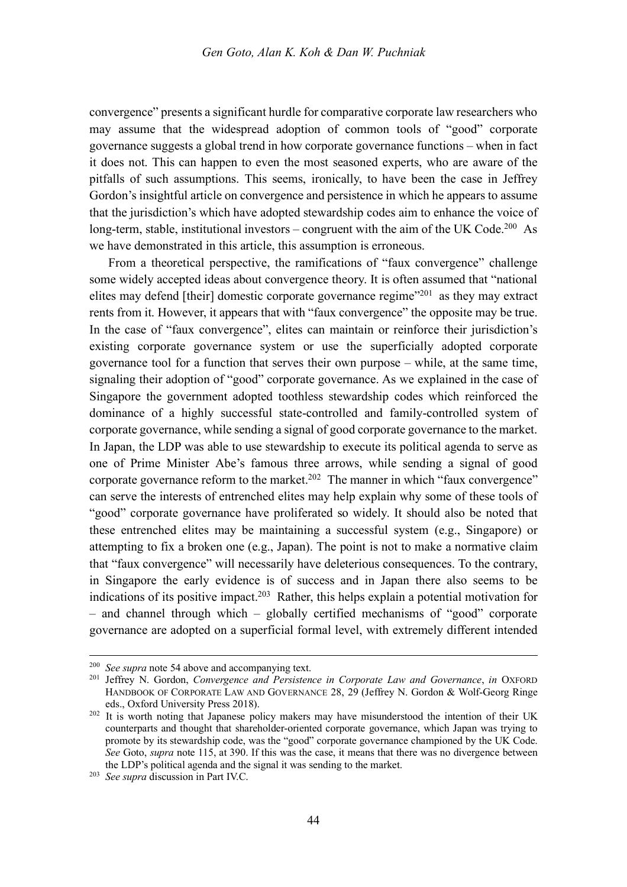convergence" presents a significant hurdle for comparative corporate law researchers who may assume that the widespread adoption of common tools of "good" corporate governance suggests a global trend in how corporate governance functions – when in fact it does not. This can happen to even the most seasoned experts, who are aware of the pitfalls of such assumptions. This seems, ironically, to have been the case in Jeffrey Gordon's insightful article on convergence and persistence in which he appears to assume that the jurisdiction's which have adopted stewardship codes aim to enhance the voice of long-term, stable, institutional investors – congruent with the aim of the UK Code.<sup>200</sup> As we have demonstrated in this article, this assumption is erroneous.

From a theoretical perspective, the ramifications of "faux convergence" challenge some widely accepted ideas about convergence theory. It is often assumed that "national elites may defend [their] domestic corporate governance regime $^{201}$  as they may extract rents from it. However, it appears that with "faux convergence" the opposite may be true. In the case of "faux convergence", elites can maintain or reinforce their jurisdiction's existing corporate governance system or use the superficially adopted corporate governance tool for a function that serves their own purpose – while, at the same time, signaling their adoption of "good" corporate governance. As we explained in the case of Singapore the government adopted toothless stewardship codes which reinforced the dominance of a highly successful state-controlled and family-controlled system of corporate governance, while sending a signal of good corporate governance to the market. In Japan, the LDP was able to use stewardship to execute its political agenda to serve as one of Prime Minister Abe's famous three arrows, while sending a signal of good corporate governance reform to the market.<sup>202</sup> The manner in which "faux convergence" can serve the interests of entrenched elites may help explain why some of these tools of "good" corporate governance have proliferated so widely. It should also be noted that these entrenched elites may be maintaining a successful system (e.g., Singapore) or attempting to fix a broken one (e.g., Japan). The point is not to make a normative claim that "faux convergence" will necessarily have deleterious consequences. To the contrary, in Singapore the early evidence is of success and in Japan there also seems to be indications of its positive impact.203 Rather, this helps explain a potential motivation for – and channel through which – globally certified mechanisms of "good" corporate governance are adopted on a superficial formal level, with extremely different intended

 <sup>200</sup> *See supra* note 54 above and accompanying text.

<sup>201</sup> Jeffrey N. Gordon, *Convergence and Persistence in Corporate Law and Governance*, *in* OXFORD HANDBOOK OF CORPORATE LAW AND GOVERNANCE 28, 29 (Jeffrey N. Gordon & Wolf-Georg Ringe

eds., Oxford University Press 2018). <sup>202</sup> It is worth noting that Japanese policy makers may have misunderstood the intention of their UK counterparts and thought that shareholder-oriented corporate governance, which Japan was trying to promote by its stewardship code, was the "good" corporate governance championed by the UK Code. *See* Goto, *supra* note 115, at 390. If this was the case, it means that there was no divergence between the LDP's political agenda and the signal it was sending to the market.

<sup>203</sup> *See supra* discussion in Part IV.C.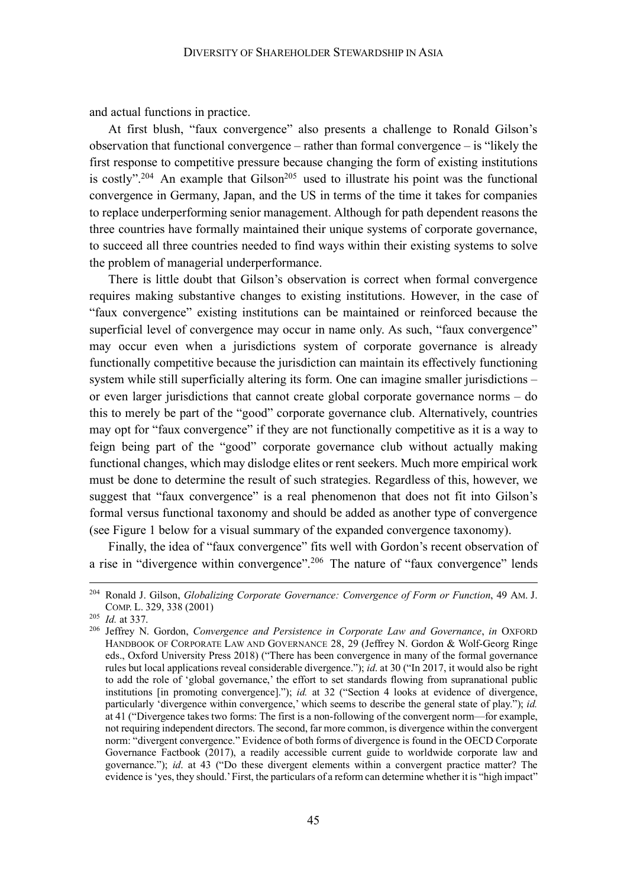and actual functions in practice.

At first blush, "faux convergence" also presents a challenge to Ronald Gilson's observation that functional convergence – rather than formal convergence – is "likely the first response to competitive pressure because changing the form of existing institutions is costly".<sup>204</sup> An example that Gilson<sup>205</sup> used to illustrate his point was the functional convergence in Germany, Japan, and the US in terms of the time it takes for companies to replace underperforming senior management. Although for path dependent reasons the three countries have formally maintained their unique systems of corporate governance, to succeed all three countries needed to find ways within their existing systems to solve the problem of managerial underperformance.

There is little doubt that Gilson's observation is correct when formal convergence requires making substantive changes to existing institutions. However, in the case of "faux convergence" existing institutions can be maintained or reinforced because the superficial level of convergence may occur in name only. As such, "faux convergence" may occur even when a jurisdictions system of corporate governance is already functionally competitive because the jurisdiction can maintain its effectively functioning system while still superficially altering its form. One can imagine smaller jurisdictions – or even larger jurisdictions that cannot create global corporate governance norms – do this to merely be part of the "good" corporate governance club. Alternatively, countries may opt for "faux convergence" if they are not functionally competitive as it is a way to feign being part of the "good" corporate governance club without actually making functional changes, which may dislodge elites or rent seekers. Much more empirical work must be done to determine the result of such strategies. Regardless of this, however, we suggest that "faux convergence" is a real phenomenon that does not fit into Gilson's formal versus functional taxonomy and should be added as another type of convergence (see Figure 1 below for a visual summary of the expanded convergence taxonomy).

Finally, the idea of "faux convergence" fits well with Gordon's recent observation of a rise in "divergence within convergence".<sup>206</sup> The nature of "faux convergence" lends

 <sup>204</sup> Ronald J. Gilson, *Globalizing Corporate Governance: Convergence of Form or Function*, 49 AM. J. COMP. L. 329, 338 (2001)

<sup>205</sup> *Id.* at 337.

<sup>206</sup> Jeffrey N. Gordon, *Convergence and Persistence in Corporate Law and Governance*, *in* OXFORD HANDBOOK OF CORPORATE LAW AND GOVERNANCE 28, 29 (Jeffrey N. Gordon & Wolf-Georg Ringe eds., Oxford University Press 2018) ("There has been convergence in many of the formal governance rules but local applications reveal considerable divergence."); *id*. at 30 ("In 2017, it would also be right to add the role of 'global governance,' the effort to set standards flowing from supranational public institutions [in promoting convergence]."); *id.* at 32 ("Section 4 looks at evidence of divergence, particularly 'divergence within convergence,' which seems to describe the general state of play."); *id.* at 41 ("Divergence takes two forms: The first is a non-following of the convergent norm—for example, not requiring independent directors. The second, far more common, is divergence within the convergent norm: "divergent convergence." Evidence of both forms of divergence is found in the OECD Corporate Governance Factbook (2017), a readily accessible current guide to worldwide corporate law and governance."); *id*. at 43 ("Do these divergent elements within a convergent practice matter? The evidence is 'yes, they should.' First, the particulars of a reform can determine whether it is "high impact"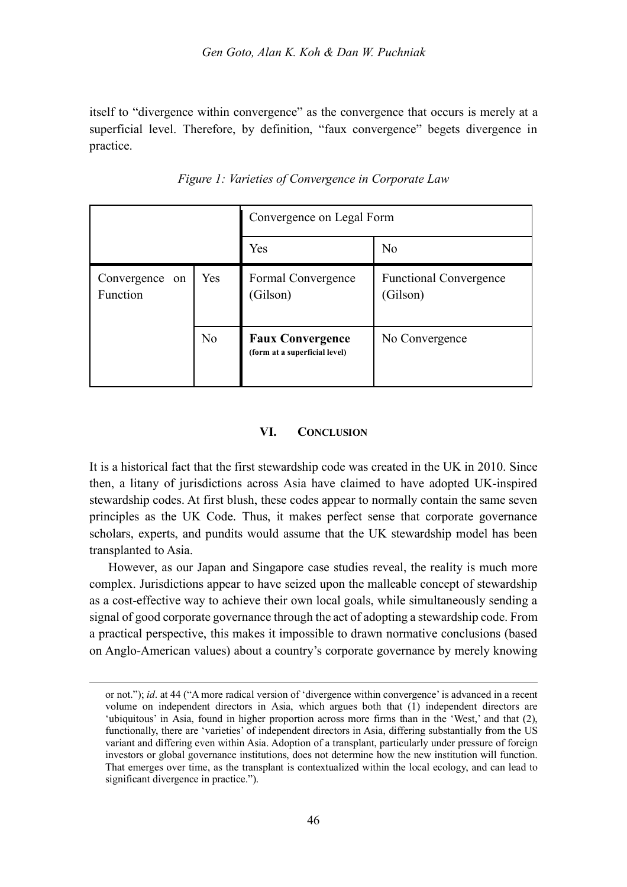itself to "divergence within convergence" as the convergence that occurs is merely at a superficial level. Therefore, by definition, "faux convergence" begets divergence in practice.

|                            |                | Convergence on Legal Form                                |                                           |  |
|----------------------------|----------------|----------------------------------------------------------|-------------------------------------------|--|
|                            |                | Yes                                                      | N <sub>0</sub>                            |  |
| Convergence on<br>Function | Yes            | Formal Convergence<br>(Gilson)                           | <b>Functional Convergence</b><br>(Gilson) |  |
|                            | N <sub>0</sub> | <b>Faux Convergence</b><br>(form at a superficial level) | No Convergence                            |  |

*Figure 1: Varieties of Convergence in Corporate Law*

#### **VI. CONCLUSION**

It is a historical fact that the first stewardship code was created in the UK in 2010. Since then, a litany of jurisdictions across Asia have claimed to have adopted UK-inspired stewardship codes. At first blush, these codes appear to normally contain the same seven principles as the UK Code. Thus, it makes perfect sense that corporate governance scholars, experts, and pundits would assume that the UK stewardship model has been transplanted to Asia.

However, as our Japan and Singapore case studies reveal, the reality is much more complex. Jurisdictions appear to have seized upon the malleable concept of stewardship as a cost-effective way to achieve their own local goals, while simultaneously sending a signal of good corporate governance through the act of adopting a stewardship code. From a practical perspective, this makes it impossible to drawn normative conclusions (based on Anglo-American values) about a country's corporate governance by merely knowing

 $\overline{a}$ 

or not."); *id*. at 44 ("A more radical version of 'divergence within convergence' is advanced in a recent volume on independent directors in Asia, which argues both that (1) independent directors are 'ubiquitous' in Asia, found in higher proportion across more firms than in the 'West,' and that (2), functionally, there are 'varieties' of independent directors in Asia, differing substantially from the US variant and differing even within Asia. Adoption of a transplant, particularly under pressure of foreign investors or global governance institutions, does not determine how the new institution will function. That emerges over time, as the transplant is contextualized within the local ecology, and can lead to significant divergence in practice.").